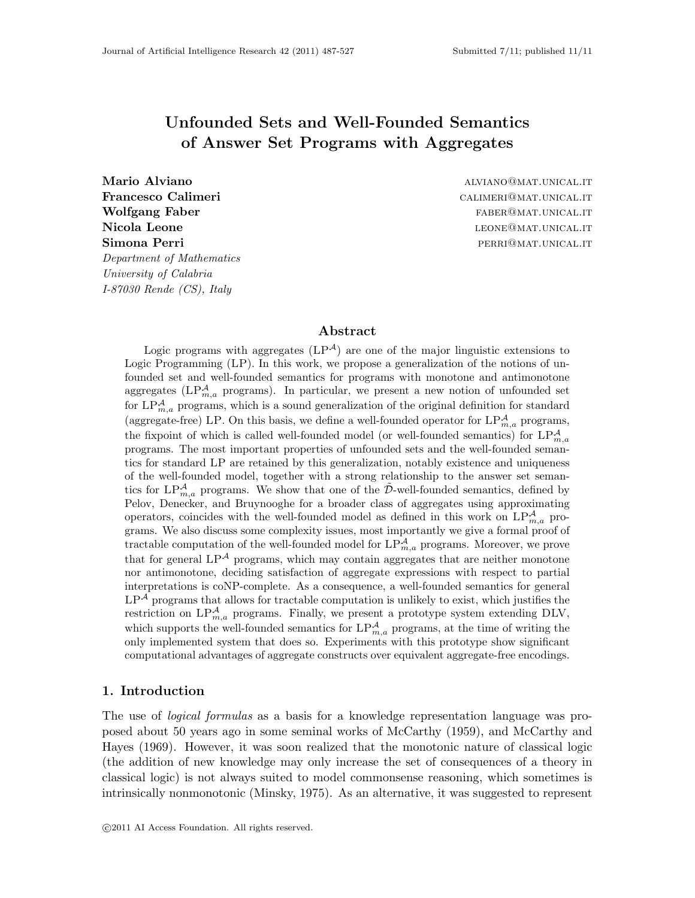# Unfounded Sets and Well-Founded Semantics of Answer Set Programs with Aggregates

*Department of Mathematics University of Calabria I-87030 Rende (CS), Italy*

Mario Alviano aliantificati di matematika alian-alay kaominina aliana aliana aliana aliana aliana aliana alian Francesco Calimeri calimeteri calimeteri calimeteri calimeteri calimeteri calimeteri calimeteri calimeteri cali Wolfgang Faber **faber faber faber faber faber faber faber faber faber faber faber faber faber faber faber faber faber faber faber faber faber faber faber faber faber faber** Nicola Leone letters and the left of the left of the left of the left of the left of the left of the left of the left of the left of the left of the left of the left of the left of the left of the left of the left of the l Simona Perri **perri perri perri perri perri perri perri perri perri perri perri perri per**ri per

### Abstract

Logic programs with aggregates  $(LP^{\mathcal{A}})$  are one of the major linguistic extensions to Logic Programming (LP). In this work, we propose a generalization of the notions of unfounded set and well-founded semantics for programs with monotone and antimonotone aggregates ( $\text{LP}_{m,a}^{\mathcal{A}}$  programs). In particular, we present a new notion of unfounded set for  $LP_{m,a}^{\mathcal{A}}$  programs, which is a sound generalization of the original definition for standard (aggregate-free) LP. On this basis, we define a well-founded operator for  $LP^{\mathcal{A}}_{m,a}$  programs, the fixpoint of which is called well-founded model (or well-founded semantics) for  $LP^{\mathcal{A}}_{m,a}$ programs. The most important properties of unfounded sets and the well-founded semantics for standard LP are retained by this generalization, notably existence and uniqueness of the well-founded model, together with a strong relationship to the answer set semantics for  $LP_{m,a}^{\mathcal{A}}$  programs. We show that one of the  $\tilde{\mathcal{D}}$ -well-founded semantics, defined by Pelov, Denecker, and Bruynooghe for a broader class of aggregates using approximating operators, coincides with the well-founded model as defined in this work on  $LP_{m,a}^{\mathcal{A}}$  programs. We also discuss some complexity issues, most importantly we give a formal proof of tractable computation of the well-founded model for  $LP^{\mathcal{A}}_{m,a}$  programs. Moreover, we prove that for general  $LP^{\mathcal{A}}$  programs, which may contain aggregates that are neither monotone nor antimonotone, deciding satisfaction of aggregate expressions with respect to partial interpretations is coNP-complete. As a consequence, a well-founded semantics for general  $LP<sup>A</sup>$  programs that allows for tractable computation is unlikely to exist, which justifies the restriction on  $LP_{m,a}^{\mathcal{A}}$  programs. Finally, we present a prototype system extending DLV, which supports the well-founded semantics for  $LP^{\mathcal{A}}_{m,a}$  programs, at the time of writing the only implemented system that does so. Experiments with this prototype show significant computational advantages of aggregate constructs over equivalent aggregate-free encodings.

### 1. Introduction

The use of *logical formulas* as a basis for a knowledge representation language was proposed about 50 years ago in some seminal works of McCarthy (1959), and McCarthy and Hayes (1969). However, it was soon realized that the monotonic nature of classical logic (the addition of new knowledge may only increase the set of consequences of a theory in classical logic) is not always suited to model commonsense reasoning, which sometimes is intrinsically nonmonotonic (Minsky, 1975). As an alternative, it was suggested to represent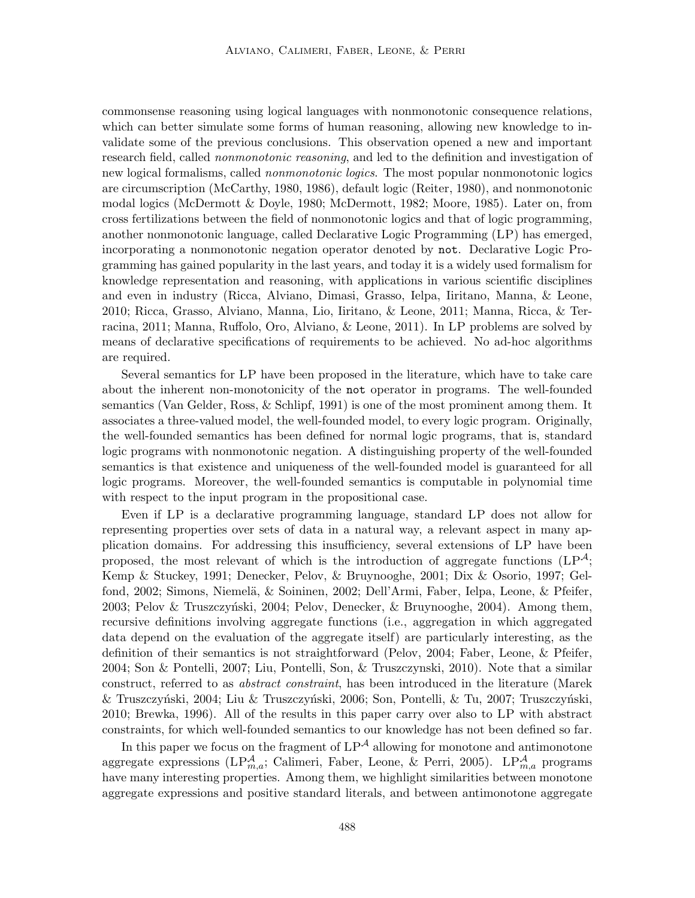commonsense reasoning using logical languages with nonmonotonic consequence relations, which can better simulate some forms of human reasoning, allowing new knowledge to invalidate some of the previous conclusions. This observation opened a new and important research field, called *nonmonotonic reasoning*, and led to the definition and investigation of new logical formalisms, called *nonmonotonic logics*. The most popular nonmonotonic logics are circumscription (McCarthy, 1980, 1986), default logic (Reiter, 1980), and nonmonotonic modal logics (McDermott & Doyle, 1980; McDermott, 1982; Moore, 1985). Later on, from cross fertilizations between the field of nonmonotonic logics and that of logic programming, another nonmonotonic language, called Declarative Logic Programming (LP) has emerged, incorporating a nonmonotonic negation operator denoted by not. Declarative Logic Programming has gained popularity in the last years, and today it is a widely used formalism for knowledge representation and reasoning, with applications in various scientific disciplines and even in industry (Ricca, Alviano, Dimasi, Grasso, Ielpa, Iiritano, Manna, & Leone, 2010; Ricca, Grasso, Alviano, Manna, Lio, Iiritano, & Leone, 2011; Manna, Ricca, & Terracina, 2011; Manna, Ruffolo, Oro, Alviano, & Leone, 2011). In LP problems are solved by means of declarative specifications of requirements to be achieved. No ad-hoc algorithms are required.

Several semantics for LP have been proposed in the literature, which have to take care about the inherent non-monotonicity of the not operator in programs. The well-founded semantics (Van Gelder, Ross, & Schlipf, 1991) is one of the most prominent among them. It associates a three-valued model, the well-founded model, to every logic program. Originally, the well-founded semantics has been defined for normal logic programs, that is, standard logic programs with nonmonotonic negation. A distinguishing property of the well-founded semantics is that existence and uniqueness of the well-founded model is guaranteed for all logic programs. Moreover, the well-founded semantics is computable in polynomial time with respect to the input program in the propositional case.

Even if LP is a declarative programming language, standard LP does not allow for representing properties over sets of data in a natural way, a relevant aspect in many application domains. For addressing this insufficiency, several extensions of LP have been proposed, the most relevant of which is the introduction of aggregate functions  $(LP^{\mathcal{A}};$ Kemp & Stuckey, 1991; Denecker, Pelov, & Bruynooghe, 2001; Dix & Osorio, 1997; Gelfond, 2002; Simons, Niemelä, & Soininen, 2002; Dell'Armi, Faber, Ielpa, Leone, & Pfeifer, 2003; Pelov & Truszczyński, 2004; Pelov, Denecker, & Bruynooghe, 2004). Among them, recursive definitions involving aggregate functions (i.e., aggregation in which aggregated data depend on the evaluation of the aggregate itself) are particularly interesting, as the definition of their semantics is not straightforward (Pelov, 2004; Faber, Leone, & Pfeifer, 2004; Son & Pontelli, 2007; Liu, Pontelli, Son, & Truszczynski, 2010). Note that a similar construct, referred to as *abstract constraint*, has been introduced in the literature (Marek  $\&$  Truszczyński, 2004; Liu  $\&$  Truszczyński, 2006; Son, Pontelli,  $\&$  Tu, 2007; Truszczyński, 2010; Brewka, 1996). All of the results in this paper carry over also to LP with abstract constraints, for which well-founded semantics to our knowledge has not been defined so far.

In this paper we focus on the fragment of  $LP^{\mathcal{A}}$  allowing for monotone and antimonotone aggregate expressions (LP $_{m,a}^{\mathcal{A}}$ ; Calimeri, Faber, Leone, & Perri, 2005). LP $_{m,a}^{\mathcal{A}}$  programs have many interesting properties. Among them, we highlight similarities between monotone aggregate expressions and positive standard literals, and between antimonotone aggregate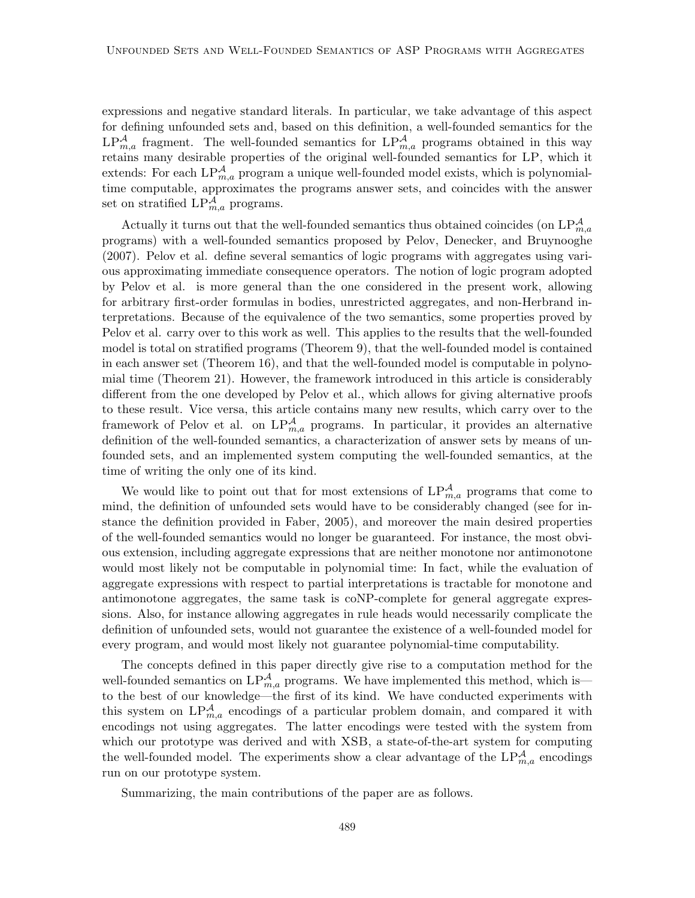expressions and negative standard literals. In particular, we take advantage of this aspect for defining unfounded sets and, based on this definition, a well-founded semantics for the  $LP_{m,a}^{\mathcal{A}}$  fragment. The well-founded semantics for  $LP_{m,a}^{\mathcal{A}}$  programs obtained in this way retains many desirable properties of the original well-founded semantics for LP, which it extends: For each  $LP_{m,a}^{\mathcal{A}}$  program a unique well-founded model exists, which is polynomialtime computable, approximates the programs answer sets, and coincides with the answer set on stratified  $LP_{m,a}^{\mathcal{A}}$  programs.

Actually it turns out that the well-founded semantics thus obtained coincides (on  $\text{LP}_{m,a}^{\mathcal{A}}$ programs) with a well-founded semantics proposed by Pelov, Denecker, and Bruynooghe (2007). Pelov et al. define several semantics of logic programs with aggregates using various approximating immediate consequence operators. The notion of logic program adopted by Pelov et al. is more general than the one considered in the present work, allowing for arbitrary first-order formulas in bodies, unrestricted aggregates, and non-Herbrand interpretations. Because of the equivalence of the two semantics, some properties proved by Pelov et al. carry over to this work as well. This applies to the results that the well-founded model is total on stratified programs (Theorem 9), that the well-founded model is contained in each answer set (Theorem 16), and that the well-founded model is computable in polynomial time (Theorem 21). However, the framework introduced in this article is considerably different from the one developed by Pelov et al., which allows for giving alternative proofs to these result. Vice versa, this article contains many new results, which carry over to the framework of Pelov et al. on  $LP_{m,a}^{\mathcal{A}}$  programs. In particular, it provides an alternative definition of the well-founded semantics, a characterization of answer sets by means of unfounded sets, and an implemented system computing the well-founded semantics, at the time of writing the only one of its kind.

We would like to point out that for most extensions of  $LP_{m,a}^{\mathcal{A}}$  programs that come to mind, the definition of unfounded sets would have to be considerably changed (see for instance the definition provided in Faber, 2005), and moreover the main desired properties of the well-founded semantics would no longer be guaranteed. For instance, the most obvious extension, including aggregate expressions that are neither monotone nor antimonotone would most likely not be computable in polynomial time: In fact, while the evaluation of aggregate expressions with respect to partial interpretations is tractable for monotone and antimonotone aggregates, the same task is coNP-complete for general aggregate expressions. Also, for instance allowing aggregates in rule heads would necessarily complicate the definition of unfounded sets, would not guarantee the existence of a well-founded model for every program, and would most likely not guarantee polynomial-time computability.

The concepts defined in this paper directly give rise to a computation method for the well-founded semantics on  $LP^{\mathcal{A}}_{m,a}$  programs. We have implemented this method, which is to the best of our knowledge—the first of its kind. We have conducted experiments with this system on  $LP_{m,a}^{\mathcal{A}}$  encodings of a particular problem domain, and compared it with encodings not using aggregates. The latter encodings were tested with the system from which our prototype was derived and with XSB, a state-of-the-art system for computing the well-founded model. The experiments show a clear advantage of the  $LP_{m,a}^{\mathcal{A}}$  encodings run on our prototype system.

Summarizing, the main contributions of the paper are as follows.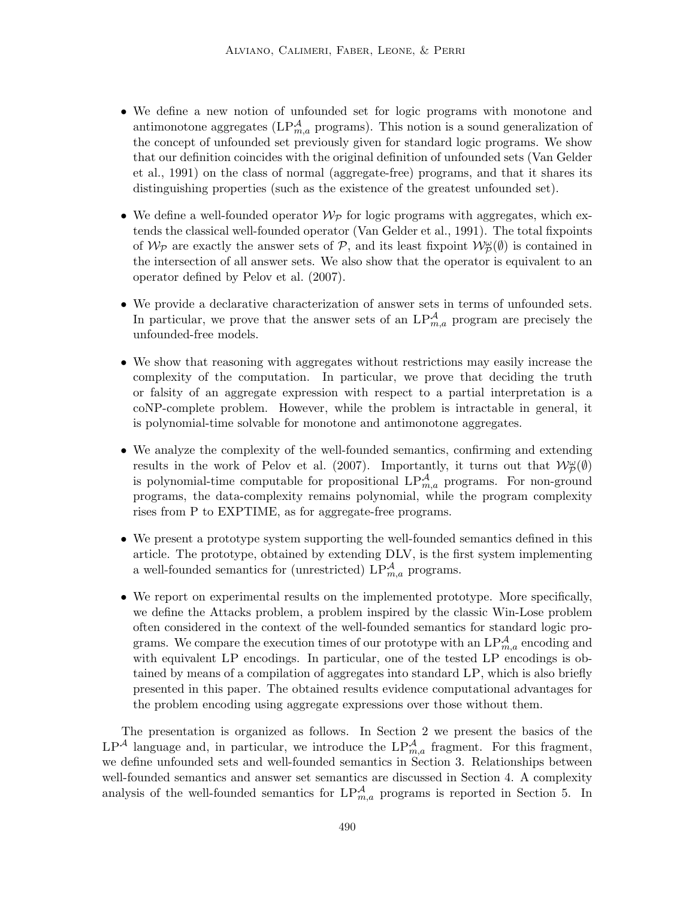- We define a new notion of unfounded set for logic programs with monotone and antimonotone aggregates ( $LP_{m,a}^{\mathcal{A}}$  programs). This notion is a sound generalization of the concept of unfounded set previously given for standard logic programs. We show that our definition coincides with the original definition of unfounded sets (Van Gelder et al., 1991) on the class of normal (aggregate-free) programs, and that it shares its distinguishing properties (such as the existence of the greatest unfounded set).
- We define a well-founded operator  $W_{\mathcal{P}}$  for logic programs with aggregates, which extends the classical well-founded operator (Van Gelder et al., 1991). The total fixpoints of  $\mathcal{W}_{\mathcal{P}}$  are exactly the answer sets of  $\mathcal{P}$ , and its least fixpoint  $\mathcal{W}_{\mathcal{P}}^{\omega}(\emptyset)$  is contained in the intersection of all answer sets. We also show that the operator is equivalent to an operator defined by Pelov et al. (2007).
- We provide a declarative characterization of answer sets in terms of unfounded sets. In particular, we prove that the answer sets of an  $LP_{m,a}^{\mathcal{A}}$  program are precisely the unfounded-free models.
- We show that reasoning with aggregates without restrictions may easily increase the complexity of the computation. In particular, we prove that deciding the truth or falsity of an aggregate expression with respect to a partial interpretation is a coNP-complete problem. However, while the problem is intractable in general, it is polynomial-time solvable for monotone and antimonotone aggregates.
- We analyze the complexity of the well-founded semantics, confirming and extending results in the work of Pelov et al. (2007). Importantly, it turns out that  $\mathcal{W}_{\mathcal{P}}^{\omega}(\emptyset)$ is polynomial-time computable for propositional  $LP_{m,a}^{\mathcal{A}}$  programs. For non-ground programs, the data-complexity remains polynomial, while the program complexity rises from P to EXPTIME, as for aggregate-free programs.
- We present a prototype system supporting the well-founded semantics defined in this article. The prototype, obtained by extending DLV, is the first system implementing a well-founded semantics for (unrestricted)  $\text{LP}_{m,a}^{\mathcal{A}}$  programs.
- We report on experimental results on the implemented prototype. More specifically, we define the Attacks problem, a problem inspired by the classic Win-Lose problem often considered in the context of the well-founded semantics for standard logic programs. We compare the execution times of our prototype with an  $LP^{\mathcal{A}}_{m,a}$  encoding and with equivalent LP encodings. In particular, one of the tested LP encodings is obtained by means of a compilation of aggregates into standard LP, which is also briefly presented in this paper. The obtained results evidence computational advantages for the problem encoding using aggregate expressions over those without them.

The presentation is organized as follows. In Section 2 we present the basics of the  $LP^{\mathcal{A}}$  language and, in particular, we introduce the  $LP_{m,a}^{\mathcal{A}}$  fragment. For this fragment, we define unfounded sets and well-founded semantics in Section 3. Relationships between well-founded semantics and answer set semantics are discussed in Section 4. A complexity analysis of the well-founded semantics for  $LP^{\mathcal{A}}_{m,a}$  programs is reported in Section 5. In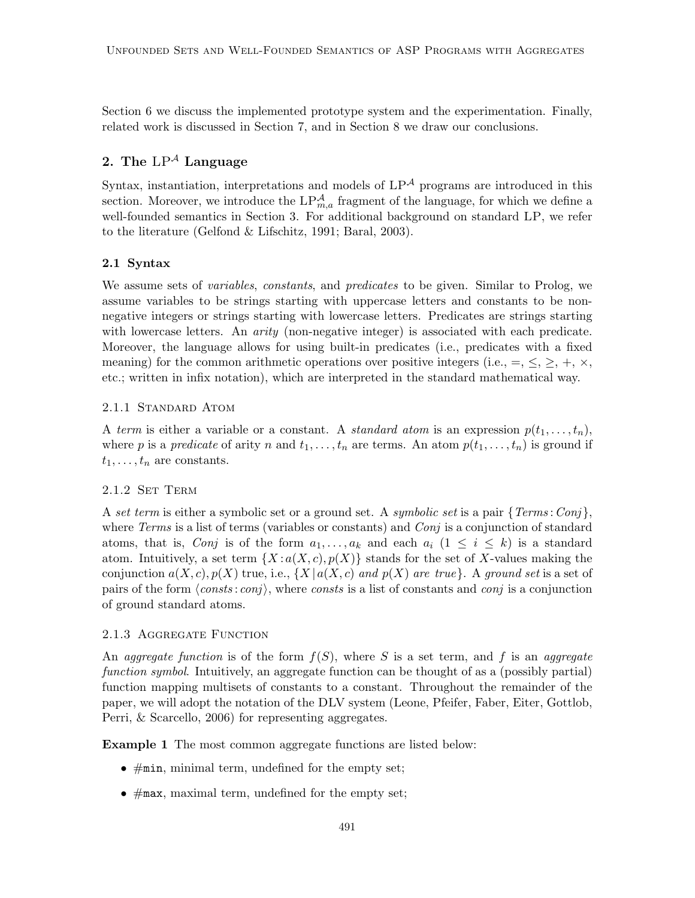Section 6 we discuss the implemented prototype system and the experimentation. Finally, related work is discussed in Section 7, and in Section 8 we draw our conclusions.

# 2. The  $LP^{\mathcal{A}}$  Language

Syntax, instantiation, interpretations and models of  $LP^{\mathcal{A}}$  programs are introduced in this section. Moreover, we introduce the  $LP_{m,a}^{\mathcal{A}}$  fragment of the language, for which we define a well-founded semantics in Section 3. For additional background on standard LP, we refer to the literature (Gelfond & Lifschitz, 1991; Baral, 2003).

### 2.1 Syntax

We assume sets of *variables*, *constants*, and *predicates* to be given. Similar to Prolog, we assume variables to be strings starting with uppercase letters and constants to be nonnegative integers or strings starting with lowercase letters. Predicates are strings starting with lowercase letters. An *arity* (non-negative integer) is associated with each predicate. Moreover, the language allows for using built-in predicates (i.e., predicates with a fixed meaning) for the common arithmetic operations over positive integers (i.e.,  $=$ ,  $\leq$ ,  $\geq$ ,  $+$ ,  $\times$ , etc.; written in infix notation), which are interpreted in the standard mathematical way.

### 2.1.1 Standard Atom

A *term* is either a variable or a constant. A *standard atom* is an expression  $p(t_1, \ldots, t_n)$ , where p is a *predicate* of arity n and  $t_1, \ldots, t_n$  are terms. An atom  $p(t_1, \ldots, t_n)$  is ground if  $t_1, \ldots, t_n$  are constants.

## 2.1.2 Set Term

A *set term* is either a symbolic set or a ground set. A *symbolic set* is a pair {*Terms* :*Conj* }, where *Terms* is a list of terms (variables or constants) and *Conj* is a conjunction of standard atoms, that is, *Conj* is of the form  $a_1, \ldots, a_k$  and each  $a_i$   $(1 \leq i \leq k)$  is a standard atom. Intuitively, a set term  $\{X : a(X, c), p(X)\}$  stands for the set of X-values making the conjunction  $a(X, c), p(X)$  true, i.e.,  $\{X \mid a(X, c) \text{ and } p(X) \text{ are true}\}.$  A *ground set* is a set of pairs of the form  $\langle consts : conj \rangle$ , where *consts* is a list of constants and *conj* is a conjunction of ground standard atoms.

## 2.1.3 AGGREGATE FUNCTION

An *aggregate function* is of the form  $f(S)$ , where S is a set term, and f is an *aggregate function symbol*. Intuitively, an aggregate function can be thought of as a (possibly partial) function mapping multisets of constants to a constant. Throughout the remainder of the paper, we will adopt the notation of the DLV system (Leone, Pfeifer, Faber, Eiter, Gottlob, Perri, & Scarcello, 2006) for representing aggregates.

Example 1 The most common aggregate functions are listed below:

- $\bullet$  #min, minimal term, undefined for the empty set;
- $\bullet$  #max, maximal term, undefined for the empty set;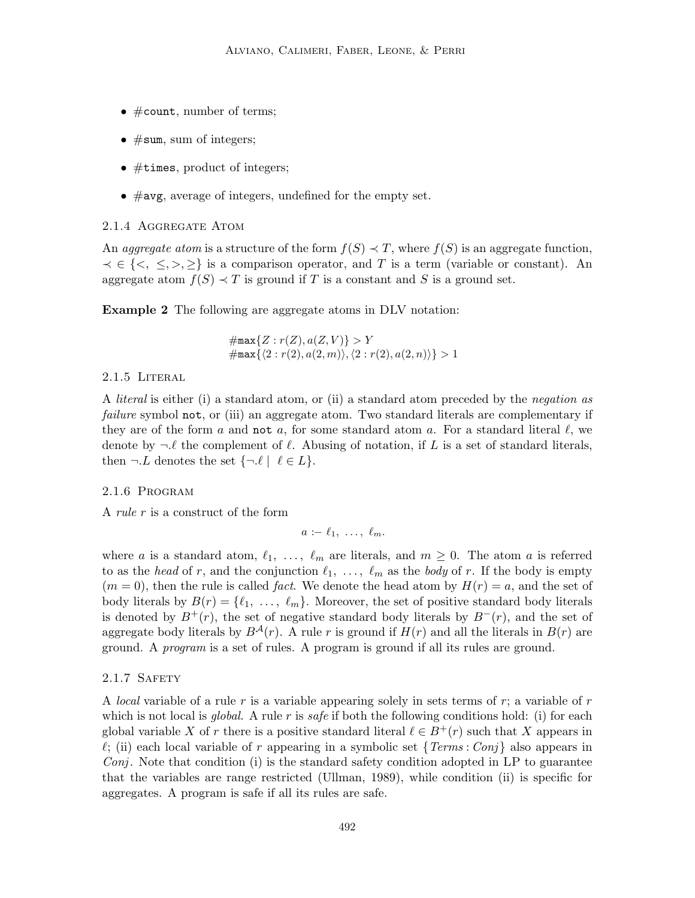- #count, number of terms;
- $#sum$ , sum of integers;
- #times, product of integers;
- $\bullet$  #avg, average of integers, undefined for the empty set.

#### 2.1.4 Aggregate Atom

An *aggregate atom* is a structure of the form  $f(S) \prec T$ , where  $f(S)$  is an aggregate function,  $\prec \in \{\langle \rangle, \leq, \rangle, \geq \}$  is a comparison operator, and T is a term (variable or constant). An aggregate atom  $f(S) \prec T$  is ground if T is a constant and S is a ground set.

Example 2 The following are aggregate atoms in DLV notation:

 $\#\mathtt{max}\{Z:r(Z),a(Z,V)\}>Y$  $\#\mathtt{max}\{\langle 2 : r(2), a(2, m)\rangle, \langle 2 : r(2), a(2, n)\rangle\} > 1$ 

### 2.1.5 Literal

A *literal* is either (i) a standard atom, or (ii) a standard atom preceded by the *negation as failure* symbol not, or (iii) an aggregate atom. Two standard literals are complementary if they are of the form a and not a, for some standard atom a. For a standard literal  $\ell$ , we denote by  $\neg \ell$  the complement of  $\ell$ . Abusing of notation, if L is a set of standard literals, then  $\neg L$  denotes the set  $\{\neg \ell \mid \ell \in L\}.$ 

### 2.1.6 Program

A *rule* r is a construct of the form

$$
a:=\ell_1, \ldots, \ell_m.
$$

where a is a standard atom,  $\ell_1, \ldots, \ell_m$  are literals, and  $m \geq 0$ . The atom a is referred to as the *head* of r, and the conjunction  $\ell_1, \ldots, \ell_m$  as the *body* of r. If the body is empty  $(m = 0)$ , then the rule is called *fact*. We denote the head atom by  $H(r) = a$ , and the set of body literals by  $B(r) = \{ \ell_1, \ldots, \ell_m \}.$  Moreover, the set of positive standard body literals is denoted by  $B^+(r)$ , the set of negative standard body literals by  $B^-(r)$ , and the set of aggregate body literals by  $B^{A}(r)$ . A rule r is ground if  $H(r)$  and all the literals in  $B(r)$  are ground. A *program* is a set of rules. A program is ground if all its rules are ground.

### 2.1.7 SAFETY

A *local* variable of a rule r is a variable appearing solely in sets terms of r; a variable of r which is not local is *global*. A rule r is *safe* if both the following conditions hold: (i) for each global variable X of r there is a positive standard literal  $\ell \in B^+(r)$  such that X appears in  $\ell$ ; (ii) each local variable of r appearing in a symbolic set  $\{Terms: Conj\}$  also appears in *Conj*. Note that condition (i) is the standard safety condition adopted in LP to guarantee that the variables are range restricted (Ullman, 1989), while condition (ii) is specific for aggregates. A program is safe if all its rules are safe.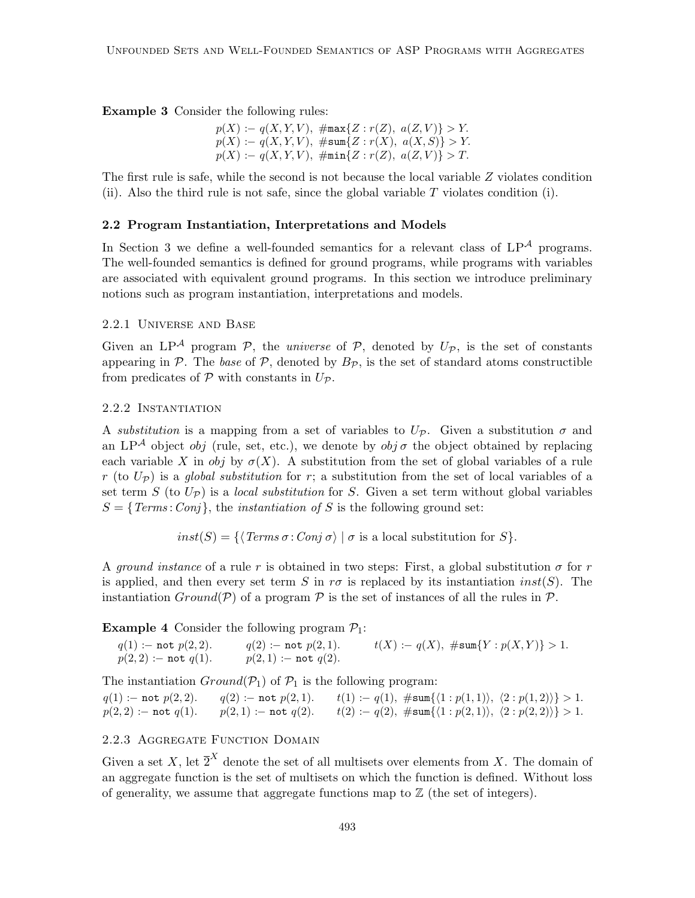Example 3 Consider the following rules:

$$
p(X) := q(X, Y, V), \ \#max\{Z : r(Z), \ a(Z, V)\} > Y.
$$
  

$$
p(X) := q(X, Y, V), \ \#sum\{Z : r(X), \ a(X, S)\} > Y.
$$
  

$$
p(X) := q(X, Y, V), \ \#min\{Z : r(Z), \ a(Z, V)\} > T.
$$

The first rule is safe, while the second is not because the local variable Z violates condition (ii). Also the third rule is not safe, since the global variable  $T$  violates condition (i).

### 2.2 Program Instantiation, Interpretations and Models

In Section 3 we define a well-founded semantics for a relevant class of  $LP^{\mathcal{A}}$  programs. The well-founded semantics is defined for ground programs, while programs with variables are associated with equivalent ground programs. In this section we introduce preliminary notions such as program instantiation, interpretations and models.

### 2.2.1 Universe and Base

Given an  $LP^{\mathcal{A}}$  program  $\mathcal{P}$ , the *universe* of  $\mathcal{P}$ , denoted by  $U_{\mathcal{P}}$ , is the set of constants appearing in  $P$ . The *base* of  $P$ , denoted by  $B_P$ , is the set of standard atoms constructible from predicates of  $P$  with constants in  $U_P$ .

### 2.2.2 Instantiation

A *substitution* is a mapping from a set of variables to  $U_{\mathcal{P}}$ . Given a substitution  $\sigma$  and an LP<sup>A</sup> object *obj* (rule, set, etc.), we denote by *obj*  $\sigma$  the object obtained by replacing each variable X in obj by  $\sigma(X)$ . A substitution from the set of global variables of a rule  $r$  (to  $U_{\mathcal{P}}$ ) is a *global substitution* for r; a substitution from the set of local variables of a set term S (to  $U_{\mathcal{P}}$ ) is a *local substitution* for S. Given a set term without global variables  $S = \{Terms: Conj\}$ , the *instantiation of* S is the following ground set:

 $inst(S) = \{ \langle Terms \sigma : Conj \sigma \rangle \mid \sigma \text{ is a local substitution for } S \}.$ 

A *ground instance* of a rule r is obtained in two steps: First, a global substitution  $\sigma$  for r is applied, and then every set term S in  $r\sigma$  is replaced by its instantiation  $inst(S)$ . The instantiation  $Ground(\mathcal{P})$  of a program  $\mathcal{P}$  is the set of instances of all the rules in  $\mathcal{P}$ .

**Example 4** Consider the following program  $P_1$ :

 $q(1) := \text{not } p(2, 2).$   $q(2) := \text{not } p(2, 1).$   $t(X) := q(X), \# \text{sum}\{Y : p(X, Y)\} > 1.$  $p(2, 2) := \text{not } q(1).$   $p(2, 1) := \text{not } q(2).$ 

The instantiation  $Ground(\mathcal{P}_1)$  of  $\mathcal{P}_1$  is the following program:

 $q(1)$  :− not  $p(2, 2)$ .  $q(2)$  :− not  $p(2, 1)$ . t(1) :−  $q(1)$ ,  $\# \text{sum} \{(1 : p(1, 1)\}, \{2 : p(1, 2)\}\} > 1$ .  $p(2, 2)$  :− not  $q(1)$ .  $p(2, 1)$  :− not  $q(2)$ .  $t(2)$  :−  $q(2)$ ,  $\# \text{sum}\{\langle 1 : p(2, 1)\rangle, \langle 2 : p(2, 2)\rangle\} > 1$ .

# 2.2.3 Aggregate Function Domain

Given a set X, let  $\overline{2}^X$  denote the set of all multisets over elements from X. The domain of an aggregate function is the set of multisets on which the function is defined. Without loss of generality, we assume that aggregate functions map to  $\mathbb Z$  (the set of integers).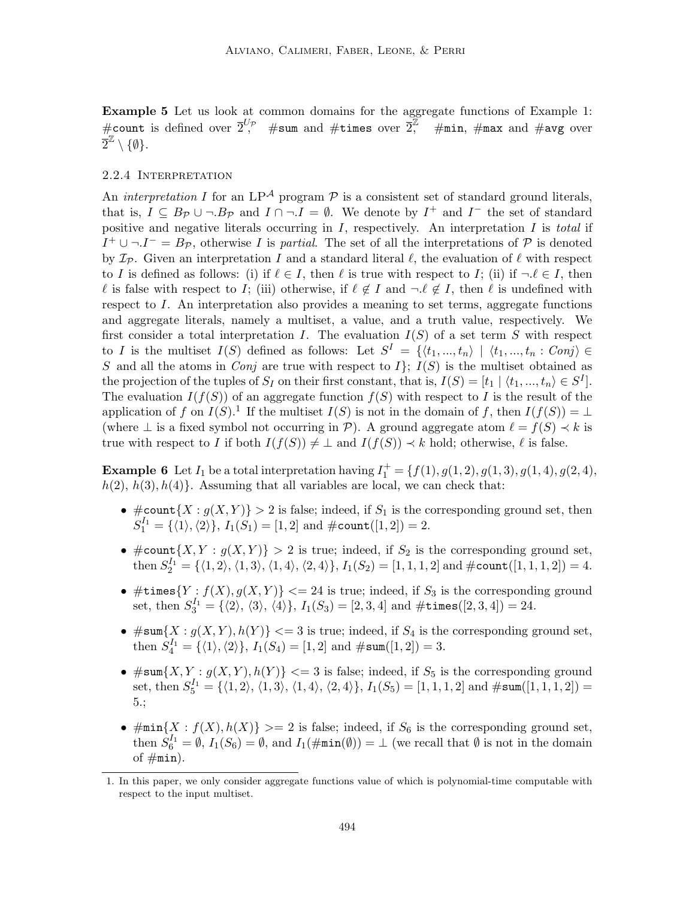Example 5 Let us look at common domains for the aggregate functions of Example 1: #count is defined over  $\overline{2}^{U_p}$  #sum and #times over  $\overline{2}^{U_p}$  $\#$ min,  $\#$ max and  $\#$ avg over  $\tilde{\overline{2}}^{\mathbb{Z}}\setminus\{\emptyset\}.$ 

### 2.2.4 Interpretation

An *interpretation* I for an  $LP^{\mathcal{A}}$  program  $\mathcal P$  is a consistent set of standard ground literals, that is,  $I \subseteq B_{\mathcal{P}} \cup \neg B_{\mathcal{P}}$  and  $I \cap \neg I = \emptyset$ . We denote by  $I^+$  and  $I^-$  the set of standard positive and negative literals occurring in I, respectively. An interpretation I is *total* if  $I^+ \cup \neg I^- = B_{\mathcal{P}}$ , otherwise I is *partial*. The set of all the interpretations of  $\mathcal P$  is denoted by  $\mathcal{I}_P$ . Given an interpretation I and a standard literal  $\ell$ , the evaluation of  $\ell$  with respect to I is defined as follows: (i) if  $\ell \in I$ , then  $\ell$  is true with respect to I; (ii) if  $\neg \ell \in I$ , then l is false with respect to I; (iii) otherwise, if  $\ell \notin I$  and  $\neg \ell \notin I$ , then  $\ell$  is undefined with respect to I. An interpretation also provides a meaning to set terms, aggregate functions and aggregate literals, namely a multiset, a value, and a truth value, respectively. We first consider a total interpretation I. The evaluation  $I(S)$  of a set term S with respect to I is the multiset  $I(S)$  defined as follows: Let  $S^I = \{ \langle t_1, ..., t_n \rangle \mid \langle t_1, ..., t_n : Conj \rangle \in$ S and all the atoms in *Conj* are true with respect to  $I$ ;  $I(S)$  is the multiset obtained as the projection of the tuples of  $S_I$  on their first constant, that is,  $I(S) = [t_1 | \langle t_1, ..., t_n \rangle \in S^I].$ The evaluation  $I(f(S))$  of an aggregate function  $f(S)$  with respect to I is the result of the application of f on  $I(S)$ .<sup>1</sup> If the multiset  $I(S)$  is not in the domain of f, then  $I(f(S)) = \bot$ (where  $\perp$  is a fixed symbol not occurring in  $\mathcal{P}$ ). A ground aggregate atom  $\ell = f(S) \prec k$  is true with respect to I if both  $I(f(S)) \neq \perp$  and  $I(f(S)) \prec k$  hold; otherwise,  $\ell$  is false.

**Example 6** Let  $I_1$  be a total interpretation having  $I_1^+ = \{f(1), g(1, 2), g(1, 3), g(1, 4), g(2, 4), g(3, 4)\}$  $h(2), h(3), h(4)$ . Assuming that all variables are local, we can check that:

- $\#\text{count}\{X : g(X,Y)\} > 2$  is false; indeed, if  $S_1$  is the corresponding ground set, then  $S_1^{I_1} = \{ \langle 1 \rangle, \langle 2 \rangle \}, I_1(S_1) = [1, 2] \text{ and } \#\text{count}([1, 2]) = 2.$
- $\#\text{count}\{X, Y : g(X, Y)\} > 2$  is true; indeed, if  $S_2$  is the corresponding ground set, then  $S_2^{I_1} = \{ \langle 1, 2 \rangle, \langle 1, 3 \rangle, \langle 1, 4 \rangle, \langle 2, 4 \rangle \}, I_1(S_2) = [1, 1, 1, 2]$  and  $\#\text{count}([1, 1, 1, 2]) = 4$ .
- $\bullet$  #times $\{Y : f(X), g(X, Y)\} <= 24$  is true; indeed, if  $S_3$  is the corresponding ground set, then  $S_3^{I_1} = \{ \langle 2 \rangle, \langle 3 \rangle, \langle 4 \rangle \}, I_1(S_3) = [2, 3, 4]$  and  $\# \texttt{times}([2, 3, 4]) = 24$ .
- $\#\texttt{sum}\{X : g(X, Y), h(Y)\} \leq 3$  is true; indeed, if  $S_4$  is the corresponding ground set, then  $S_4^{I_1} = {\langle 1 \rangle, \langle 2 \rangle}, I_1(S_4) = [1, 2]$  and  $\# \text{sum}([1, 2]) = 3.$
- $\#\text{sum}\{X,Y: g(X,Y), h(Y)\} \leq 3$  is false; indeed, if  $S_5$  is the corresponding ground set, then  $S_5^{I_1} = \{ \langle 1, 2 \rangle, \langle 1, 3 \rangle, \langle 1, 4 \rangle, \langle 2, 4 \rangle \}, I_1(S_5) = [1, 1, 1, 2]$  and  $\# \text{sum}([1, 1, 1, 2])$ 5.;
- $\#\min\{X : f(X), h(X)\} \geq 2$  is false; indeed, if  $S_6$  is the corresponding ground set, then  $S_6^{I_1} = \emptyset$ ,  $I_1(S_6) = \emptyset$ , and  $I_1(\text{#min}(\emptyset)) = \bot$  (we recall that  $\emptyset$  is not in the domain of  $\#min$ ).

<sup>1.</sup> In this paper, we only consider aggregate functions value of which is polynomial-time computable with respect to the input multiset.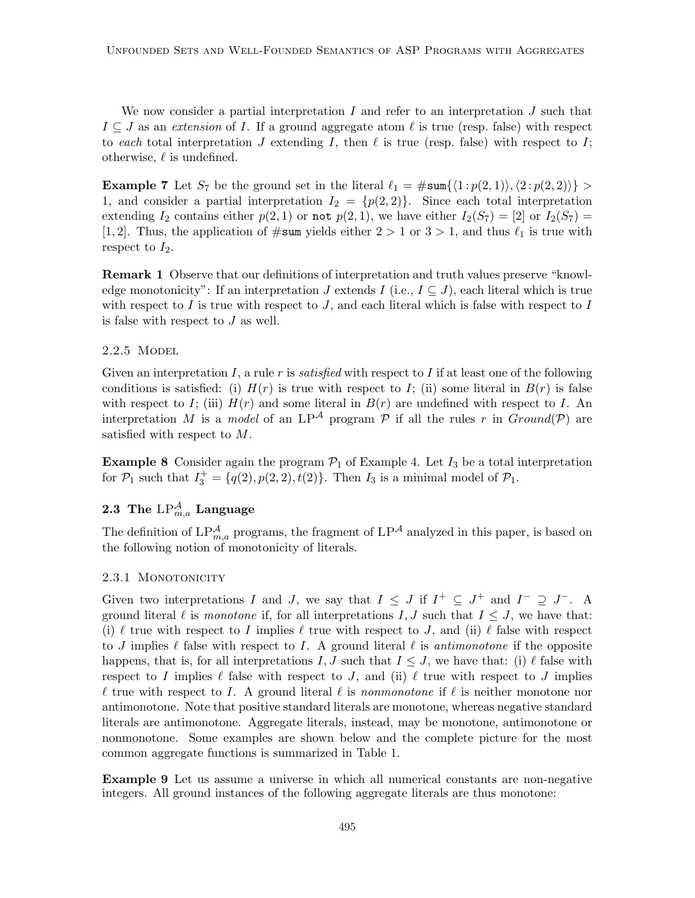We now consider a partial interpretation  $I$  and refer to an interpretation  $J$  such that  $I \subseteq J$  as an *extension* of I. If a ground aggregate atom  $\ell$  is true (resp. false) with respect to *each* total interpretation J extending I, then  $\ell$  is true (resp. false) with respect to I; otherwise,  $\ell$  is undefined.

**Example 7** Let  $S_7$  be the ground set in the literal  $\ell_1 = \#\text{sum}\{\langle 1 : p(2, 1)\rangle, \langle 2 : p(2, 2)\rangle\} >$ 1, and consider a partial interpretation  $I_2 = \{p(2, 2)\}\.$  Since each total interpretation extending  $I_2$  contains either  $p(2, 1)$  or not  $p(2, 1)$ , we have either  $I_2(S_7) = [2]$  or  $I_2(S_7) =$ [1, 2]. Thus, the application of  $\#\text{sum}$  yields either  $2 > 1$  or  $3 > 1$ , and thus  $\ell_1$  is true with respect to  $I_2$ .

Remark 1 Observe that our definitions of interpretation and truth values preserve "knowledge monotonicity": If an interpretation J extends I (i.e.,  $I \subseteq J$ ), each literal which is true with respect to  $I$  is true with respect to  $J$ , and each literal which is false with respect to  $I$ is false with respect to J as well.

### 2.2.5 MODEL

Given an interpretation I, a rule r is *satisfied* with respect to I if at least one of the following conditions is satisfied: (i)  $H(r)$  is true with respect to I; (ii) some literal in  $B(r)$  is false with respect to I; (iii)  $H(r)$  and some literal in  $B(r)$  are undefined with respect to I. An interpretation M is a *model* of an LP<sup>A</sup> program P if all the rules r in  $Ground(P)$  are satisfied with respect to M.

**Example 8** Consider again the program  $\mathcal{P}_1$  of Example 4. Let  $I_3$  be a total interpretation for  $P_1$  such that  $I_3^+ = \{q(2), p(2, 2), t(2)\}$ . Then  $I_3$  is a minimal model of  $P_1$ .

# ${\bf 2.3}\;$  The  ${\rm LP}_{m,a}^{\mathcal{A}}$  Language

The definition of  $LP_{m,a}^{\mathcal{A}}$  programs, the fragment of  $LP^{\mathcal{A}}$  analyzed in this paper, is based on the following notion of monotonicity of literals.

### 2.3.1 MONOTONICITY

Given two interpretations I and J, we say that  $I \leq J$  if  $I^+ \subseteq J^+$  and  $I^- \supseteq J^-$ . A ground literal  $\ell$  is *monotone* if, for all interpretations  $I, J$  such that  $I \leq J$ , we have that: (i)  $\ell$  true with respect to I implies  $\ell$  true with respect to J, and (ii)  $\ell$  false with respect to J implies  $\ell$  false with respect to I. A ground literal  $\ell$  is *antimonotone* if the opposite happens, that is, for all interpretations I, J such that  $I \leq J$ , we have that: (i)  $\ell$  false with respect to I implies  $\ell$  false with respect to J, and (ii)  $\ell$  true with respect to J implies  $\ell$  true with respect to I. A ground literal  $\ell$  is *nonmonotone* if  $\ell$  is neither monotone nor antimonotone. Note that positive standard literals are monotone, whereas negative standard literals are antimonotone. Aggregate literals, instead, may be monotone, antimonotone or nonmonotone. Some examples are shown below and the complete picture for the most common aggregate functions is summarized in Table 1.

Example 9 Let us assume a universe in which all numerical constants are non-negative integers. All ground instances of the following aggregate literals are thus monotone: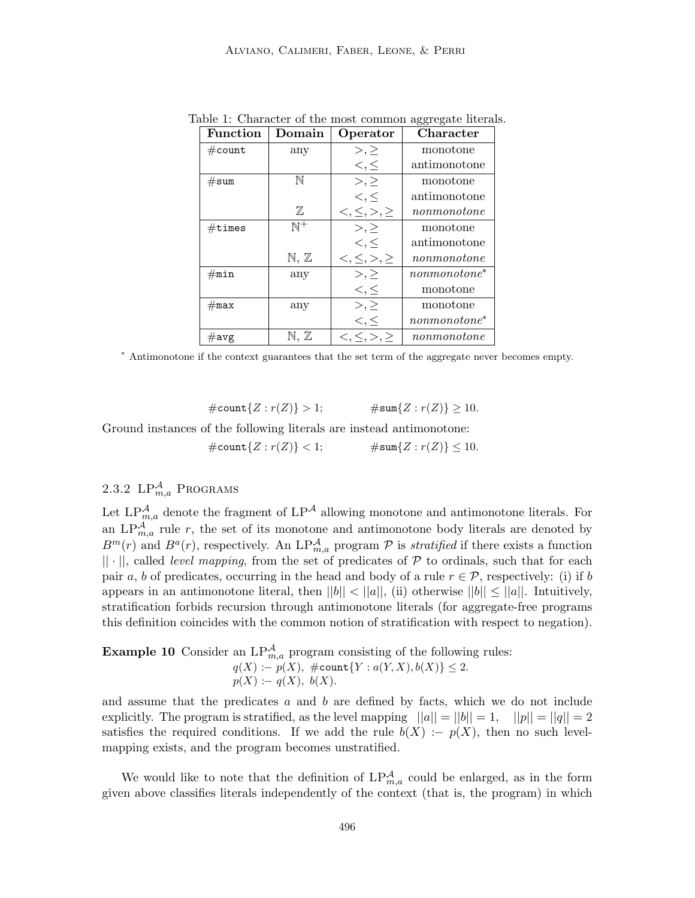| <b>Function</b>  | $\mathop{\mathrm{Domain}}$ | Operator                       | Character       |
|------------------|----------------------------|--------------------------------|-----------------|
| $\#\text{count}$ | any                        | $>,\geq$                       | monotone        |
|                  |                            | $\lt,$ , $\leq$                | antimonotone    |
| #sum             | $\mathbb N$                | $>,\geq$                       | monotone        |
|                  |                            | $\lt,$ , $\leq$                | antimonotone    |
|                  | $\mathbb{Z}$               | $\lt,$ , $\leq$ , $>$ , $\geq$ | nonmonotone     |
| $\#$ times       | $\mathbb{N}^+$             | $>,\geq$                       | monotone        |
|                  |                            | $\lt,$ , $\leq$                | antimonotone    |
|                  | $\mathbb{N}, \mathbb{Z}$   | $\lt,$ , $\leq$ , $>$ , $\geq$ | nonmonotone     |
| $\#\mathtt{min}$ | any                        | $>,\geq$                       | $nonmonotone^*$ |
|                  |                            | $\lt,$ , $\le$                 | monotone        |
| $\#max$          | any                        | $>,\geq$                       | monotone        |
|                  |                            | $\lt,$ , $\leq$                | $nonmonotone^*$ |
| $\#\text{avg}$   | $\mathbb{N},\, \mathbb{Z}$ | $<, \leq, >, \geq$             | nonmonotone     |

Table 1: Character of the most common aggregate literals.

<sup>∗</sup> Antimonotone if the context guarantees that the set term of the aggregate never becomes empty.

 $\#\text{count}\{Z : r(Z)\} > 1;$   $\#\text{sum}\{Z : r(Z)\} \ge 10.$ 

Ground instances of the following literals are instead antimonotone:  $\#\text{count}\{Z : r(Z)\} < 1; \qquad \qquad \#\text{sum}\{Z : r(Z)\} < 10.$ 

# 2.3.2  $LP^{\mathcal{A}}_{m,a}$  Programs

Let  $LP_{m,a}^{\mathcal{A}}$  denote the fragment of  $LP^{\mathcal{A}}$  allowing monotone and antimonotone literals. For an  $LP_{m,a}^{\mathcal{A}}$  rule r, the set of its monotone and antimonotone body literals are denoted by  $B^m(r)$  and  $B^a(r)$ , respectively. An  $LP^{\mathcal{A}}_{m,a}$  program  $\mathcal P$  is *stratified* if there exists a function  $|| \cdot ||$ , called *level mapping*, from the set of predicates of  $P$  to ordinals, such that for each pair a, b of predicates, occurring in the head and body of a rule  $r \in \mathcal{P}$ , respectively: (i) if b appears in an antimonotone literal, then  $||b|| < ||a||$ , (ii) otherwise  $||b|| \le ||a||$ . Intuitively, stratification forbids recursion through antimonotone literals (for aggregate-free programs this definition coincides with the common notion of stratification with respect to negation).

**Example 10** Consider an  $LP_{m,a}^{\mathcal{A}}$  program consisting of the following rules:  $q(X) := p(X), \; \# \text{count}\{Y : a(Y, X), b(X)\} \leq 2.$  $p(X) := q(X), b(X).$ 

and assume that the predicates  $a$  and  $b$  are defined by facts, which we do not include explicitly. The program is stratified, as the level mapping  $||a|| = ||b|| = 1$ ,  $||p|| = ||q|| = 2$ satisfies the required conditions. If we add the rule  $b(X) := p(X)$ , then no such levelmapping exists, and the program becomes unstratified.

We would like to note that the definition of  $LP^{\mathcal{A}}_{m,a}$  could be enlarged, as in the form given above classifies literals independently of the context (that is, the program) in which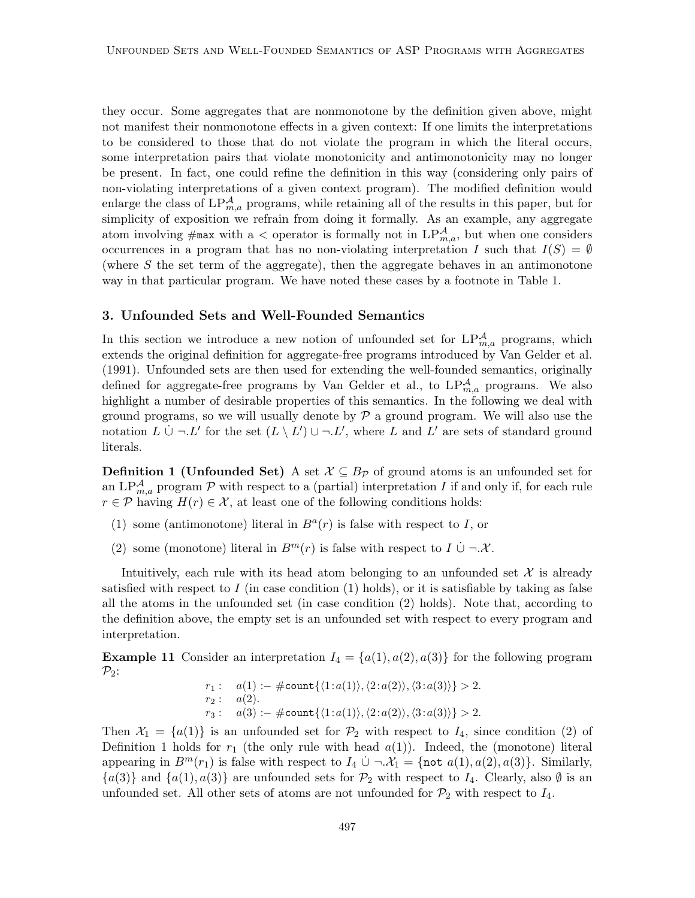they occur. Some aggregates that are nonmonotone by the definition given above, might not manifest their nonmonotone effects in a given context: If one limits the interpretations to be considered to those that do not violate the program in which the literal occurs, some interpretation pairs that violate monotonicity and antimonotonicity may no longer be present. In fact, one could refine the definition in this way (considering only pairs of non-violating interpretations of a given context program). The modified definition would enlarge the class of  $LP^{\mathcal{A}}_{m,a}$  programs, while retaining all of the results in this paper, but for simplicity of exposition we refrain from doing it formally. As an example, any aggregate atom involving  $\#\text{max}$  with a  $\lt$  operator is formally not in  $LP^{\mathcal{A}}_{m,a}$ , but when one considers occurrences in a program that has no non-violating interpretation I such that  $I(S) = \emptyset$ (where  $S$  the set term of the aggregate), then the aggregate behaves in an antimonotone way in that particular program. We have noted these cases by a footnote in Table 1.

### 3. Unfounded Sets and Well-Founded Semantics

In this section we introduce a new notion of unfounded set for  $LP_{m,a}^{\mathcal{A}}$  programs, which extends the original definition for aggregate-free programs introduced by Van Gelder et al. (1991). Unfounded sets are then used for extending the well-founded semantics, originally defined for aggregate-free programs by Van Gelder et al., to  $LP_{m,a}^{\mathcal{A}}$  programs. We also highlight a number of desirable properties of this semantics. In the following we deal with ground programs, so we will usually denote by  $\mathcal P$  a ground program. We will also use the notation  $L \cup \neg L'$  for the set  $(L \setminus L') \cup \neg L'$ , where L and L' are sets of standard ground literals.

**Definition 1 (Unfounded Set)** A set  $\mathcal{X} \subseteq B_{\mathcal{P}}$  of ground atoms is an unfounded set for an LP $_{m,a}^{\mathcal{A}}$  program P with respect to a (partial) interpretation I if and only if, for each rule  $r \in \mathcal{P}$  having  $H(r) \in \mathcal{X}$ , at least one of the following conditions holds:

- (1) some (antimonotone) literal in  $B<sup>a</sup>(r)$  is false with respect to I, or
- (2) some (monotone) literal in  $B^m(r)$  is false with respect to  $I \cup \neg \mathcal{X}$ .

Intuitively, each rule with its head atom belonging to an unfounded set  $\mathcal X$  is already satisfied with respect to  $I$  (in case condition (1) holds), or it is satisfiable by taking as false all the atoms in the unfounded set (in case condition (2) holds). Note that, according to the definition above, the empty set is an unfounded set with respect to every program and interpretation.

**Example 11** Consider an interpretation  $I_4 = \{a(1), a(2), a(3)\}\$  for the following program  $\mathcal{P}_2$ :

$$
r_1: a(1) := \# \text{count}\{\langle 1: a(1) \rangle, \langle 2: a(2) \rangle, \langle 3: a(3) \rangle\} > 2.
$$
  

$$
r_2: a(2).
$$
  

$$
r_3: a(3) := \# \text{count}\{\langle 1: a(1) \rangle, \langle 2: a(2) \rangle, \langle 3: a(3) \rangle\} > 2.
$$

Then  $\mathcal{X}_1 = \{a(1)\}\$ is an unfounded set for  $\mathcal{P}_2$  with respect to  $I_4$ , since condition (2) of Definition 1 holds for  $r_1$  (the only rule with head  $a(1)$ ). Indeed, the (monotone) literal appearing in  $B^m(r_1)$  is false with respect to  $I_4 \cup \neg \mathcal{X}_1 = \{ \text{not } a(1), a(2), a(3) \}.$  Similarly,  ${a(3)}$  and  ${a(1), a(3)}$  are unfounded sets for  $P_2$  with respect to  $I_4$ . Clearly, also  $\emptyset$  is an unfounded set. All other sets of atoms are not unfounded for  $\mathcal{P}_2$  with respect to  $I_4$ .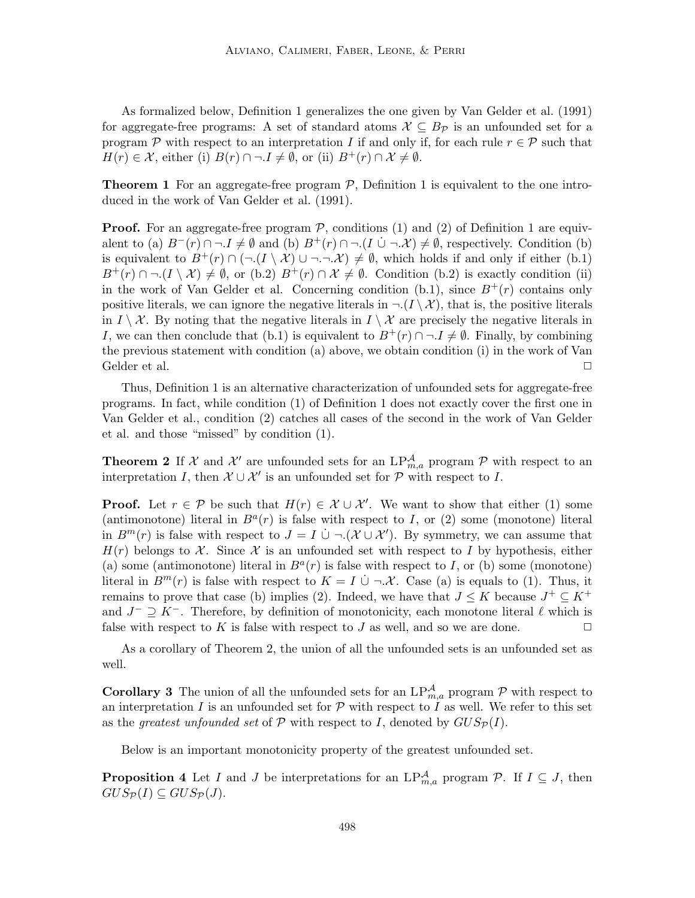As formalized below, Definition 1 generalizes the one given by Van Gelder et al. (1991) for aggregate-free programs: A set of standard atoms  $\mathcal{X} \subseteq B_{\mathcal{P}}$  is an unfounded set for a program P with respect to an interpretation I if and only if, for each rule  $r \in \mathcal{P}$  such that  $H(r) \in \mathcal{X}$ , either (i)  $B(r) \cap \neg I \neq \emptyset$ , or (ii)  $B^+(r) \cap \mathcal{X} \neq \emptyset$ .

**Theorem 1** For an aggregate-free program  $P$ , Definition 1 is equivalent to the one introduced in the work of Van Gelder et al. (1991).

**Proof.** For an aggregate-free program  $P$ , conditions (1) and (2) of Definition 1 are equivalent to (a)  $B^-(r) \cap \neg I \neq \emptyset$  and (b)  $B^+(r) \cap \neg (I \cup \neg X) \neq \emptyset$ , respectively. Condition (b) is equivalent to  $B^+(r) \cap (\neg (I \setminus \mathcal{X}) \cup \neg \neg \neg \mathcal{X}) \neq \emptyset$ , which holds if and only if either (b.1)  $B^+(r) \cap \neg (I \setminus \mathcal{X}) \neq \emptyset$ , or (b.2)  $B^+(r) \cap \mathcal{X} \neq \emptyset$ . Condition (b.2) is exactly condition (ii) in the work of Van Gelder et al. Concerning condition (b.1), since  $B^+(r)$  contains only positive literals, we can ignore the negative literals in  $\neg (I \setminus \mathcal{X})$ , that is, the positive literals in  $I \setminus \mathcal{X}$ . By noting that the negative literals in  $I \setminus \mathcal{X}$  are precisely the negative literals in I, we can then conclude that (b.1) is equivalent to  $B^+(r) \cap \neg I \neq \emptyset$ . Finally, by combining the previous statement with condition (a) above, we obtain condition (i) in the work of Van Gelder et al.  $\Box$ 

Thus, Definition 1 is an alternative characterization of unfounded sets for aggregate-free programs. In fact, while condition (1) of Definition 1 does not exactly cover the first one in Van Gelder et al., condition (2) catches all cases of the second in the work of Van Gelder et al. and those "missed" by condition (1).

**Theorem 2** If  $\mathcal{X}$  and  $\mathcal{X}'$  are unfounded sets for an  $LP_{m,a}^{\mathcal{A}}$  program  $\mathcal{P}$  with respect to an interpretation I, then  $\mathcal{X} \cup \mathcal{X}'$  is an unfounded set for  $\mathcal{P}$  with respect to I.

**Proof.** Let  $r \in \mathcal{P}$  be such that  $H(r) \in \mathcal{X} \cup \mathcal{X}'$ . We want to show that either (1) some (antimonotone) literal in  $B<sup>a</sup>(r)$  is false with respect to I, or (2) some (monotone) literal in  $B^m(r)$  is false with respect to  $J = I \cup \neg (\mathcal{X} \cup \mathcal{X}')$ . By symmetry, we can assume that  $H(r)$  belongs to X. Since X is an unfounded set with respect to I by hypothesis, either (a) some (antimonotone) literal in  $B<sup>a</sup>(r)$  is false with respect to I, or (b) some (monotone) literal in  $B^m(r)$  is false with respect to  $K = I \cup \neg \mathcal{X}$ . Case (a) is equals to (1). Thus, it remains to prove that case (b) implies (2). Indeed, we have that  $J \leq K$  because  $J^+ \subseteq K^+$ and  $J^{-} \supseteq K^{-}$ . Therefore, by definition of monotonicity, each monotone literal  $\ell$  which is false with respect to K is false with respect to J as well, and so we are done.  $\Box$ 

As a corollary of Theorem 2, the union of all the unfounded sets is an unfounded set as well.

**Corollary 3** The union of all the unfounded sets for an  $LP_{m,a}^{\mathcal{A}}$  program  $\mathcal{P}$  with respect to an interpretation I is an unfounded set for  $P$  with respect to I as well. We refer to this set as the *greatest unfounded set* of  $P$  with respect to I, denoted by  $GUS_{P}(I)$ .

Below is an important monotonicity property of the greatest unfounded set.

**Proposition 4** Let I and J be interpretations for an  $LP_{m,a}^{\mathcal{A}}$  program  $\mathcal{P}$ . If  $I \subseteq J$ , then  $GUS_{\mathcal{P}}(I) \subseteq GUS_{\mathcal{P}}(J).$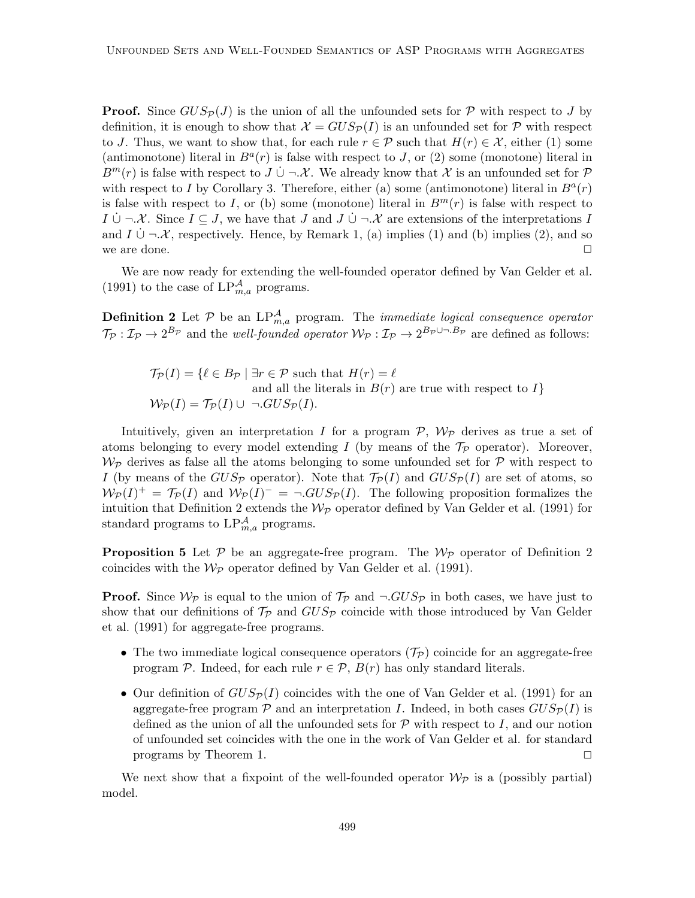**Proof.** Since  $GUS_{\mathcal{P}}(J)$  is the union of all the unfounded sets for  $\mathcal{P}$  with respect to J by definition, it is enough to show that  $\mathcal{X} = GUS_{\mathcal{P}}(I)$  is an unfounded set for  $\mathcal{P}$  with respect to J. Thus, we want to show that, for each rule  $r \in \mathcal{P}$  such that  $H(r) \in \mathcal{X}$ , either (1) some (antimonotone) literal in  $B<sup>a</sup>(r)$  is false with respect to J, or (2) some (monotone) literal in  $B^m(r)$  is false with respect to J  $\cup \neg \mathcal{X}$ . We already know that X is an unfounded set for P with respect to I by Corollary 3. Therefore, either (a) some (antimonotone) literal in  $B<sup>a</sup>(r)$ is false with respect to I, or (b) some (monotone) literal in  $B<sup>m</sup>(r)$  is false with respect to  $I \cup \neg \mathcal{X}$ . Since  $I \subseteq J$ , we have that J and  $J \cup \neg \mathcal{X}$  are extensions of the interpretations I and  $I \cup \neg \mathcal{X}$ , respectively. Hence, by Remark 1, (a) implies (1) and (b) implies (2), and so we are done.  $\Box$ 

We are now ready for extending the well-founded operator defined by Van Gelder et al. (1991) to the case of  $LP^{\mathcal{A}}_{m,a}$  programs.

**Definition 2** Let  $P$  be an  $LP_{m,a}^{\mathcal{A}}$  program. The *immediate logical consequence operator*  $\mathcal{T}_{\mathcal{P}}: \mathcal{I}_{\mathcal{P}} \to 2^{B_{\mathcal{P}}}$  and the *well-founded operator*  $\mathcal{W}_{\mathcal{P}}: \mathcal{I}_{\mathcal{P}} \to 2^{B_{\mathcal{P}} \cup \neg B_{\mathcal{P}}}$  are defined as follows:

$$
\mathcal{T}_{\mathcal{P}}(I) = \{ \ell \in B_{\mathcal{P}} \mid \exists r \in \mathcal{P} \text{ such that } H(r) = \ell
$$
  
and all the literals in  $B(r)$  are true with respect to  $I \}$   

$$
\mathcal{W}_{\mathcal{P}}(I) = \mathcal{T}_{\mathcal{P}}(I) \cup \neg .GUS_{\mathcal{P}}(I).
$$

Intuitively, given an interpretation I for a program  $P$ ,  $W_{\mathcal{P}}$  derives as true a set of atoms belonging to every model extending I (by means of the  $\mathcal{T}_P$  operator). Moreover,  $\mathcal{W}_{\mathcal{P}}$  derives as false all the atoms belonging to some unfounded set for  $\mathcal{P}$  with respect to I (by means of the  $GUS_{\mathcal{P}}$  operator). Note that  $\mathcal{T}_{\mathcal{P}}(I)$  and  $GUS_{\mathcal{P}}(I)$  are set of atoms, so  $W_P(I)^+ = \mathcal{T}_P(I)$  and  $W_P(I)^- = \neg . GUS_P(I)$ . The following proposition formalizes the intuition that Definition 2 extends the  $W_{\mathcal{P}}$  operator defined by Van Gelder et al. (1991) for standard programs to  $LP_{m,a}^{\mathcal{A}}$  programs.

**Proposition 5** Let  $P$  be an aggregate-free program. The  $W_P$  operator of Definition 2 coincides with the  $W_P$  operator defined by Van Gelder et al. (1991).

**Proof.** Since  $W_{\mathcal{P}}$  is equal to the union of  $\mathcal{T}_{\mathcal{P}}$  and  $\neg GUS_{\mathcal{P}}$  in both cases, we have just to show that our definitions of  $\mathcal{T}_P$  and  $GUS_P$  coincide with those introduced by Van Gelder et al. (1991) for aggregate-free programs.

- The two immediate logical consequence operators  $(\mathcal{T}_P)$  coincide for an aggregate-free program P. Indeed, for each rule  $r \in \mathcal{P}$ ,  $B(r)$  has only standard literals.
- Our definition of  $GUS_{\mathcal{P}}(I)$  coincides with the one of Van Gelder et al. (1991) for an aggregate-free program  $\mathcal P$  and an interpretation I. Indeed, in both cases  $GUS_{\mathcal P}(I)$  is defined as the union of all the unfounded sets for  $P$  with respect to I, and our notion of unfounded set coincides with the one in the work of Van Gelder et al. for standard programs by Theorem 1.  $\Box$

We next show that a fixpoint of the well-founded operator  $W_{\mathcal{P}}$  is a (possibly partial) model.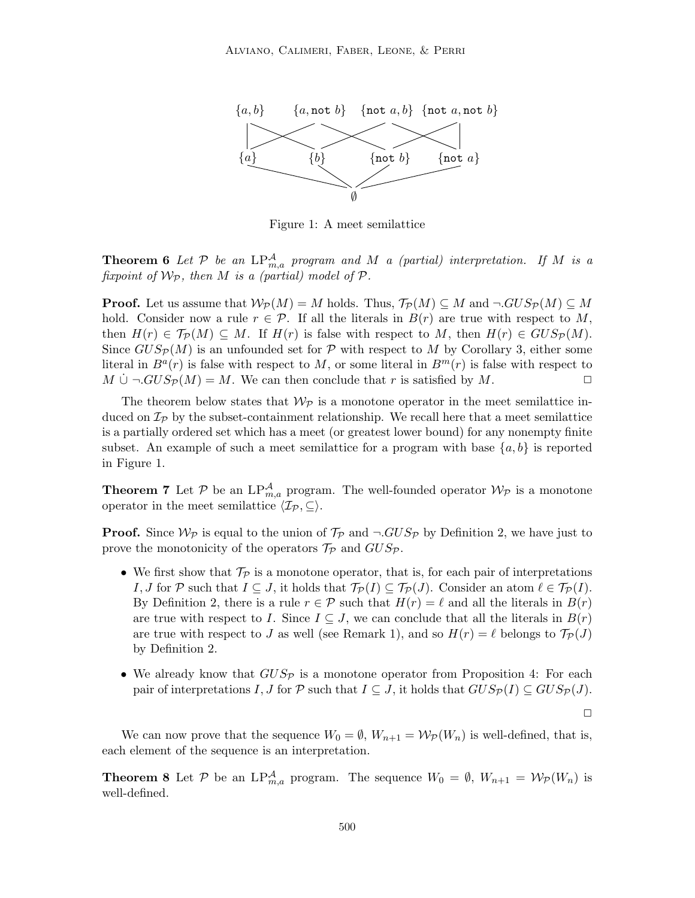

Figure 1: A meet semilattice

**Theorem 6** Let  $P$  be an  $LP_{m,a}^{\mathcal{A}}$  program and M a (partial) interpretation. If M is a *fixpoint of*  $W_P$ *, then M is a (partial) model of*  $P$ *.* 

**Proof.** Let us assume that  $W_{\mathcal{P}}(M) = M$  holds. Thus,  $\mathcal{T}_{\mathcal{P}}(M) \subseteq M$  and  $\neg GUS_{\mathcal{P}}(M) \subseteq M$ hold. Consider now a rule  $r \in \mathcal{P}$ . If all the literals in  $B(r)$  are true with respect to M, then  $H(r) \in \mathcal{T}_{\mathcal{P}}(M) \subseteq M$ . If  $H(r)$  is false with respect to M, then  $H(r) \in GUS_{\mathcal{P}}(M)$ . Since  $GUS_{\mathcal{P}}(M)$  is an unfounded set for  $\mathcal P$  with respect to M by Corollary 3, either some literal in  $B^{a}(r)$  is false with respect to M, or some literal in  $B^{m}(r)$  is false with respect to  $M \cup \neg GUS_{\mathcal{P}}(M) = M$ . We can then conclude that r is satisfied by M.

The theorem below states that  $\mathcal{W}_{\mathcal{P}}$  is a monotone operator in the meet semilattice induced on  $\mathcal{I}_P$  by the subset-containment relationship. We recall here that a meet semilattice is a partially ordered set which has a meet (or greatest lower bound) for any nonempty finite subset. An example of such a meet semilattice for a program with base  $\{a, b\}$  is reported in Figure 1.

**Theorem 7** Let  $P$  be an  $LP_{m,a}^{\mathcal{A}}$  program. The well-founded operator  $\mathcal{W}_{\mathcal{P}}$  is a monotone operator in the meet semilattice  $\langle \mathcal{I}_p, \subseteq \rangle$ .

**Proof.** Since  $W_{\mathcal{P}}$  is equal to the union of  $\mathcal{T}_{\mathcal{P}}$  and  $\neg GUS_{\mathcal{P}}$  by Definition 2, we have just to prove the monotonicity of the operators  $\mathcal{T}_{\mathcal{P}}$  and  $GUS_{\mathcal{P}}.$ 

- We first show that  $\mathcal{T}_{\mathcal{P}}$  is a monotone operator, that is, for each pair of interpretations I, J for P such that  $I \subseteq J$ , it holds that  $\mathcal{T}_{\mathcal{P}}(I) \subseteq \mathcal{T}_{\mathcal{P}}(J)$ . Consider an atom  $\ell \in \mathcal{T}_{\mathcal{P}}(I)$ . By Definition 2, there is a rule  $r \in \mathcal{P}$  such that  $H(r) = \ell$  and all the literals in  $B(r)$ are true with respect to I. Since  $I \subseteq J$ , we can conclude that all the literals in  $B(r)$ are true with respect to J as well (see Remark 1), and so  $H(r) = \ell$  belongs to  $\mathcal{T}_{\mathcal{P}}(J)$ by Definition 2.
- We already know that  $GUS_{\mathcal{P}}$  is a monotone operator from Proposition 4: For each pair of interpretations I, J for P such that  $I \subseteq J$ , it holds that  $GUS_{\mathcal{P}}(I) \subseteq GUS_{\mathcal{P}}(J)$ .

 $\Box$ 

We can now prove that the sequence  $W_0 = \emptyset$ ,  $W_{n+1} = \mathcal{W}_p(W_n)$  is well-defined, that is, each element of the sequence is an interpretation.

**Theorem 8** Let P be an LP $_{m,a}^A$  program. The sequence  $W_0 = \emptyset$ ,  $W_{n+1} = \mathcal{W}_p(W_n)$  is well-defined.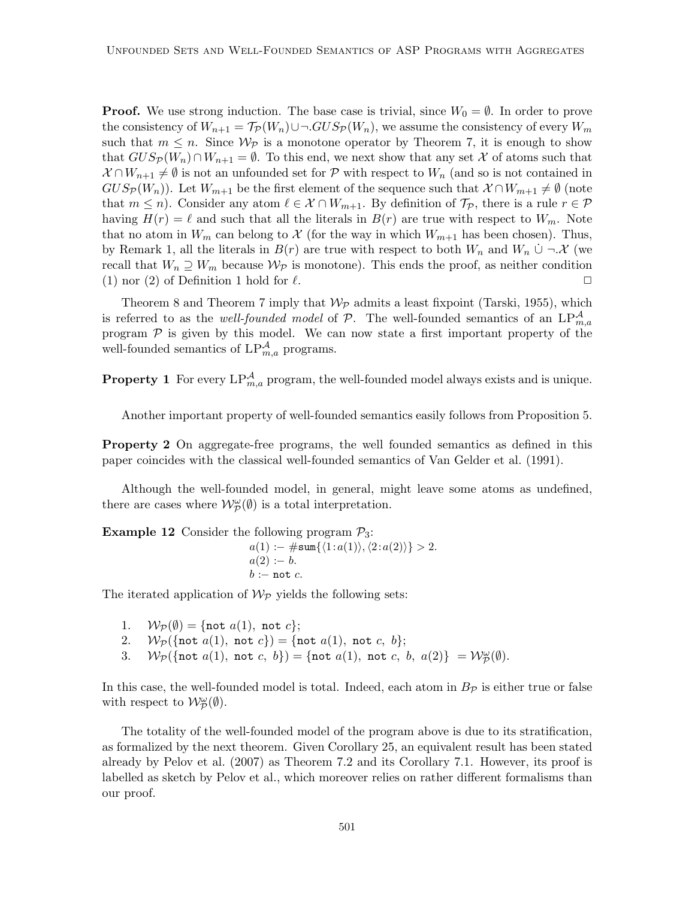**Proof.** We use strong induction. The base case is trivial, since  $W_0 = \emptyset$ . In order to prove the consistency of  $W_{n+1} = \mathcal{T}_{\mathcal{P}}(W_n) \cup \neg GUS_{\mathcal{P}}(W_n)$ , we assume the consistency of every  $W_m$ such that  $m \leq n$ . Since  $W_{\mathcal{P}}$  is a monotone operator by Theorem 7, it is enough to show that  $GUS_{\mathcal{P}}(W_n) \cap W_{n+1} = \emptyset$ . To this end, we next show that any set X of atoms such that  $X \cap W_{n+1} \neq \emptyset$  is not an unfounded set for P with respect to  $W_n$  (and so is not contained in  $GUS_{\mathcal{P}}(W_n)$ ). Let  $W_{m+1}$  be the first element of the sequence such that  $\mathcal{X} \cap W_{m+1} \neq \emptyset$  (note that  $m \leq n$ ). Consider any atom  $\ell \in \mathcal{X} \cap W_{m+1}$ . By definition of  $\mathcal{T}_{\mathcal{P}}$ , there is a rule  $r \in \mathcal{P}$ having  $H(r) = \ell$  and such that all the literals in  $B(r)$  are true with respect to  $W_m$ . Note that no atom in  $W_m$  can belong to X (for the way in which  $W_{m+1}$  has been chosen). Thus, by Remark 1, all the literals in  $B(r)$  are true with respect to both  $W_n$  and  $W_n \cup \neg \mathcal{X}$  (we recall that  $W_n \supseteq W_m$  because  $W_P$  is monotone). This ends the proof, as neither condition (1) nor (2) of Definition 1 hold for  $\ell$ .

Theorem 8 and Theorem 7 imply that  $W_{\mathcal{P}}$  admits a least fixpoint (Tarski, 1955), which is referred to as the *well-founded model* of  $P$ . The well-founded semantics of an  $LP_{m,a}^{\mathcal{A}}$ program  $P$  is given by this model. We can now state a first important property of the well-founded semantics of  $LP^{\mathcal{A}}_{m,a}$  programs.

**Property 1** For every  $LP_{m,a}^{\mathcal{A}}$  program, the well-founded model always exists and is unique.

Another important property of well-founded semantics easily follows from Proposition 5.

**Property 2** On aggregate-free programs, the well founded semantics as defined in this paper coincides with the classical well-founded semantics of Van Gelder et al. (1991).

Although the well-founded model, in general, might leave some atoms as undefined, there are cases where  $\mathcal{W}_{\mathcal{P}}^{\omega}(\emptyset)$  is a total interpretation.

**Example 12** Consider the following program  $P_3$ :

 $a(1) := \#\texttt{sum}\{\langle 1:a(1)\rangle,\langle 2:a(2)\rangle\} > 2.$  $a(2) := b.$  $b := \text{not } c$ .

The iterated application of  $\mathcal{W}_{\mathcal{P}}$  yields the following sets:

- 1.  $W_{\mathcal{P}}(\emptyset) = \{ \text{not } a(1), \text{ not } c \};$
- 2.  $W_{\mathcal{P}}(\{\text{not } a(1), \text{ not } c\}) = \{\text{not } a(1), \text{ not } c, b\};$
- 3.  $\mathcal{W}_{\mathcal{P}}(\{\texttt{not}\ a(1),\ \texttt{not}\ c,\ b\}) = \{\texttt{not}\ a(1),\ \texttt{not}\ c,\ b,\ a(2)\} = \mathcal{W}_{\mathcal{P}}^{\omega}(\emptyset).$

In this case, the well-founded model is total. Indeed, each atom in  $B_{\mathcal{P}}$  is either true or false with respect to  $\mathcal{W}_{\mathcal{P}}^{\omega}(\emptyset)$ .

The totality of the well-founded model of the program above is due to its stratification, as formalized by the next theorem. Given Corollary 25, an equivalent result has been stated already by Pelov et al. (2007) as Theorem 7.2 and its Corollary 7.1. However, its proof is labelled as sketch by Pelov et al., which moreover relies on rather different formalisms than our proof.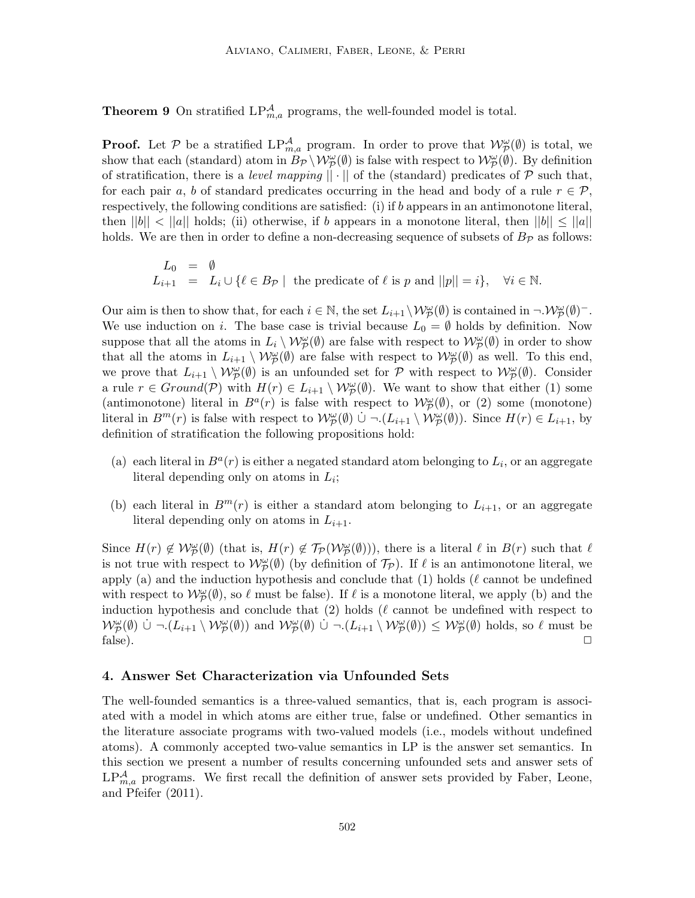**Theorem 9** On stratified  $LP_{m,a}^{\mathcal{A}}$  programs, the well-founded model is total.

**Proof.** Let  $P$  be a stratified  $LP_{m,a}^{\mathcal{A}}$  program. In order to prove that  $\mathcal{W}_{\mathcal{P}}^{\omega}(\emptyset)$  is total, we show that each (standard) atom in  $B_{\mathcal{P}} \setminus \mathcal{W}_{\mathcal{P}}^{\omega}(\emptyset)$  is false with respect to  $\mathcal{W}_{\mathcal{P}}^{\omega}(\emptyset)$ . By definition of stratification, there is a *level mapping*  $|| \cdot ||$  of the (standard) predicates of  $P$  such that, for each pair a, b of standard predicates occurring in the head and body of a rule  $r \in \mathcal{P}$ , respectively, the following conditions are satisfied: (i) if b appears in an antimonotone literal, then  $||b|| < ||a||$  holds; (ii) otherwise, if b appears in a monotone literal, then  $||b|| \le ||a||$ holds. We are then in order to define a non-decreasing sequence of subsets of  $B_p$  as follows:

 $L_0 = \emptyset$  $L_0 = \nu$ <br>  $L_{i+1} = L_i \cup \{ \ell \in B_{\mathcal{P}} \mid \text{ the predicate of } \ell \text{ is } p \text{ and } ||p|| = i \}, \quad \forall i \in \mathbb{N}.$ 

Our aim is then to show that, for each  $i \in \mathbb{N}$ , the set  $L_{i+1} \setminus \mathcal{W}_{\mathcal{P}}^{\omega}(\emptyset)$  is contained in  $\neg \mathcal{W}_{\mathcal{P}}^{\omega}(\emptyset)^-$ . We use induction on i. The base case is trivial because  $L_0 = \emptyset$  holds by definition. Now suppose that all the atoms in  $L_i \setminus \mathcal{W}^{\omega}_{\mathcal{P}}(\emptyset)$  are false with respect to  $\mathcal{W}^{\omega}_{\mathcal{P}}(\emptyset)$  in order to show that all the atoms in  $L_{i+1} \setminus \mathcal{W}_{\mathcal{P}}^{\omega}(\emptyset)$  are false with respect to  $\mathcal{W}_{\mathcal{P}}^{\omega}(\emptyset)$  as well. To this end, we prove that  $L_{i+1} \setminus \mathcal{W}_{\mathcal{P}}^{\omega}(\emptyset)$  is an unfounded set for  $\mathcal{P}$  with respect to  $\mathcal{W}_{\mathcal{P}}^{\omega}(\emptyset)$ . Consider a rule  $r \in Ground(\mathcal{P})$  with  $H(r) \in L_{i+1} \setminus \mathcal{W}_{\mathcal{P}}^{\omega}(\emptyset)$ . We want to show that either (1) some (antimonotone) literal in  $B^a(r)$  is false with respect to  $\mathcal{W}_p^{\omega}(\emptyset)$ , or (2) some (monotone) literal in  $B^m(r)$  is false with respect to  $\mathcal{W}_{\mathcal{P}}^{\omega}(\emptyset)$   $\cup \neg (L_{i+1} \setminus \mathcal{W}_{\mathcal{P}}^{\omega}(\emptyset))$ . Since  $H(r) \in L_{i+1}$ , by definition of stratification the following propositions hold:

- (a) each literal in  $B^a(r)$  is either a negated standard atom belonging to  $L_i$ , or an aggregate literal depending only on atoms in  $L_i$ ;
- (b) each literal in  $B^m(r)$  is either a standard atom belonging to  $L_{i+1}$ , or an aggregate literal depending only on atoms in  $L_{i+1}$ .

Since  $H(r) \notin W_{\mathcal{P}}^{\omega}(\emptyset)$  (that is,  $H(r) \notin \mathcal{T}_{\mathcal{P}}(\mathcal{W}_{\mathcal{P}}^{\omega}(\emptyset)))$ , there is a literal  $\ell$  in  $B(r)$  such that  $\ell$ is not true with respect to  $\mathcal{W}_{\mathcal{P}}^{\omega}(\emptyset)$  (by definition of  $\mathcal{T}_{\mathcal{P}}$ ). If  $\ell$  is an antimonotone literal, we apply (a) and the induction hypothesis and conclude that  $(1)$  holds ( $\ell$  cannot be undefined with respect to  $\mathcal{W}_{\mathcal{P}}^{\omega}(\emptyset)$ , so  $\ell$  must be false). If  $\ell$  is a monotone literal, we apply (b) and the induction hypothesis and conclude that  $(2)$  holds  $(\ell \text{ cannot be undefined with respect to})$  $W_{\mathcal{P}}^{\omega}(\emptyset)$   $\cup \neg (L_{i+1} \setminus \mathcal{W}_{\mathcal{P}}^{\omega}(\emptyset))$  and  $W_{\mathcal{P}}^{\omega}(\emptyset)$   $\cup \neg (L_{i+1} \setminus \mathcal{W}_{\mathcal{P}}^{\omega}(\emptyset)) \leq W_{\mathcal{P}}^{\omega}(\emptyset)$  holds, so  $\ell$  must be  $\Box$  false).

### 4. Answer Set Characterization via Unfounded Sets

The well-founded semantics is a three-valued semantics, that is, each program is associated with a model in which atoms are either true, false or undefined. Other semantics in the literature associate programs with two-valued models (i.e., models without undefined atoms). A commonly accepted two-value semantics in LP is the answer set semantics. In this section we present a number of results concerning unfounded sets and answer sets of  $LP_{m,a}^{\mathcal{A}}$  programs. We first recall the definition of answer sets provided by Faber, Leone, and Pfeifer (2011).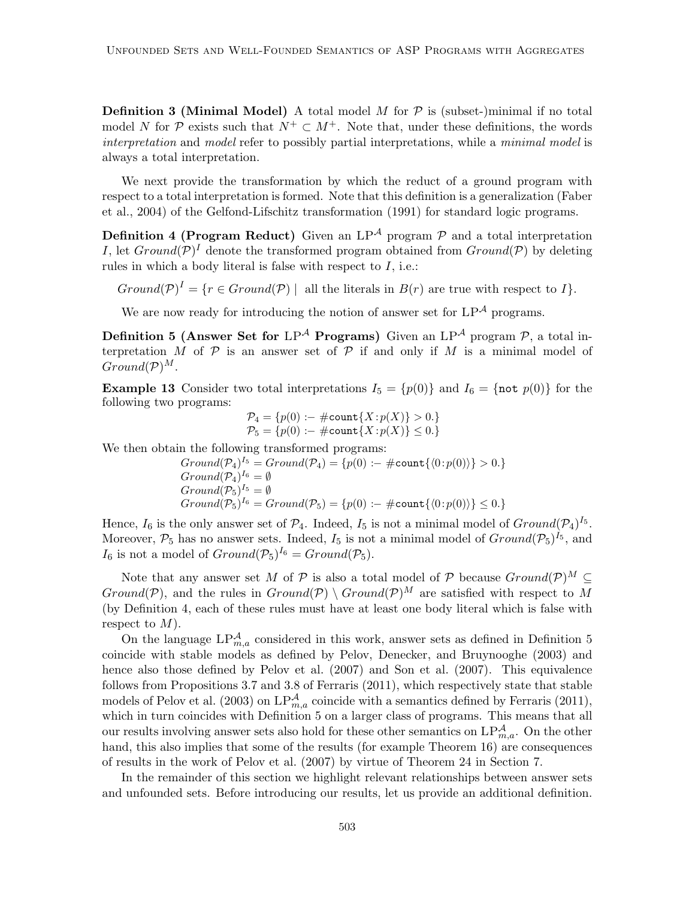**Definition 3 (Minimal Model)** A total model  $M$  for  $P$  is (subset-)minimal if no total model N for P exists such that  $N^+ \subset M^+$ . Note that, under these definitions, the words *interpretation* and *model* refer to possibly partial interpretations, while a *minimal model* is always a total interpretation.

We next provide the transformation by which the reduct of a ground program with respect to a total interpretation is formed. Note that this definition is a generalization (Faber et al., 2004) of the Gelfond-Lifschitz transformation (1991) for standard logic programs.

**Definition 4 (Program Reduct)** Given an  $LP^{\mathcal{A}}$  program  $\mathcal{P}$  and a total interpretation I, let  $Ground(\mathcal{P})^I$  denote the transformed program obtained from  $Ground(\mathcal{P})$  by deleting rules in which a body literal is false with respect to  $I$ , i.e.:

 $Ground(\mathcal{P})^I = \{r \in Ground(\mathcal{P}) \mid \text{ all the literals in } B(r) \text{ are true with respect to } I\}.$ 

We are now ready for introducing the notion of answer set for  $LP^{\mathcal{A}}$  programs.

Definition 5 (Answer Set for  $LP^{\mathcal{A}}$  Programs) Given an  $LP^{\mathcal{A}}$  program  $\mathcal{P}$ , a total interpretation M of P is an answer set of P if and only if M is a minimal model of  $Ground(P)^M$ .

**Example 13** Consider two total interpretations  $I_5 = \{p(0)\}\$ and  $I_6 = \{\text{not } p(0)\}\$  for the following two programs:

$$
\mathcal{P}_4 = \{p(0) := \#\text{count}\{X : p(X)\} > 0.\}
$$
  

$$
\mathcal{P}_5 = \{p(0) := \#\text{count}\{X : p(X)\} \le 0.\}
$$

We then obtain the following transformed programs:

$$
Ground(P_4)^{I_5} = Ground(P_4) = \{p(0) := \#count\{(0:p(0))\} > 0.\}
$$
  
Ground(P<sub>4</sub>)<sup>I\_6</sup> =  $\emptyset$   
Ground(P<sub>5</sub>)<sup>I\_5</sup> =  $\emptyset$   
Ground(P<sub>5</sub>)<sup>I\_6</sup> = Ground(P<sub>5</sub>) = \{p(0) := \#count\{(0:p(0))\} \le 0.\}

Hence,  $I_6$  is the only answer set of  $\mathcal{P}_4$ . Indeed,  $I_5$  is not a minimal model of  $Ground(\mathcal{P}_4)^{I_5}$ . Moreover,  $P_5$  has no answer sets. Indeed,  $I_5$  is not a minimal model of  $Ground(\mathcal{P}_5)^{I_5}$ , and  $I_6$  is not a model of  $Ground(\mathcal{P}_5)^{I_6} = Ground(\mathcal{P}_5)$ .

Note that any answer set M of P is also a total model of P because  $Ground(\mathcal{P})^M \subset$ Ground(P), and the rules in  $Ground(P) \setminus Ground(P)^M$  are satisfied with respect to M (by Definition 4, each of these rules must have at least one body literal which is false with respect to  $M$ ).

On the language  $LP_{m,a}^{\mathcal{A}}$  considered in this work, answer sets as defined in Definition 5 coincide with stable models as defined by Pelov, Denecker, and Bruynooghe (2003) and hence also those defined by Pelov et al. (2007) and Son et al. (2007). This equivalence follows from Propositions 3.7 and 3.8 of Ferraris (2011), which respectively state that stable models of Pelov et al. (2003) on  $LP^{\mathcal{A}}_{m,a}$  coincide with a semantics defined by Ferraris (2011), which in turn coincides with Definition 5 on a larger class of programs. This means that all our results involving answer sets also hold for these other semantics on  $LP^{\mathcal{A}}_{m,a}$ . On the other hand, this also implies that some of the results (for example Theorem 16) are consequences of results in the work of Pelov et al. (2007) by virtue of Theorem 24 in Section 7.

In the remainder of this section we highlight relevant relationships between answer sets and unfounded sets. Before introducing our results, let us provide an additional definition.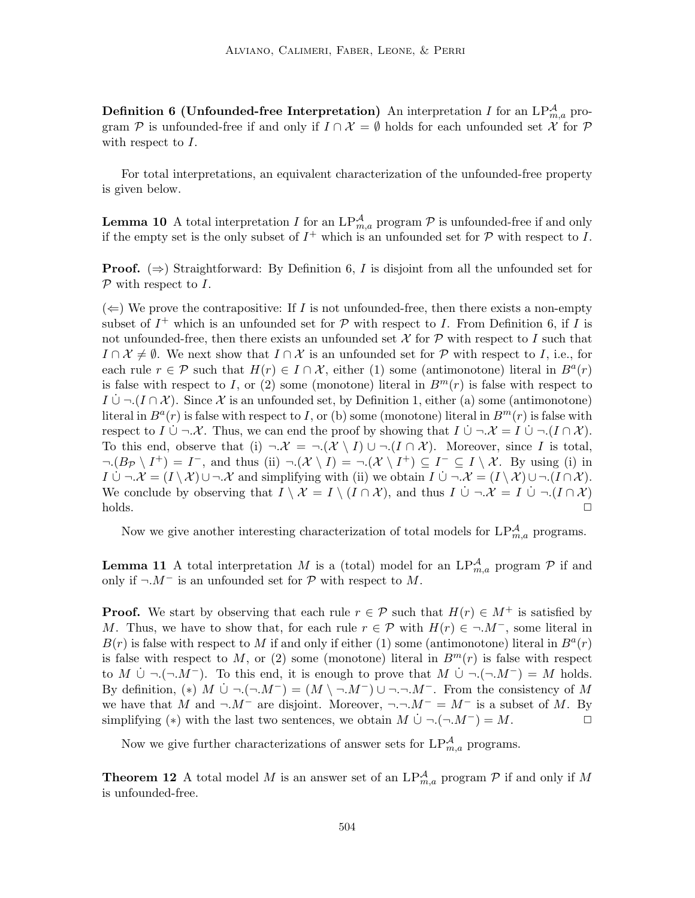**Definition 6 (Unfounded-free Interpretation)** An interpretation I for an  $LP_{m,a}^{\mathcal{A}}$  program P is unfounded-free if and only if  $I \cap \mathcal{X} = \emptyset$  holds for each unfounded set X for P with respect to  $I$ .

For total interpretations, an equivalent characterization of the unfounded-free property is given below.

**Lemma 10** A total interpretation I for an  $LP_{m,a}^{\mathcal{A}}$  program  $\mathcal{P}$  is unfounded-free if and only if the empty set is the only subset of  $I^+$  which is an unfounded set for  $P$  with respect to I.

**Proof.**  $(\Rightarrow)$  Straightforward: By Definition 6, I is disjoint from all the unfounded set for  $P$  with respect to I.

 $(\Leftarrow)$  We prove the contrapositive: If I is not unfounded-free, then there exists a non-empty subset of  $I^+$  which is an unfounded set for  $P$  with respect to I. From Definition 6, if I is not unfounded-free, then there exists an unfounded set  $\mathcal X$  for  $\mathcal P$  with respect to I such that  $I \cap \mathcal{X} \neq \emptyset$ . We next show that  $I \cap \mathcal{X}$  is an unfounded set for P with respect to I, i.e., for each rule  $r \in \mathcal{P}$  such that  $H(r) \in I \cap \mathcal{X}$ , either (1) some (antimonotone) literal in  $B^{a}(r)$ is false with respect to I, or (2) some (monotone) literal in  $B<sup>m</sup>(r)$  is false with respect to  $I \cup \neg (I \cap \mathcal{X})$ . Since X is an unfounded set, by Definition 1, either (a) some (antimonotone) literal in  $B^{a}(r)$  is false with respect to I, or (b) some (monotone) literal in  $B^{m}(r)$  is false with respect to I  $\cup \neg \mathcal{X}$ . Thus, we can end the proof by showing that  $I \cup \neg \mathcal{X} = I \cup \neg (I \cap \mathcal{X})$ . To this end, observe that (i)  $\neg \mathcal{X} = \neg(\mathcal{X} \setminus I) \cup \neg(I \cap \mathcal{X})$ . Moreover, since I is total,  $\neg (B_{\mathcal{P}} \setminus I^+) = I^-$ , and thus (ii)  $\neg (\mathcal{X} \setminus I) = \neg (\mathcal{X} \setminus I^+) \subseteq I^- \subseteq I \setminus \mathcal{X}$ . By using (i) in  $I \cup \neg \mathcal{X} = (I \setminus \mathcal{X}) \cup \neg \mathcal{X}$  and simplifying with (ii) we obtain  $I \cup \neg \mathcal{X} = (I \setminus \mathcal{X}) \cup \neg (I \cap \mathcal{X})$ . We conclude by observing that  $I \setminus \mathcal{X} = I \setminus (I \cap \mathcal{X})$ , and thus  $I \cup \neg \mathcal{X} = I \cup \neg (I \cap \mathcal{X})$  $\Box$ holds.  $\Box$ 

Now we give another interesting characterization of total models for  $LP^{\mathcal{A}}_{m,a}$  programs.

**Lemma 11** A total interpretation M is a (total) model for an  $LP_{m,a}^{\mathcal{A}}$  program  $\mathcal{P}$  if and only if  $\neg M^-$  is an unfounded set for  $\mathcal P$  with respect to M.

**Proof.** We start by observing that each rule  $r \in \mathcal{P}$  such that  $H(r) \in M^+$  is satisfied by M. Thus, we have to show that, for each rule  $r \in \mathcal{P}$  with  $H(r) \in \neg M^-$ , some literal in  $B(r)$  is false with respect to M if and only if either (1) some (antimonotone) literal in  $B<sup>a</sup>(r)$ is false with respect to M, or (2) some (monotone) literal in  $B<sup>m</sup>(r)$  is false with respect to M  $\dot{\cup}$  ¬  $(\neg M^{-})$ . To this end, it is enough to prove that  $M \dot{\cup} \neg (\neg M^{-}) = M$  holds. By definition,  $(*) \ M \ \dotcup \ \neg. (\neg. M^-) = (M \ \neg. M^-) \ \cup \ \neg. \neg. M^-$ . From the consistency of M we have that M and  $\neg M^-$  are disjoint. Moreover,  $\neg \neg M^- = M^-$  is a subset of M. By simplifying (\*) with the last two sentences, we obtain  $M \cup \neg.(\neg.M^-) = M$ .

Now we give further characterizations of answer sets for  $LP^{\mathcal{A}}_{m,a}$  programs.

**Theorem 12** A total model M is an answer set of an  $LP_{m,a}^{\mathcal{A}}$  program  $\mathcal{P}$  if and only if M is unfounded-free.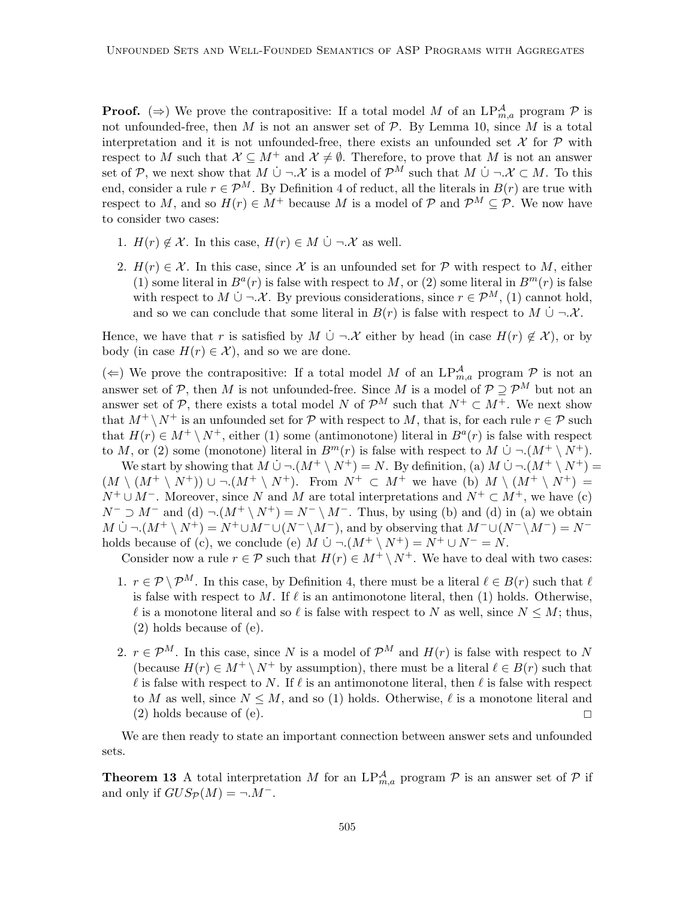**Proof.** ( $\Rightarrow$ ) We prove the contrapositive: If a total model M of an  $LP_{m,a}^{\mathcal{A}}$  program P is not unfounded-free, then M is not an answer set of  $\mathcal{P}$ . By Lemma 10, since M is a total interpretation and it is not unfounded-free, there exists an unfounded set  $\mathcal X$  for  $\mathcal P$  with respect to M such that  $\mathcal{X} \subseteq M^+$  and  $\mathcal{X} \neq \emptyset$ . Therefore, to prove that M is not an answer set of P, we next show that  $M \dot{\cup} \neg \mathcal{X}$  is a model of  $\mathcal{P}^M$  such that  $M \dot{\cup} \neg \mathcal{X} \subset M$ . To this end, consider a rule  $r \in \mathcal{P}^M$ . By Definition 4 of reduct, all the literals in  $B(r)$  are true with respect to M, and so  $H(r) \in M^+$  because M is a model of P and  $\mathcal{P}^M \subseteq \mathcal{P}$ . We now have to consider two cases:

- 1.  $H(r) \notin \mathcal{X}$ . In this case,  $H(r) \in M \cup \neg \mathcal{X}$  as well.
- 2.  $H(r) \in \mathcal{X}$ . In this case, since X is an unfounded set for P with respect to M, either (1) some literal in  $B^{a}(r)$  is false with respect to M, or (2) some literal in  $B^{m}(r)$  is false with respect to  $M \cup \neg \mathcal{X}$ . By previous considerations, since  $r \in \mathcal{P}^M$ , (1) cannot hold, and so we can conclude that some literal in  $B(r)$  is false with respect to  $M \cup \neg \mathcal{X}$ .

Hence, we have that r is satisfied by  $M \cup \neg X$  either by head (in case  $H(r) \notin \mathcal{X}$ ), or by body (in case  $H(r) \in \mathcal{X}$ ), and so we are done.

(←) We prove the contrapositive: If a total model M of an  $LP^{\mathcal{A}}_{m,a}$  program  $\mathcal{P}$  is not an answer set of  $P$ , then M is not unfounded-free. Since M is a model of  $P \supseteq P^M$  but not an answer set of  $\mathcal{P}$ , there exists a total model N of  $\mathcal{P}^M$  such that  $N^+ \subset M^+$ . We next show that  $M^+ \setminus N^+$  is an unfounded set for  $\mathcal P$  with respect to M, that is, for each rule  $r \in \mathcal P$  such that  $H(r) \in M^+ \setminus N^+$ , either (1) some (antimonotone) literal in  $B^a(r)$  is false with respect to M, or (2) some (monotone) literal in  $B^m(r)$  is false with respect to M  $\cup \neg (M^+ \setminus N^+)$ .

We start by showing that  $M \dot{\cup} \neg (M^+ \setminus N^+) = N$ . By definition, (a)  $M \dot{\cup} \neg (M^+ \setminus N^+) =$  $(M \setminus (M^+ \setminus N^+)) \cup \neg M^+ \setminus N^+$ . From  $N^+ \subset M^+$  we have (b)  $M \setminus (M^+ \setminus N^+) =$  $N^+ \cup M^-$ . Moreover, since N and M are total interpretations and  $N^+ \subset M^+$ , we have (c)  $N^- \supset M^-$  and (d)  $\neg (M^+ \setminus N^+) = N^- \setminus M^-$ . Thus, by using (b) and (d) in (a) we obtain  $M \cup \neg (M^+ \setminus N^+) = N^+ \cup M^- \cup (N^- \setminus M^-)$ , and by observing that  $M^- \cup (N^- \setminus M^-) = N^$ holds because of (c), we conclude (e)  $M \dot{\cup} \neg (M^+ \setminus N^+) = N^+ \cup N^- = N$ .

Consider now a rule  $r \in \mathcal{P}$  such that  $H(r) \in M^+ \setminus N^+$ . We have to deal with two cases:

- 1.  $r \in \mathcal{P} \setminus \mathcal{P}^M$ . In this case, by Definition 4, there must be a literal  $\ell \in B(r)$  such that  $\ell$ is false with respect to M. If  $\ell$  is an antimonotone literal, then (1) holds. Otherwise, l is a monotone literal and so l is false with respect to N as well, since  $N \leq M$ ; thus, (2) holds because of (e).
- 2.  $r \in \mathcal{P}^M$ . In this case, since N is a model of  $\mathcal{P}^M$  and  $H(r)$  is false with respect to N (because  $H(r) \in M^+ \setminus N^+$  by assumption), there must be a literal  $\ell \in B(r)$  such that  $\ell$  is false with respect to N. If  $\ell$  is an antimonotone literal, then  $\ell$  is false with respect to M as well, since  $N \leq M$ , and so (1) holds. Otherwise,  $\ell$  is a monotone literal and (2) holds because of (e).  $\Box$

We are then ready to state an important connection between answer sets and unfounded sets.

**Theorem 13** A total interpretation M for an  $LP_{m,a}^{\mathcal{A}}$  program  $\mathcal{P}$  is an answer set of  $\mathcal{P}$  if and only if  $GUS_{\mathcal{P}}(M) = \neg M^-$ .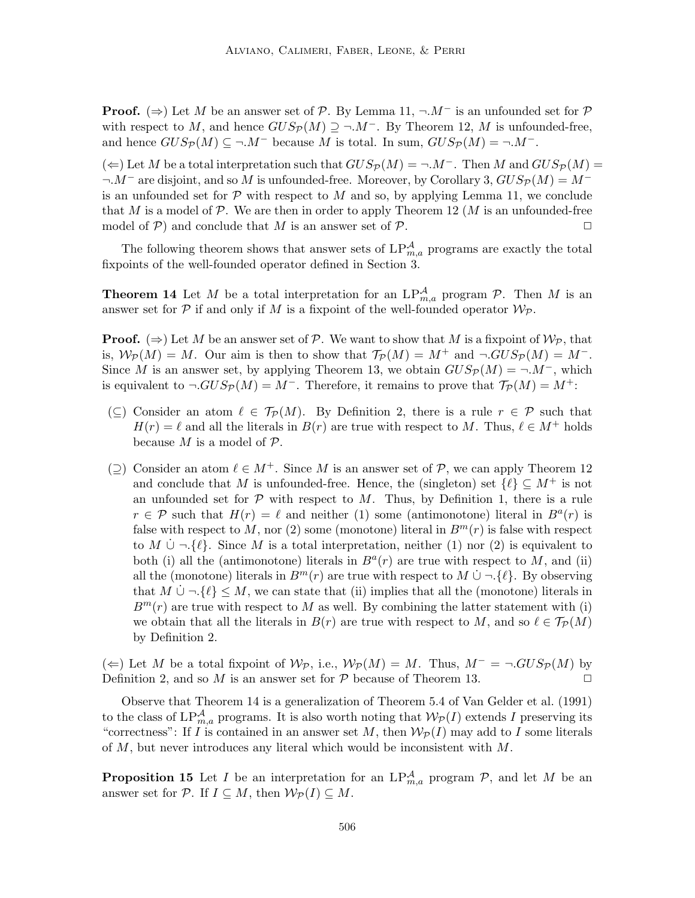**Proof.** ( $\Rightarrow$ ) Let M be an answer set of P. By Lemma 11,  $\neg M^-$  is an unfounded set for P with respect to M, and hence  $GUS_{\mathcal{P}}(M) \supseteq \neg M^-$ . By Theorem 12, M is unfounded-free, and hence  $GUS_{\mathcal{P}}(M) \subseteq \neg M^-$  because M is total. In sum,  $GUS_{\mathcal{P}}(M) = \neg M^-$ .

(←) Let M be a total interpretation such that  $GUS_{\mathcal{P}}(M) = \neg M^-$ . Then M and  $GUS_{\mathcal{P}}(M) =$  $\neg M^-$  are disjoint, and so M is unfounded-free. Moreover, by Corollary 3,  $GUS_{\mathcal{P}}(M) = M^$ is an unfounded set for  $\mathcal P$  with respect to M and so, by applying Lemma 11, we conclude that M is a model of  $\mathcal P$ . We are then in order to apply Theorem 12 (M is an unfounded-free model of  $P$ ) and conclude that M is an answer set of P.

The following theorem shows that answer sets of  $LP^{\mathcal{A}}_{m,a}$  programs are exactly the total fixpoints of the well-founded operator defined in Section 3.

**Theorem 14** Let M be a total interpretation for an  $LP_{m,a}^{\mathcal{A}}$  program  $\mathcal{P}$ . Then M is an answer set for  $P$  if and only if M is a fixpoint of the well-founded operator  $\mathcal{W}_{\mathcal{P}}$ .

**Proof.** ( $\Rightarrow$ ) Let M be an answer set of P. We want to show that M is a fixpoint of  $\mathcal{W}_{\mathcal{P}}$ , that is,  $W_P(M) = M$ . Our aim is then to show that  $\mathcal{T}_P(M) = M^+$  and  $\neg GUS_P(M) = M^-$ . Since M is an answer set, by applying Theorem 13, we obtain  $GUS_{\mathcal{P}}(M) = \neg M^-$ , which is equivalent to  $\neg GUS_{\mathcal{P}}(M) = M^{-}$ . Therefore, it remains to prove that  $\mathcal{T}_{\mathcal{P}}(M) = M^{+}$ :

- $(\subseteq)$  Consider an atom  $\ell \in \mathcal{T}_{\mathcal{P}}(M)$ . By Definition 2, there is a rule  $r \in \mathcal{P}$  such that  $H(r) = \ell$  and all the literals in  $B(r)$  are true with respect to M. Thus,  $\ell \in M^+$  holds because  $M$  is a model of  $\mathcal{P}$ .
- $(\supseteq)$  Consider an atom  $\ell \in M^+$ . Since M is an answer set of P, we can apply Theorem 12 and conclude that M is unfounded-free. Hence, the (singleton) set  $\{\ell\} \subseteq M^+$  is not an unfounded set for  $P$  with respect to  $M$ . Thus, by Definition 1, there is a rule  $r \in \mathcal{P}$  such that  $H(r) = \ell$  and neither (1) some (antimonotone) literal in  $B^{a}(r)$  is false with respect to M, nor (2) some (monotone) literal in  $B<sup>m</sup>(r)$  is false with respect to M  $\cup \neg \{\ell\}$ . Since M is a total interpretation, neither (1) nor (2) is equivalent to both (i) all the (antimonotone) literals in  $B<sup>a</sup>(r)$  are true with respect to M, and (ii) all the (monotone) literals in  $B^m(r)$  are true with respect to  $M \cup \neg \{\ell\}$ . By observing that  $M \cup \neg \{\ell\} \leq M$ , we can state that (ii) implies that all the (monotone) literals in  $B<sup>m</sup>(r)$  are true with respect to M as well. By combining the latter statement with (i) we obtain that all the literals in  $B(r)$  are true with respect to M, and so  $\ell \in \mathcal{T}_{\mathcal{P}}(M)$ by Definition 2.

(←) Let M be a total fixpoint of  $W_P$ , i.e.,  $W_P(M) = M$ . Thus,  $M^- = \neg GUS_P(M)$  by Definition 2, and so M is an answer set for  $P$  because of Theorem 13.  $\Box$ 

Observe that Theorem 14 is a generalization of Theorem 5.4 of Van Gelder et al. (1991) to the class of  $LP^{\mathcal{A}}_{m,a}$  programs. It is also worth noting that  $\mathcal{W}_\mathcal{P}(I)$  extends I preserving its "correctness": If I is contained in an answer set M, then  $W_P(I)$  may add to I some literals of M, but never introduces any literal which would be inconsistent with M.

**Proposition 15** Let I be an interpretation for an  $LP^{\mathcal{A}}_{m,a}$  program  $\mathcal{P}$ , and let M be an answer set for P. If  $I \subseteq M$ , then  $\mathcal{W}_\mathcal{P}(I) \subseteq M$ .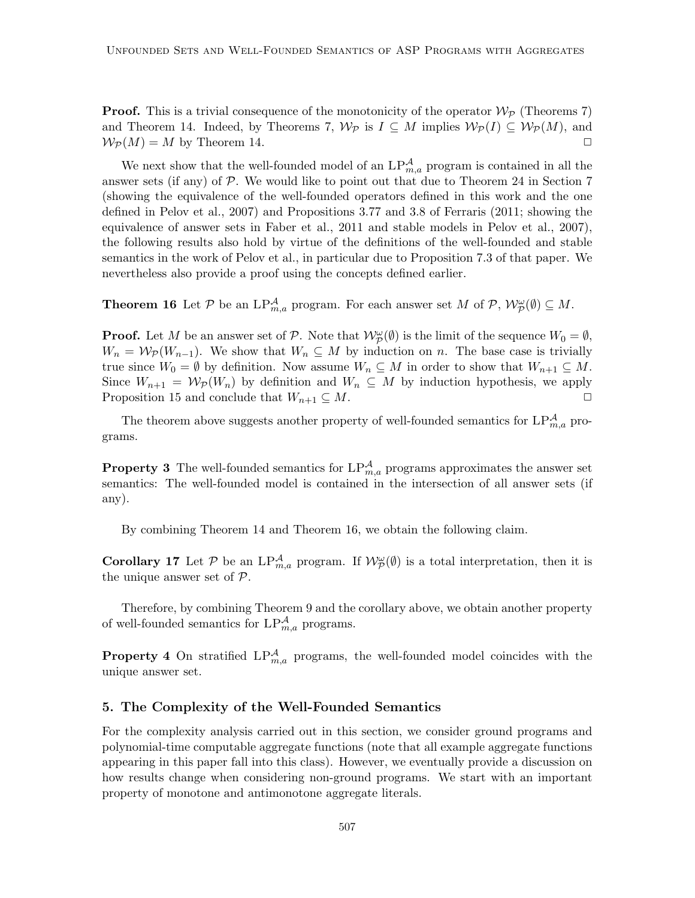**Proof.** This is a trivial consequence of the monotonicity of the operator  $\mathcal{W}_{\mathcal{P}}$  (Theorems 7) and Theorem 14. Indeed, by Theorems 7,  $\mathcal{W}_{\mathcal{P}}$  is  $I \subseteq M$  implies  $\mathcal{W}_{\mathcal{P}}(I) \subseteq \mathcal{W}_{\mathcal{P}}(M)$ , and  $\mathcal{W}_P(M) = M$  by Theorem 14.

We next show that the well-founded model of an  $LP^{\mathcal{A}}_{m,a}$  program is contained in all the answer sets (if any) of  $P$ . We would like to point out that due to Theorem 24 in Section 7 (showing the equivalence of the well-founded operators defined in this work and the one defined in Pelov et al., 2007) and Propositions 3.77 and 3.8 of Ferraris (2011; showing the equivalence of answer sets in Faber et al., 2011 and stable models in Pelov et al., 2007), the following results also hold by virtue of the definitions of the well-founded and stable semantics in the work of Pelov et al., in particular due to Proposition 7.3 of that paper. We nevertheless also provide a proof using the concepts defined earlier.

**Theorem 16** Let  $P$  be an  $LP_{m,a}^{\mathcal{A}}$  program. For each answer set M of  $P$ ,  $\mathcal{W}_{\mathcal{P}}^{\omega}(\emptyset) \subseteq M$ .

**Proof.** Let M be an answer set of P. Note that  $\mathcal{W}_{\mathcal{P}}^{\omega}(\emptyset)$  is the limit of the sequence  $W_0 = \emptyset$ ,  $W_n = \mathcal{W}_p(W_{n-1})$ . We show that  $W_n \subseteq M$  by induction on n. The base case is trivially true since  $W_0 = \emptyset$  by definition. Now assume  $W_n \subseteq M$  in order to show that  $W_{n+1} \subseteq M$ . Since  $W_{n+1} = \mathcal{W}_{\mathcal{P}}(W_n)$  by definition and  $W_n \subseteq M$  by induction hypothesis, we apply Proposition 15 and conclude that  $W_{n+1} \subseteq M$ .

The theorem above suggests another property of well-founded semantics for  $LP_{m,a}^{\mathcal{A}}$  programs.

**Property 3** The well-founded semantics for  $LP_{m,a}^{\mathcal{A}}$  programs approximates the answer set semantics: The well-founded model is contained in the intersection of all answer sets (if any).

By combining Theorem 14 and Theorem 16, we obtain the following claim.

**Corollary 17** Let  $P$  be an  $LP_{m,a}^{\mathcal{A}}$  program. If  $\mathcal{W}_{\mathcal{P}}^{\omega}(\emptyset)$  is a total interpretation, then it is the unique answer set of  $P$ .

Therefore, by combining Theorem 9 and the corollary above, we obtain another property of well-founded semantics for  $LP^{\mathcal{A}}_{m,a}$  programs.

**Property 4** On stratified  $LP_{m,a}^{\mathcal{A}}$  programs, the well-founded model coincides with the unique answer set.

### 5. The Complexity of the Well-Founded Semantics

For the complexity analysis carried out in this section, we consider ground programs and polynomial-time computable aggregate functions (note that all example aggregate functions appearing in this paper fall into this class). However, we eventually provide a discussion on how results change when considering non-ground programs. We start with an important property of monotone and antimonotone aggregate literals.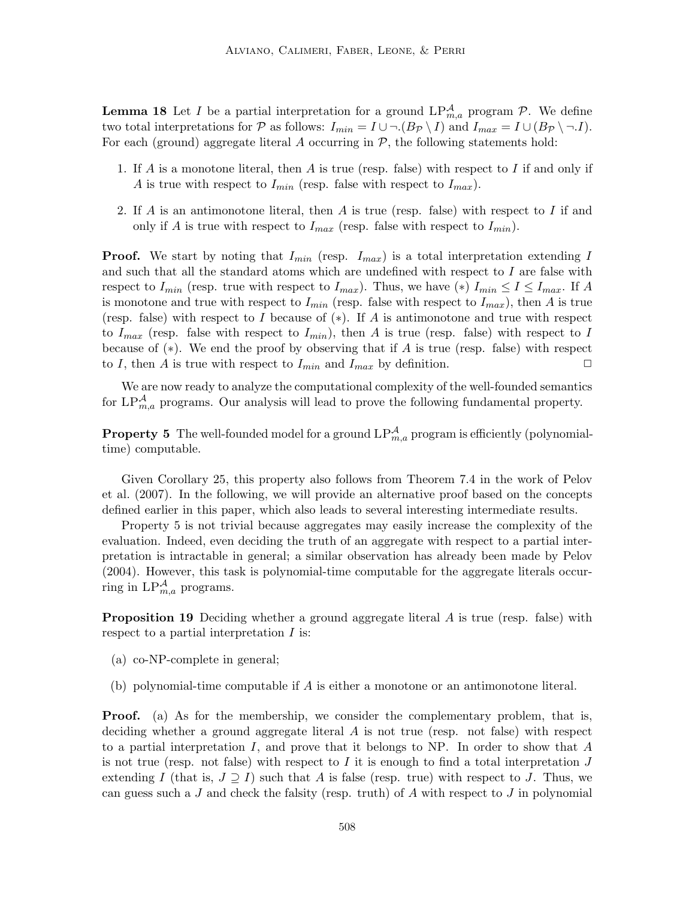**Lemma 18** Let *I* be a partial interpretation for a ground  $LP_{m,a}^{\mathcal{A}}$  program  $\mathcal{P}$ . We define two total interpretations for P as follows:  $I_{min} = I \cup \neg (B_{\mathcal{P}} \setminus I)$  and  $I_{max} = I \cup (B_{\mathcal{P}} \setminus \neg I)$ . For each (ground) aggregate literal  $A$  occurring in  $P$ , the following statements hold:

- 1. If A is a monotone literal, then A is true (resp. false) with respect to I if and only if A is true with respect to  $I_{min}$  (resp. false with respect to  $I_{max}$ ).
- 2. If  $A$  is an antimonotone literal, then  $A$  is true (resp. false) with respect to  $I$  if and only if A is true with respect to  $I_{max}$  (resp. false with respect to  $I_{min}$ ).

**Proof.** We start by noting that  $I_{min}$  (resp.  $I_{max}$ ) is a total interpretation extending I and such that all the standard atoms which are undefined with respect to  $I$  are false with respect to  $I_{min}$  (resp. true with respect to  $I_{max}$ ). Thus, we have (\*)  $I_{min} \leq I \leq I_{max}$ . If A is monotone and true with respect to  $I_{min}$  (resp. false with respect to  $I_{max}$ ), then A is true (resp. false) with respect to I because of  $(*)$ . If A is antimonotone and true with respect to  $I_{max}$  (resp. false with respect to  $I_{min}$ ), then A is true (resp. false) with respect to I because of  $(*)$ . We end the proof by observing that if A is true (resp. false) with respect to I, then A is true with respect to  $I_{min}$  and  $I_{max}$  by definition.

We are now ready to analyze the computational complexity of the well-founded semantics for  $LP_{m,a}^{\mathcal{A}}$  programs. Our analysis will lead to prove the following fundamental property.

**Property 5** The well-founded model for a ground  $LP_{m,a}^{\mathcal{A}}$  program is efficiently (polynomialtime) computable.

Given Corollary 25, this property also follows from Theorem 7.4 in the work of Pelov et al. (2007). In the following, we will provide an alternative proof based on the concepts defined earlier in this paper, which also leads to several interesting intermediate results.

Property 5 is not trivial because aggregates may easily increase the complexity of the evaluation. Indeed, even deciding the truth of an aggregate with respect to a partial interpretation is intractable in general; a similar observation has already been made by Pelov (2004). However, this task is polynomial-time computable for the aggregate literals occurring in  $LP^{\mathcal{A}}_{m,a}$  programs.

**Proposition 19** Deciding whether a ground aggregate literal  $\vec{A}$  is true (resp. false) with respect to a partial interpretation I is:

- (a) co-NP-complete in general;
- (b) polynomial-time computable if A is either a monotone or an antimonotone literal.

Proof. (a) As for the membership, we consider the complementary problem, that is, deciding whether a ground aggregate literal  $A$  is not true (resp. not false) with respect to a partial interpretation  $I$ , and prove that it belongs to NP. In order to show that  $A$ is not true (resp. not false) with respect to I it is enough to find a total interpretation J extending I (that is,  $J \supseteq I$ ) such that A is false (resp. true) with respect to J. Thus, we can guess such a J and check the falsity (resp. truth) of A with respect to J in polynomial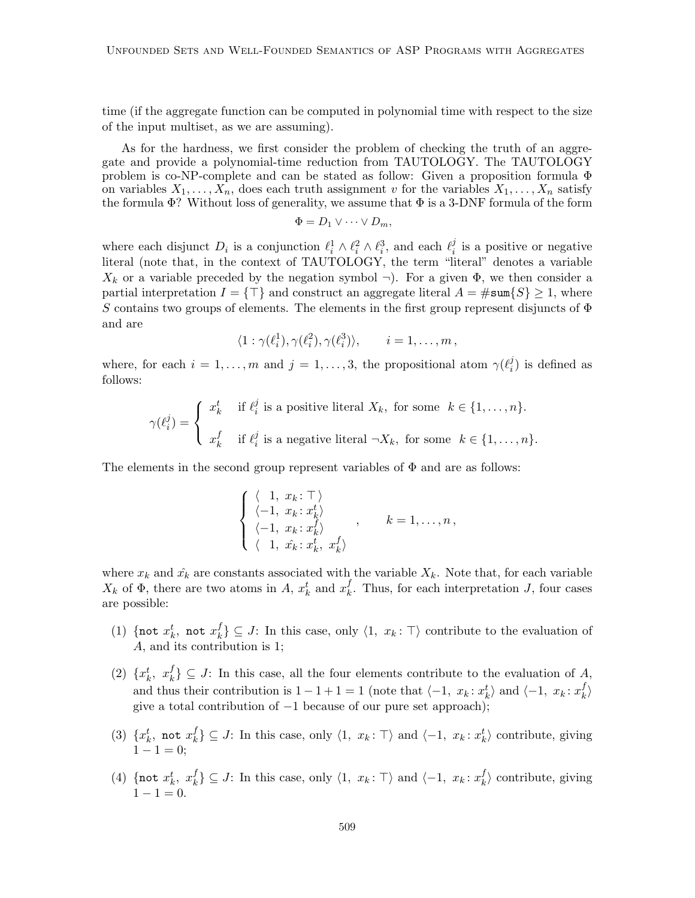time (if the aggregate function can be computed in polynomial time with respect to the size of the input multiset, as we are assuming).

As for the hardness, we first consider the problem of checking the truth of an aggregate and provide a polynomial-time reduction from TAUTOLOGY. The TAUTOLOGY problem is co-NP-complete and can be stated as follow: Given a proposition formula  $\Phi$ on variables  $X_1, \ldots, X_n$ , does each truth assignment v for the variables  $X_1, \ldots, X_n$  satisfy the formula  $\Phi$ ? Without loss of generality, we assume that  $\Phi$  is a 3-DNF formula of the form

$$
\Phi = D_1 \vee \cdots \vee D_m,
$$

where each disjunct  $D_i$  is a conjunction  $\ell_i^1 \wedge \ell_i^2 \wedge \ell_i^3$ , and each  $\ell_i^j$  $i$  is a positive or negative literal (note that, in the context of TAUTOLOGY, the term "literal" denotes a variable  $X_k$  or a variable preceded by the negation symbol  $\neg$ ). For a given  $\Phi$ , we then consider a partial interpretation  $I = \{\top\}$  and construct an aggregate literal  $A = \#\text{sum}\{S\} \geq 1$ , where S contains two groups of elements. The elements in the first group represent disjuncts of  $\Phi$ and are

$$
\langle 1 : \gamma(\ell_i^1), \gamma(\ell_i^2), \gamma(\ell_i^3) \rangle, \qquad i = 1, \dots, m,
$$

where, for each  $i = 1, ..., m$  and  $j = 1, ..., 3$ , the propositional atom  $\gamma(\ell_i^j)$  $i_j^j$ ) is defined as follows:

$$
\gamma(\ell_i^j) = \begin{cases} x_k^t & \text{if } \ell_i^j \text{ is a positive literal } X_k, \text{ for some } k \in \{1, \ldots, n\}. \\ x_k^f & \text{if } \ell_i^j \text{ is a negative literal } \neg X_k, \text{ for some } k \in \{1, \ldots, n\}. \end{cases}
$$

The elements in the second group represent variables of  $\Phi$  and are as follows:

$$
\begin{cases} \langle 1, x_k : \top \rangle \\ \langle -1, x_k : x_k^t \rangle \\ \langle -1, x_k : x_k^f \rangle \\ \langle 1, x_k^c : x_k^t, x_k^f \rangle \end{cases}, \quad k = 1, \dots, n,
$$

where  $x_k$  and  $\hat{x_k}$  are constants associated with the variable  $X_k$ . Note that, for each variable  $X_k$  of  $\Phi$ , there are two atoms in A,  $x_k^t$  and  $x_k^f$  $\mu_k^J$ . Thus, for each interpretation J, four cases are possible:

- (1) {not  $x_k^t$ , not  $x_k^f$  $\{k\}$  ⊆ J: In this case, only  $\langle 1, x_k : \top \rangle$  contribute to the evaluation of A, and its contribution is 1;
- (2)  $\{x_k^t, x_k^f\}$  $\{k\} \subseteq J$ : In this case, all the four elements contribute to the evaluation of A, and thus their contribution is  $1 - 1 + 1 = 1$  (note that  $\langle -1, x_k : x_k^t \rangle$  and  $\langle -1, x_k : x_k^t \rangle$  $\binom{J}{k}$ give a total contribution of −1 because of our pure set approach);
- (3)  $\{x_k^t, \text{ not } x_k^f\}$  $\{f_k\} \subseteq J$ : In this case, only  $\langle 1, x_k : \top \rangle$  and  $\langle -1, x_k : x_k^t \rangle$  contribute, giving  $1 - 1 = 0;$
- (4) {not  $x_k^t$ ,  $x_k^f$  $\{f_k\} \subseteq J$ : In this case, only  $\langle 1, x_k : \top \rangle$  and  $\langle -1, x_k : x_k^f \rangle$  $\langle k \rangle$  contribute, giving  $1 - 1 = 0.$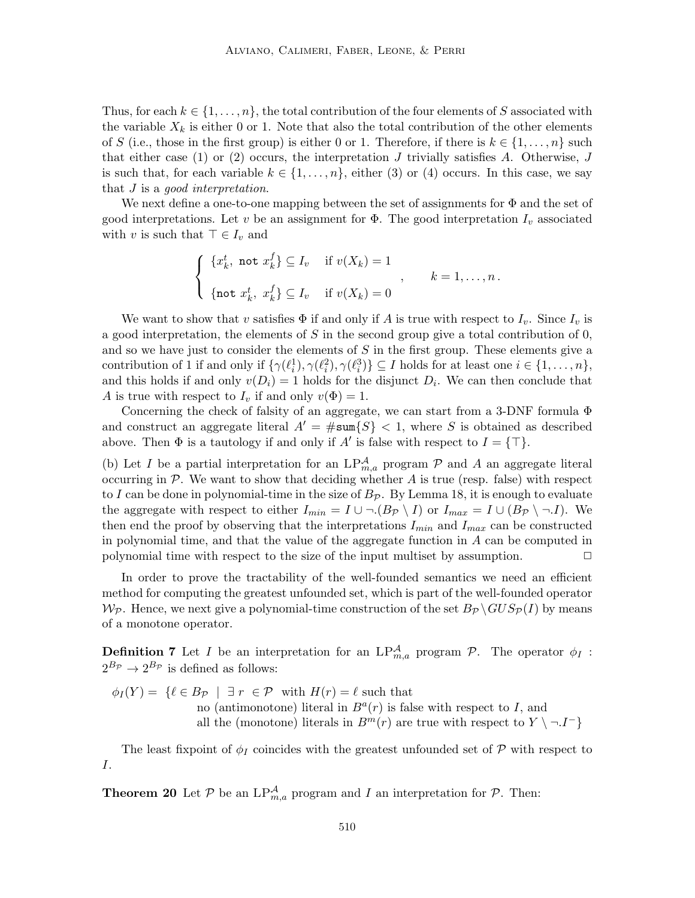Thus, for each  $k \in \{1, \ldots, n\}$ , the total contribution of the four elements of S associated with the variable  $X_k$  is either 0 or 1. Note that also the total contribution of the other elements of S (i.e., those in the first group) is either 0 or 1. Therefore, if there is  $k \in \{1, \ldots, n\}$  such that either case (1) or (2) occurs, the interpretation J trivially satisfies A. Otherwise, J is such that, for each variable  $k \in \{1, \ldots, n\}$ , either (3) or (4) occurs. In this case, we say that J is a *good interpretation*.

We next define a one-to-one mapping between the set of assignments for  $\Phi$  and the set of good interpretations. Let v be an assignment for  $\Phi$ . The good interpretation  $I_v$  associated with v is such that  $\top \in I_v$  and

$$
\begin{cases} \n\{x_k^t, \text{ not } x_k^f\} \subseteq I_v & \text{if } v(X_k) = 1 \\ \n\text{not } x_k^t, \ x_k^f\} \subseteq I_v & \text{if } v(X_k) = 0 \n\end{cases}, \quad k = 1, \dots, n.
$$

We want to show that v satisfies  $\Phi$  if and only if A is true with respect to  $I_v$ . Since  $I_v$  is a good interpretation, the elements of  $S$  in the second group give a total contribution of  $0$ , and so we have just to consider the elements of  $S$  in the first group. These elements give a contribution of 1 if and only if  $\{\gamma(\ell_i^1), \gamma(\ell_i^2), \gamma(\ell_i^3)\} \subseteq I$  holds for at least one  $i \in \{1, ..., n\}$ , and this holds if and only  $v(D_i) = 1$  holds for the disjunct  $D_i$ . We can then conclude that A is true with respect to  $I_v$  if and only  $v(\Phi) = 1$ .

Concerning the check of falsity of an aggregate, we can start from a 3-DNF formula Φ and construct an aggregate literal  $A' = \#\text{sum}\{S\} < 1$ , where S is obtained as described above. Then  $\Phi$  is a tautology if and only if A' is false with respect to  $I = \{\top\}.$ 

(b) Let I be a partial interpretation for an  $LP^{\mathcal{A}}_{m,a}$  program  $\mathcal P$  and A an aggregate literal occurring in  $P$ . We want to show that deciding whether  $A$  is true (resp. false) with respect to I can be done in polynomial-time in the size of  $B_{\mathcal{P}}$ . By Lemma 18, it is enough to evaluate the aggregate with respect to either  $I_{min} = I \cup \neg (B_{\mathcal{P}} \setminus I)$  or  $I_{max} = I \cup (B_{\mathcal{P}} \setminus \neg I)$ . We then end the proof by observing that the interpretations  $I_{min}$  and  $I_{max}$  can be constructed in polynomial time, and that the value of the aggregate function in A can be computed in polynomial time with respect to the size of the input multiset by assumption.  $\Box$ 

In order to prove the tractability of the well-founded semantics we need an efficient method for computing the greatest unfounded set, which is part of the well-founded operator  $W_P$ . Hence, we next give a polynomial-time construction of the set  $B_P \backslash GUS_P(I)$  by means of a monotone operator.

**Definition 7** Let I be an interpretation for an  $LP_{m,a}^{\mathcal{A}}$  program  $\mathcal{P}$ . The operator  $\phi_I$ :  $2^{B_{\mathcal{P}}}\rightarrow 2^{B_{\mathcal{P}}}$  is defined as follows:

$$
\phi_I(Y) = \{ \ell \in B_{\mathcal{P}} \mid \exists r \in \mathcal{P} \text{ with } H(r) = \ell \text{ such that}
$$
  
no (antimonotone) literal in  $B^a(r)$  is false with respect to I, and  
all the (monotone) literals in  $B^m(r)$  are true with respect to  $Y \setminus \neg I^- \}$ 

The least fixpoint of  $\phi_I$  coincides with the greatest unfounded set of P with respect to I.

**Theorem 20** Let  $P$  be an  $LP_{m,a}^{\mathcal{A}}$  program and I an interpretation for  $P$ . Then: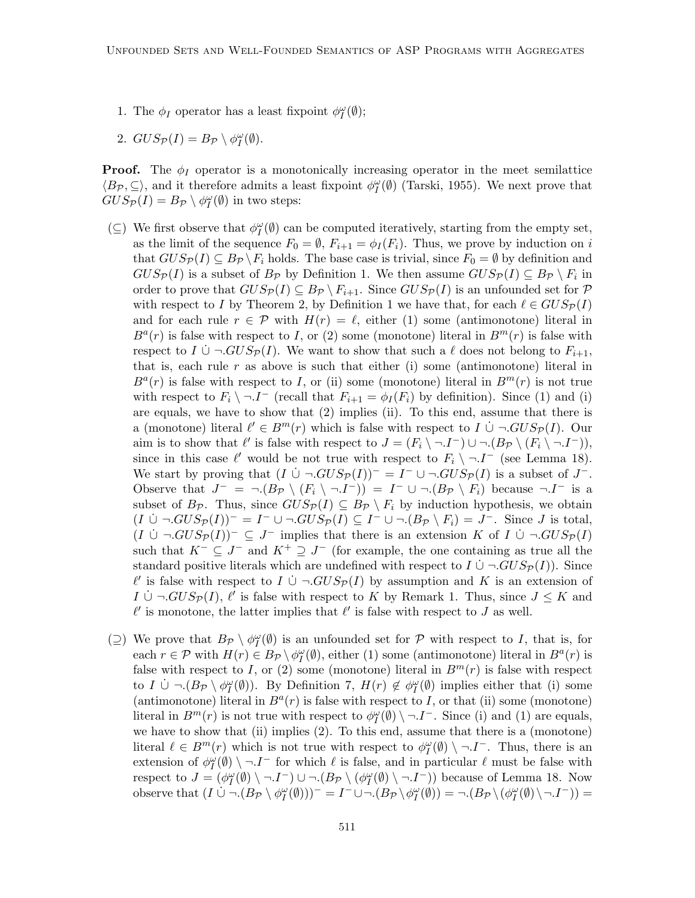- 1. The  $\phi_I$  operator has a least fixpoint  $\phi_I^{\omega}(\emptyset)$ ;
- 2.  $GUS_{\mathcal{P}}(I) = B_{\mathcal{P}} \setminus \phi_I^{\omega}(\emptyset)$ .

**Proof.** The  $\phi_I$  operator is a monotonically increasing operator in the meet semilattice  $\langle B_{\mathcal{P}}, \subseteq \rangle$ , and it therefore admits a least fixpoint  $\phi^{\omega}_I(\emptyset)$  (Tarski, 1955). We next prove that  $GUS_{\mathcal{P}}(I) = B_{\mathcal{P}} \setminus \phi_I^{\omega}(\emptyset)$  in two steps:

- (⊆) We first observe that  $\phi^{\omega}_I(\emptyset)$  can be computed iteratively, starting from the empty set, as the limit of the sequence  $F_0 = \emptyset$ ,  $F_{i+1} = \phi_I(F_i)$ . Thus, we prove by induction on i that  $GUS_{\mathcal{P}}(I) \subseteq B_{\mathcal{P}} \backslash F_i$  holds. The base case is trivial, since  $F_0 = \emptyset$  by definition and  $GUS_{\mathcal{P}}(I)$  is a subset of  $B_{\mathcal{P}}$  by Definition 1. We then assume  $GUS_{\mathcal{P}}(I) \subseteq B_{\mathcal{P}} \setminus F_i$  in order to prove that  $GUS_{\mathcal{P}}(I) \subseteq B_{\mathcal{P}} \setminus F_{i+1}$ . Since  $GUS_{\mathcal{P}}(I)$  is an unfounded set for  $\mathcal P$ with respect to I by Theorem 2, by Definition 1 we have that, for each  $\ell \in GUS_{\mathcal{P}}(I)$ and for each rule  $r \in \mathcal{P}$  with  $H(r) = \ell$ , either (1) some (antimonotone) literal in  $B^{a}(r)$  is false with respect to I, or (2) some (monotone) literal in  $B^{m}(r)$  is false with respect to I  $\cup \neg GUS_{\mathcal{P}}(I)$ . We want to show that such a  $\ell$  does not belong to  $F_{i+1}$ , that is, each rule  $r$  as above is such that either (i) some (antimonotone) literal in  $B^{a}(r)$  is false with respect to I, or (ii) some (monotone) literal in  $B^{m}(r)$  is not true with respect to  $F_i \setminus \neg I^-$  (recall that  $F_{i+1} = \phi_I(F_i)$  by definition). Since (1) and (i) are equals, we have to show that (2) implies (ii). To this end, assume that there is a (monotone) literal  $\ell' \in B^m(r)$  which is false with respect to  $I \cup \neg GUS_{\mathcal{P}}(I)$ . Our aim is to show that  $\ell'$  is false with respect to  $J = (F_i \setminus \neg I^-) \cup \neg (B_{\mathcal{P}} \setminus (F_i \setminus \neg I^-)),$ since in this case  $\ell'$  would be not true with respect to  $F_i \setminus \neg I^-$  (see Lemma 18). We start by proving that  $(I \cup \neg GUS_{\mathcal{P}}(I))^{-} = I^{-} \cup \neg GUS_{\mathcal{P}}(I)$  is a subset of  $J^{-}$ . Observe that  $J^- = \neg (B_{\mathcal{P}} \setminus (F_i \setminus \neg I^-)) = I^- \cup \neg (B_{\mathcal{P}} \setminus F_i)$  because  $\neg I^-$  is a subset of  $B_{\mathcal{P}}$ . Thus, since  $GUS_{\mathcal{P}}(I) \subseteq B_{\mathcal{P}} \setminus F_i$  by induction hypothesis, we obtain  $(I \cup \neg GUS_{\mathcal{P}}(I))^- = I^- \cup \neg GUS_{\mathcal{P}}(I) \subseteq I^- \cup \neg (B_{\mathcal{P}} \setminus F_i) = J^-$ . Since J is total,  $(I \cup \neg GUS_{\mathcal{P}}(I))^{-} \subseteq J^{-}$  implies that there is an extension K of I  $\cup \neg GUS_{\mathcal{P}}(I)$ such that  $K^- \subseteq J^-$  and  $K^+ \supseteq J^-$  (for example, the one containing as true all the standard positive literals which are undefined with respect to  $I \cup \neg GUS_{\mathcal{P}}(I)$ . Since  $\ell'$  is false with respect to  $I \cup \neg GUS_{\mathcal{P}}(I)$  by assumption and K is an extension of  $I \cup \neg GUS_{\mathcal{P}}(I), \ell'$  is false with respect to K by Remark 1. Thus, since  $J \leq K$  and  $\ell'$  is monotone, the latter implies that  $\ell'$  is false with respect to J as well.
- (⊇) We prove that  $B_{\mathcal{P}} \setminus \phi^{\omega}_{I}(\emptyset)$  is an unfounded set for  $\mathcal{P}$  with respect to I, that is, for each  $r \in \mathcal{P}$  with  $H(r) \in B_{\mathcal{P}} \setminus \phi_{I}^{\omega}(\emptyset)$ , either (1) some (antimonotone) literal in  $B^{a}(r)$  is false with respect to I, or (2) some (monotone) literal in  $B<sup>m</sup>(r)$  is false with respect to  $I \cup \neg (B_{\mathcal{P}} \setminus \phi_I^{\omega}(\emptyset))$ . By Definition 7,  $H(r) \notin \phi_I^{\omega}(\emptyset)$  implies either that (i) some (antimonotone) literal in  $B^{a}(r)$  is false with respect to I, or that (ii) some (monotone) literal in  $B^m(r)$  is not true with respect to  $\phi^{\omega}_I(\emptyset) \setminus \neg J^-$ . Since (i) and (1) are equals, we have to show that (ii) implies  $(2)$ . To this end, assume that there is a (monotone) literal  $\ell \in B^m(r)$  which is not true with respect to  $\phi_I^{\omega}(\emptyset) \setminus \neg I^-$ . Thus, there is an extension of  $\phi^{\omega}_I(\emptyset) \setminus \neg I^-$  for which  $\ell$  is false, and in particular  $\ell$  must be false with respect to  $J = (\phi_I^{\omega}(\emptyset) \setminus \neg I^-) \cup \neg.(B_{\mathcal{P}} \setminus (\phi_I^{\omega}(\emptyset) \setminus \neg I^-))$  because of Lemma 18. Now observe that  $(I \cup \neg (B_{\mathcal{P}} \setminus \phi_{I}^{\omega}(\emptyset)))^{-} = I^{-} \cup \neg (B_{\mathcal{P}} \setminus \phi_{I}^{\omega}(\emptyset)) = \neg (B_{\mathcal{P}} \setminus (\phi_{I}^{\omega}(\emptyset) \setminus \neg I^{-})) =$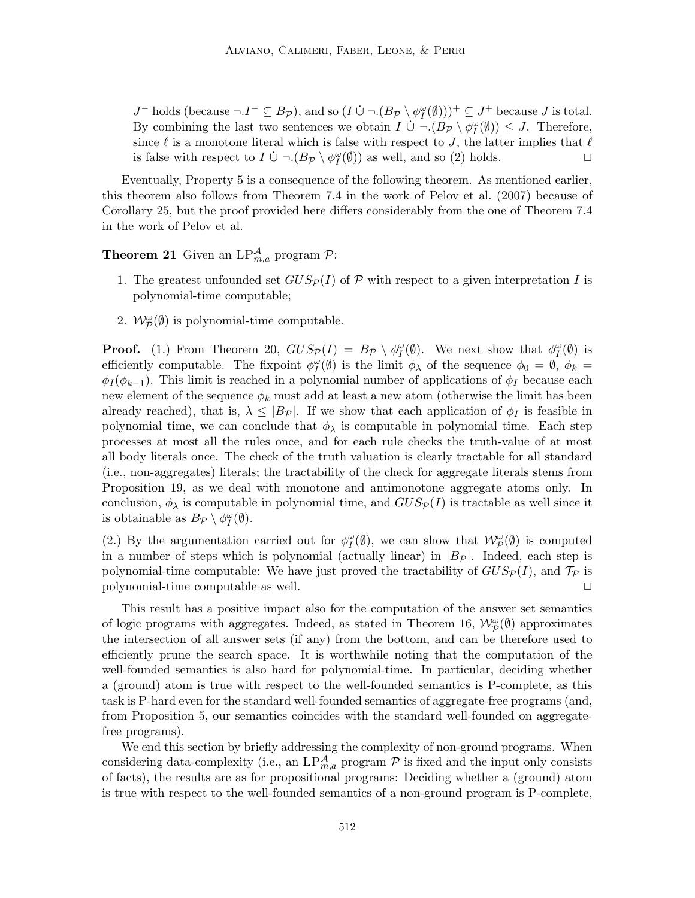J<sup>-</sup> holds (because  $\neg I^-\subseteq B_{\mathcal{P}}$ ), and so  $(I \cup \neg (B_{\mathcal{P}} \setminus \phi_I^{\omega}(\emptyset)))^+ \subseteq J^+$  because J is total. By combining the last two sentences we obtain  $I \cup \neg (B_{\mathcal{P}} \setminus \phi_I^{\omega}(\emptyset)) \leq J$ . Therefore, since  $\ell$  is a monotone literal which is false with respect to J, the latter implies that  $\ell$ is false with respect to  $I \cup \neg (B_{\mathcal{P}} \setminus \phi_I^{\omega}(\emptyset))$  as well, and so (2) holds.  $\Box$ 

Eventually, Property 5 is a consequence of the following theorem. As mentioned earlier, this theorem also follows from Theorem 7.4 in the work of Pelov et al. (2007) because of Corollary 25, but the proof provided here differs considerably from the one of Theorem 7.4 in the work of Pelov et al.

**Theorem 21** Given an  $LP^{\mathcal{A}}_{m,a}$  program  $\mathcal{P}$ :

- 1. The greatest unfounded set  $GUS_{\mathcal{P}}(I)$  of P with respect to a given interpretation I is polynomial-time computable;
- 2.  $\mathcal{W}_{\mathcal{P}}^{\omega}(\emptyset)$  is polynomial-time computable.

**Proof.** (1.) From Theorem 20,  $GUS_{\mathcal{P}}(I) = B_{\mathcal{P}} \setminus \phi_{I}^{\omega}(\emptyset)$ . We next show that  $\phi_{I}^{\omega}(\emptyset)$  is efficiently computable. The fixpoint  $\phi_I^{\omega}(\emptyset)$  is the limit  $\phi_{\lambda}$  of the sequence  $\phi_0 = \emptyset$ ,  $\phi_k =$  $\phi_I(\phi_{k-1})$ . This limit is reached in a polynomial number of applications of  $\phi_I$  because each new element of the sequence  $\phi_k$  must add at least a new atom (otherwise the limit has been already reached), that is,  $\lambda \leq |B_{\mathcal{P}}|$ . If we show that each application of  $\phi_I$  is feasible in polynomial time, we can conclude that  $\phi_{\lambda}$  is computable in polynomial time. Each step processes at most all the rules once, and for each rule checks the truth-value of at most all body literals once. The check of the truth valuation is clearly tractable for all standard (i.e., non-aggregates) literals; the tractability of the check for aggregate literals stems from Proposition 19, as we deal with monotone and antimonotone aggregate atoms only. In conclusion,  $\phi_{\lambda}$  is computable in polynomial time, and  $GUS_{\mathcal{P}}(I)$  is tractable as well since it is obtainable as  $B_{\mathcal{P}} \setminus \phi_I^{\omega}(\emptyset)$ .

(2.) By the argumentation carried out for  $\phi_I^{\omega}(\emptyset)$ , we can show that  $\mathcal{W}_{\mathcal{P}}^{\omega}(\emptyset)$  is computed in a number of steps which is polynomial (actually linear) in  $|B_{\mathcal{P}}|$ . Indeed, each step is polynomial-time computable: We have just proved the tractability of  $GUS_{\mathcal{P}}(I)$ , and  $\mathcal{T}_{\mathcal{P}}$  is polynomial-time computable as well.  $\Box$ 

This result has a positive impact also for the computation of the answer set semantics of logic programs with aggregates. Indeed, as stated in Theorem 16,  $\mathcal{W}_{\mathcal{P}}^{\omega}(\emptyset)$  approximates the intersection of all answer sets (if any) from the bottom, and can be therefore used to efficiently prune the search space. It is worthwhile noting that the computation of the well-founded semantics is also hard for polynomial-time. In particular, deciding whether a (ground) atom is true with respect to the well-founded semantics is P-complete, as this task is P-hard even for the standard well-founded semantics of aggregate-free programs (and, from Proposition 5, our semantics coincides with the standard well-founded on aggregatefree programs).

We end this section by briefly addressing the complexity of non-ground programs. When considering data-complexity (i.e., an  $LP^{\mathcal{A}}_{m,a}$  program  $\mathcal P$  is fixed and the input only consists of facts), the results are as for propositional programs: Deciding whether a (ground) atom is true with respect to the well-founded semantics of a non-ground program is P-complete,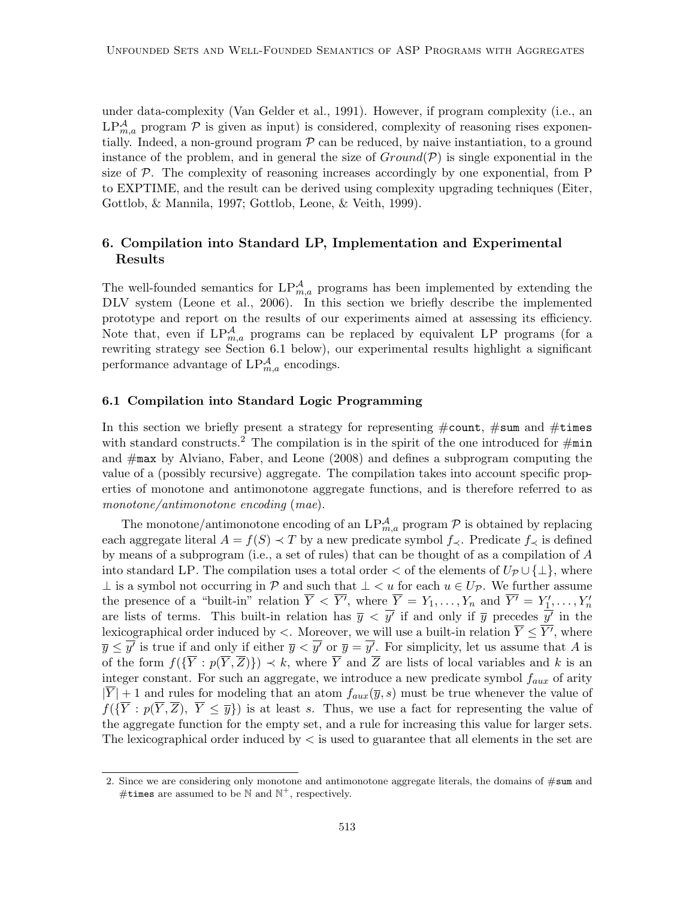under data-complexity (Van Gelder et al., 1991). However, if program complexity (i.e., an  $LP_{m,a}^{\mathcal{A}}$  program  $\mathcal P$  is given as input) is considered, complexity of reasoning rises exponentially. Indeed, a non-ground program  $P$  can be reduced, by naive instantiation, to a ground instance of the problem, and in general the size of  $Ground(P)$  is single exponential in the size of  $P$ . The complexity of reasoning increases accordingly by one exponential, from  $P$ to EXPTIME, and the result can be derived using complexity upgrading techniques (Eiter, Gottlob, & Mannila, 1997; Gottlob, Leone, & Veith, 1999).

# 6. Compilation into Standard LP, Implementation and Experimental Results

The well-founded semantics for  $LP_{m,a}^{\mathcal{A}}$  programs has been implemented by extending the DLV system (Leone et al., 2006). In this section we briefly describe the implemented prototype and report on the results of our experiments aimed at assessing its efficiency. Note that, even if  $LP_{m,a}^{\mathcal{A}}$  programs can be replaced by equivalent LP programs (for a rewriting strategy see Section 6.1 below), our experimental results highlight a significant performance advantage of  $LP_{m,a}^{\mathcal{A}}$  encodings.

### 6.1 Compilation into Standard Logic Programming

In this section we briefly present a strategy for representing  $\#\text{count},\#\text{sum}$  and  $\#\text{times}$ with standard constructs.<sup>2</sup> The compilation is in the spirit of the one introduced for  $\#\text{min}$ and #max by Alviano, Faber, and Leone (2008) and defines a subprogram computing the value of a (possibly recursive) aggregate. The compilation takes into account specific properties of monotone and antimonotone aggregate functions, and is therefore referred to as *monotone/antimonotone encoding* (*mae*).

The monotone/antimonotone encoding of an  $LP^{\mathcal{A}}_{m,a}$  program  $\mathcal P$  is obtained by replacing each aggregate literal  $A = f(S) \prec T$  by a new predicate symbol  $f_{\prec}$ . Predicate  $f_{\prec}$  is defined by means of a subprogram (i.e., a set of rules) that can be thought of as a compilation of A into standard LP. The compilation uses a total order  $\lt$  of the elements of  $U_{\mathcal{P}}\cup\{\perp\}$ , where ⊥ is a symbol not occurring in  $\mathcal P$  and such that  $\bot$  < u for each  $u \in U_{\mathcal P}$ . We further assume the presence of a "built-in" relation  $\overline{Y} \leq \overline{Y'}$ , where  $\overline{Y} = Y_1, \ldots, Y_n$  and  $\overline{Y'} = Y'_{1}, \ldots, Y'_n$ are lists of terms. This built-in relation has  $\bar{y} < \bar{y'}$  if and only if  $\bar{y}$  precedes  $\bar{y'}$  in the lexicographical order induced by  $\lt$ . Moreover, we will use a built-in relation  $\overline{Y} \leq \overline{Y'}$ , where  $\overline{y} \leq \overline{y'}$  is true if and only if either  $\overline{y} < \overline{y'}$  or  $\overline{y} = \overline{y'}$ . For simplicity, let us assume that A is of the form  $f(\{\overline{Y} : p(\overline{Y}, \overline{Z})\}) \prec k$ , where  $\overline{Y}$  and  $\overline{Z}$  are lists of local variables and k is an integer constant. For such an aggregate, we introduce a new predicate symbol  $f_{aux}$  of arity  $|\overline{Y}|+1$  and rules for modeling that an atom  $f_{aux}(\overline{y}, s)$  must be true whenever the value of  $f(\{\overline{Y}: p(\overline{Y}, \overline{Z}), \overline{Y} \leq \overline{y}\})$  is at least s. Thus, we use a fact for representing the value of the aggregate function for the empty set, and a rule for increasing this value for larger sets. The lexicographical order induced by  $\lt$  is used to guarantee that all elements in the set are

<sup>2.</sup> Since we are considering only monotone and antimonotone aggregate literals, the domains of  $\#\text{sum}$  and #times are assumed to be  $\mathbb N$  and  $\mathbb N^+$ , respectively.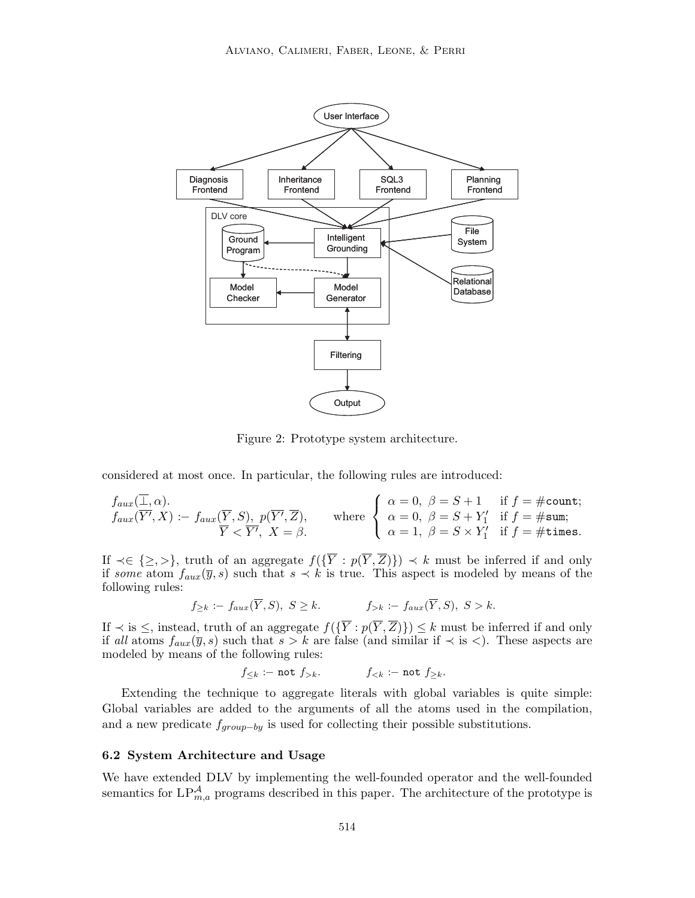

Figure 2: Prototype system architecture.

considered at most once. In particular, the following rules are introduced:

$$
f_{aux}(\overline{\underline{1}}, \alpha).
$$
  
\n
$$
f_{aux}(\overline{Y'}, X) := f_{aux}(\overline{Y}, S), p(\overline{Y'}, \overline{Z}), \quad \text{where } \begin{cases} \alpha = 0, \ \beta = S + 1 & \text{if } f = \text{\#count}; \\ \alpha = 0, \ \beta = S + Y'_1 & \text{if } f = \text{\#sum}; \\ \alpha = 1, \ \beta = S \times Y'_1 & \text{if } f = \text{\#times}. \end{cases}
$$

If  $\prec \in \{\geq,>\}\$ , truth of an aggregate  $f(\lbrace \overline{Y} : p(\overline{Y}, \overline{Z}) \rbrace) \prec k$  must be inferred if and only if *some* atom  $f_{aux}(\overline{y}, s)$  such that  $s \prec k$  is true. This aspect is modeled by means of the following rules:

$$
f_{\geq k} := f_{aux}(\overline{Y}, S), \ S \geq k. \qquad f_{>k} := f_{aux}(\overline{Y}, S), \ S > k.
$$

If  $\prec$  is  $\leq$ , instead, truth of an aggregate  $f(\lbrace Y : p(Y, Z) \rbrace) \leq k$  must be inferred if and only if all atoms  $f_{aux}(\overline{y}, s)$  such that  $s > k$  are false (and similar if  $\prec$  is  $\prec$ ). These aspects are modeled by means of the following rules:

 $f_{\leq k}$  :– not  $f_{> k}$ . f $\leq k$  :– not  $f_{\geq k}$ .

Extending the technique to aggregate literals with global variables is quite simple: Global variables are added to the arguments of all the atoms used in the compilation, and a new predicate  $f_{group-by}$  is used for collecting their possible substitutions.

## 6.2 System Architecture and Usage

We have extended DLV by implementing the well-founded operator and the well-founded semantics for  $LP_{m,a}^{\mathcal{A}}$  programs described in this paper. The architecture of the prototype is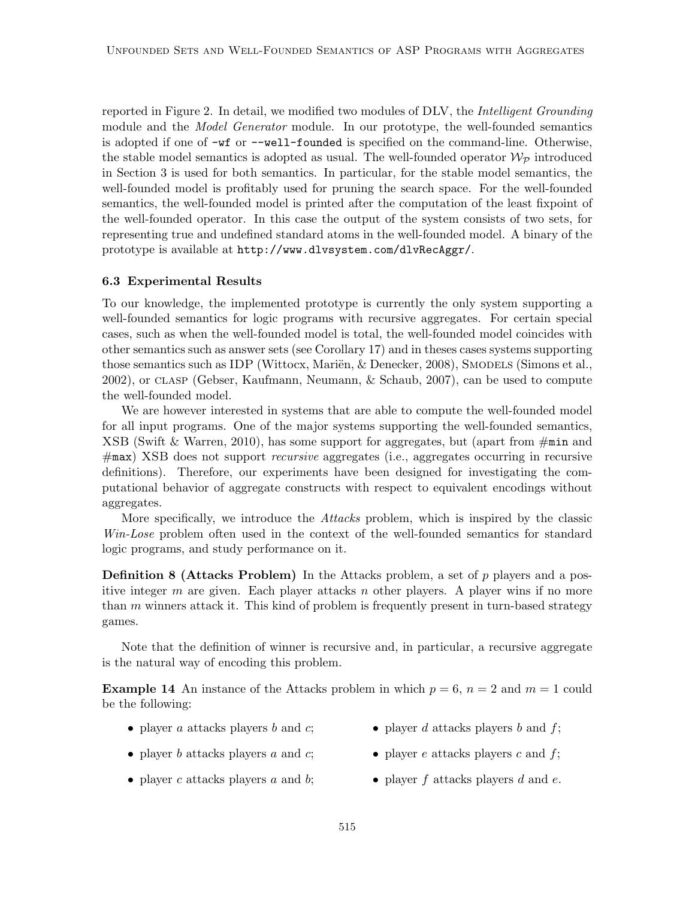reported in Figure 2. In detail, we modified two modules of DLV, the *Intelligent Grounding* module and the *Model Generator* module. In our prototype, the well-founded semantics is adopted if one of -wf or --well-founded is specified on the command-line. Otherwise, the stable model semantics is adopted as usual. The well-founded operator  $\mathcal{W}_{\mathcal{P}}$  introduced in Section 3 is used for both semantics. In particular, for the stable model semantics, the well-founded model is profitably used for pruning the search space. For the well-founded semantics, the well-founded model is printed after the computation of the least fixpoint of the well-founded operator. In this case the output of the system consists of two sets, for representing true and undefined standard atoms in the well-founded model. A binary of the prototype is available at http://www.dlvsystem.com/dlvRecAggr/.

### 6.3 Experimental Results

To our knowledge, the implemented prototype is currently the only system supporting a well-founded semantics for logic programs with recursive aggregates. For certain special cases, such as when the well-founded model is total, the well-founded model coincides with other semantics such as answer sets (see Corollary 17) and in theses cases systems supporting those semantics such as IDP (Wittocx, Mariën, & Denecker, 2008), SMODELS (Simons et al., 2002), or clasp (Gebser, Kaufmann, Neumann, & Schaub, 2007), can be used to compute the well-founded model.

We are however interested in systems that are able to compute the well-founded model for all input programs. One of the major systems supporting the well-founded semantics, XSB (Swift & Warren, 2010), has some support for aggregates, but (apart from  $\#$ min and #max) XSB does not support *recursive* aggregates (i.e., aggregates occurring in recursive definitions). Therefore, our experiments have been designed for investigating the computational behavior of aggregate constructs with respect to equivalent encodings without aggregates.

More specifically, we introduce the *Attacks* problem, which is inspired by the classic *Win-Lose* problem often used in the context of the well-founded semantics for standard logic programs, and study performance on it.

**Definition 8 (Attacks Problem)** In the Attacks problem, a set of  $p$  players and a positive integer m are given. Each player attacks n other players. A player wins if no more than m winners attack it. This kind of problem is frequently present in turn-based strategy games.

Note that the definition of winner is recursive and, in particular, a recursive aggregate is the natural way of encoding this problem.

**Example 14** An instance of the Attacks problem in which  $p = 6$ ,  $n = 2$  and  $m = 1$  could be the following:

- player  $a$  attacks players  $b$  and  $c$ ;
- player d attacks players b and  $f$ ;
- player b attacks players a and  $c$ ;
- player e attacks players c and  $f$ ;
- player  $c$  attacks players  $a$  and  $b$ ;
- player  $f$  attacks players  $d$  and  $e$ .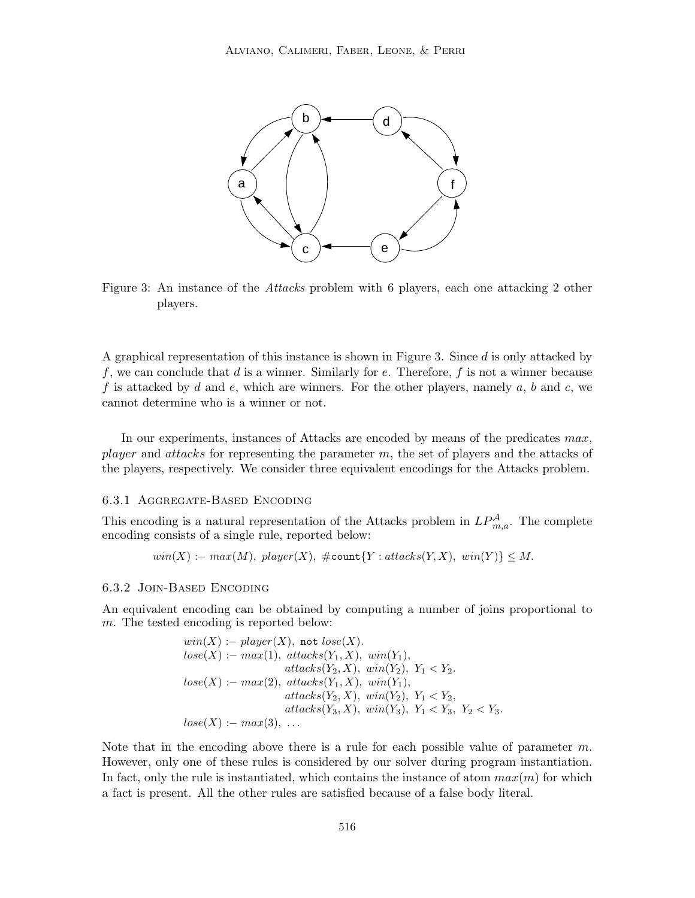

Figure 3: An instance of the *Attacks* problem with 6 players, each one attacking 2 other players.

A graphical representation of this instance is shown in Figure 3. Since d is only attacked by f, we can conclude that d is a winner. Similarly for e. Therefore, f is not a winner because f is attacked by d and e, which are winners. For the other players, namely  $a, b$  and  $c$ , we cannot determine who is a winner or not.

In our experiments, instances of Attacks are encoded by means of the predicates max, player and attacks for representing the parameter  $m$ , the set of players and the attacks of the players, respectively. We consider three equivalent encodings for the Attacks problem.

### 6.3.1 Aggregate-Based Encoding

This encoding is a natural representation of the Attacks problem in  $LP^{\mathcal{A}}_{m,a}$ . The complete encoding consists of a single rule, reported below:

$$
win(X) := max(M),\; player(X),\; \# count\{Y: attacks(Y, X),\; win(Y)\} \le M.
$$

### 6.3.2 Join-Based Encoding

An equivalent encoding can be obtained by computing a number of joins proportional to m. The tested encoding is reported below:

$$
win(X) := player(X), not \, lose(X).
$$
\n
$$
lose(X) := max(1), \, attacks(Y_1, X), \, win(Y_1),
$$
\n
$$
attack(S(Y_2, X), \, win(Y_2), \, Y_1 < Y_2.
$$
\n
$$
lose(X) := max(2), \, attacks(Y_1, X), \, win(Y_1),
$$
\n
$$
attack(S(Y_2, X), \, win(Y_2), \, Y_1 < Y_2,
$$
\n
$$
attack(S(Y_3, X), \, win(Y_3), \, Y_1 < Y_3, \, Y_2 < Y_3.
$$
\n
$$
lose(X) := max(3), \, \ldots
$$

Note that in the encoding above there is a rule for each possible value of parameter  $m$ . However, only one of these rules is considered by our solver during program instantiation. In fact, only the rule is instantiated, which contains the instance of atom  $max(m)$  for which a fact is present. All the other rules are satisfied because of a false body literal.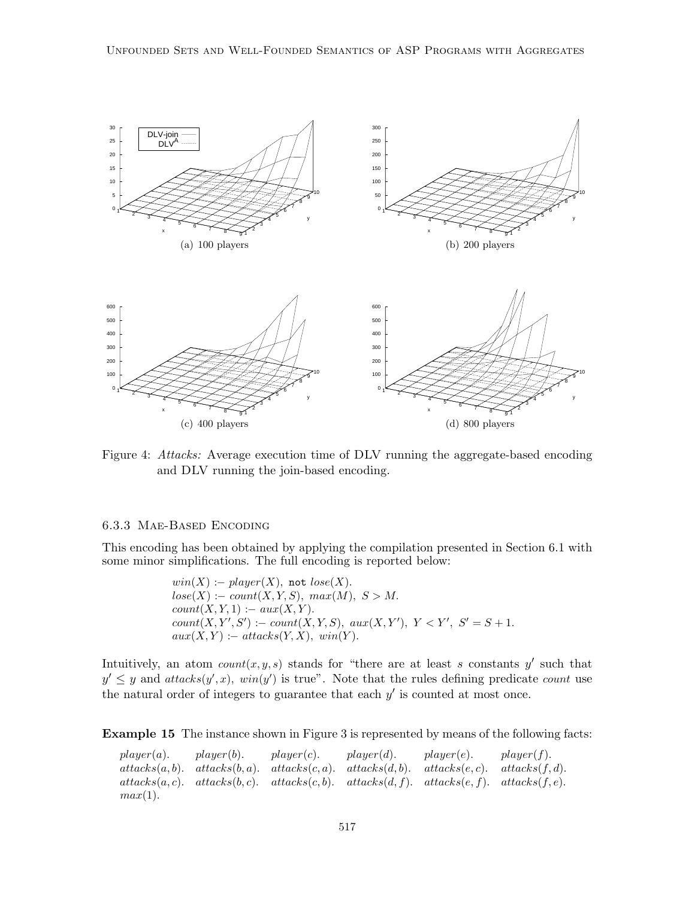

Figure 4: *Attacks:* Average execution time of DLV running the aggregate-based encoding and DLV running the join-based encoding.

### 6.3.3 Mae-Based Encoding

This encoding has been obtained by applying the compilation presented in Section 6.1 with some minor simplifications. The full encoding is reported below:

> $win(X) := player(X)$ , not  $lose(X)$ .  $lose(X) := count(X, Y, S), max(M), S > M.$  $count(X, Y, 1) := aux(X, Y).$  $count(X, Y', S') := count(X, Y, S), aux(X, Y'), Y < Y', S' = S + 1.$  $aux(X, Y) := attacks(Y, X), win(Y).$

Intuitively, an atom  $count(x, y, s)$  stands for "there are at least s constants y' such that  $y' \leq y$  and  $atacks(y',x)$ ,  $win(y')$  is true". Note that the rules defining predicate count use the natural order of integers to guarantee that each  $y'$  is counted at most once.

Example 15 The instance shown in Figure 3 is represented by means of the following facts:

 $player(a).$   $player(b).$   $player(c).$   $player(d).$   $player(d).$   $player(e).$   $player(f).$  $attacks(a, b)$ .  $attacks(b, a)$ .  $attacks(c, a)$ .  $attacks(d, b)$ .  $attacks(e, c)$ .  $attacks(f, d)$ .  $attack(a, c). \quad attacks(b, c). \quad attacks(c, b). \quad attacks(d, f). \quad attacks(e, f). \quad attacks(f, e).$  $max(1)$ .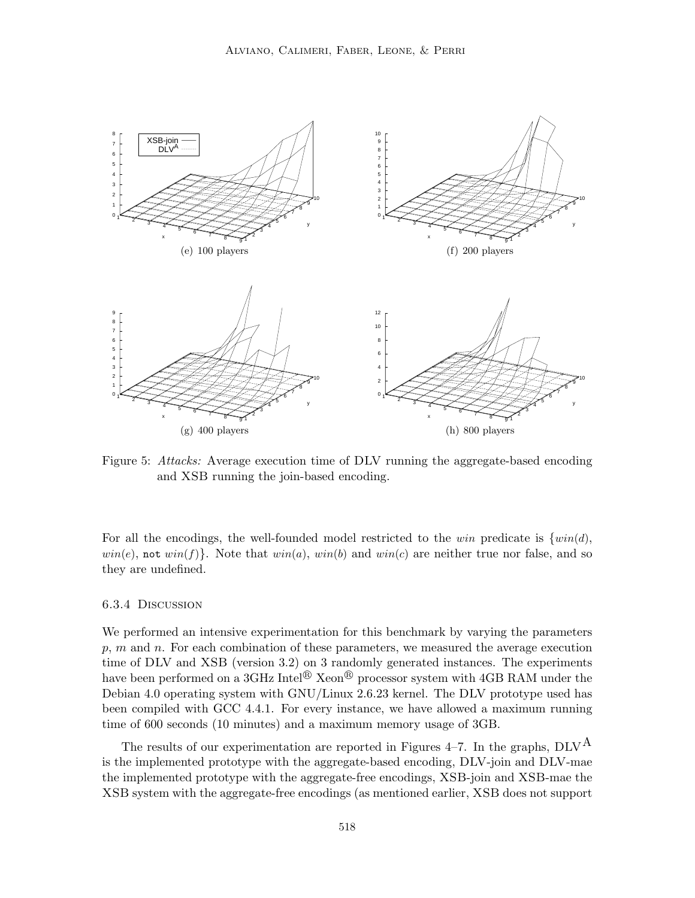

Figure 5: *Attacks:* Average execution time of DLV running the aggregate-based encoding and XSB running the join-based encoding.

For all the encodings, the well-founded model restricted to the win predicate is  $\{win(d),\}$  $win(e)$ , not  $win(f)$ . Note that  $win(a)$ ,  $win(b)$  and  $win(c)$  are neither true nor false, and so they are undefined.

### 6.3.4 Discussion

We performed an intensive experimentation for this benchmark by varying the parameters  $p, m$  and  $n$ . For each combination of these parameters, we measured the average execution time of DLV and XSB (version 3.2) on 3 randomly generated instances. The experiments have been performed on a 3GHz Intel<sup>®</sup> Xeon<sup>®</sup> processor system with 4GB RAM under the Debian 4.0 operating system with GNU/Linux 2.6.23 kernel. The DLV prototype used has been compiled with GCC 4.4.1. For every instance, we have allowed a maximum running time of 600 seconds (10 minutes) and a maximum memory usage of 3GB.

The results of our experimentation are reported in Figures 4–7. In the graphs,  $DLV<sup>A</sup>$ is the implemented prototype with the aggregate-based encoding, DLV-join and DLV-mae the implemented prototype with the aggregate-free encodings, XSB-join and XSB-mae the XSB system with the aggregate-free encodings (as mentioned earlier, XSB does not support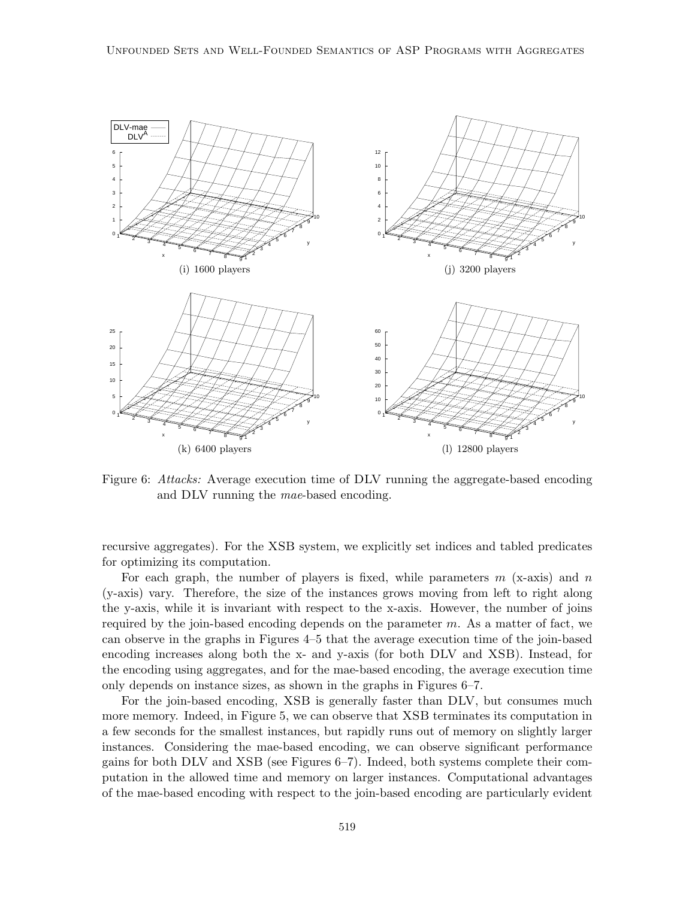

Figure 6: *Attacks:* Average execution time of DLV running the aggregate-based encoding and DLV running the *mae*-based encoding.

recursive aggregates). For the XSB system, we explicitly set indices and tabled predicates for optimizing its computation.

For each graph, the number of players is fixed, while parameters  $m$  (x-axis) and  $n$ (y-axis) vary. Therefore, the size of the instances grows moving from left to right along the y-axis, while it is invariant with respect to the x-axis. However, the number of joins required by the join-based encoding depends on the parameter  $m$ . As a matter of fact, we can observe in the graphs in Figures 4–5 that the average execution time of the join-based encoding increases along both the x- and y-axis (for both DLV and XSB). Instead, for the encoding using aggregates, and for the mae-based encoding, the average execution time only depends on instance sizes, as shown in the graphs in Figures 6–7.

For the join-based encoding, XSB is generally faster than DLV, but consumes much more memory. Indeed, in Figure 5, we can observe that XSB terminates its computation in a few seconds for the smallest instances, but rapidly runs out of memory on slightly larger instances. Considering the mae-based encoding, we can observe significant performance gains for both DLV and XSB (see Figures 6–7). Indeed, both systems complete their computation in the allowed time and memory on larger instances. Computational advantages of the mae-based encoding with respect to the join-based encoding are particularly evident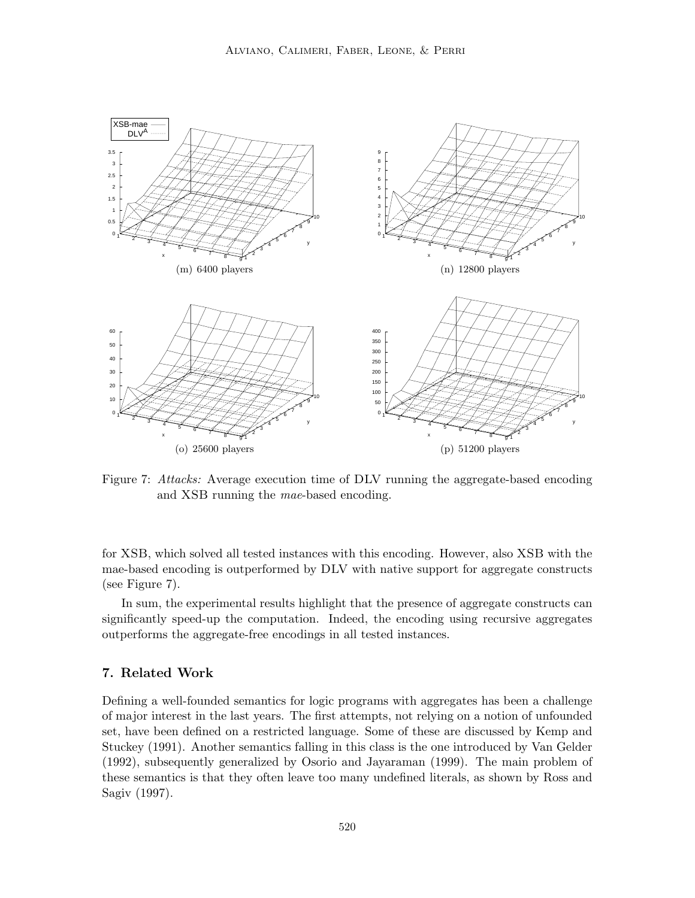

Figure 7: *Attacks:* Average execution time of DLV running the aggregate-based encoding and XSB running the *mae*-based encoding.

for XSB, which solved all tested instances with this encoding. However, also XSB with the mae-based encoding is outperformed by DLV with native support for aggregate constructs (see Figure 7).

In sum, the experimental results highlight that the presence of aggregate constructs can significantly speed-up the computation. Indeed, the encoding using recursive aggregates outperforms the aggregate-free encodings in all tested instances.

# 7. Related Work

Defining a well-founded semantics for logic programs with aggregates has been a challenge of major interest in the last years. The first attempts, not relying on a notion of unfounded set, have been defined on a restricted language. Some of these are discussed by Kemp and Stuckey (1991). Another semantics falling in this class is the one introduced by Van Gelder (1992), subsequently generalized by Osorio and Jayaraman (1999). The main problem of these semantics is that they often leave too many undefined literals, as shown by Ross and Sagiv (1997).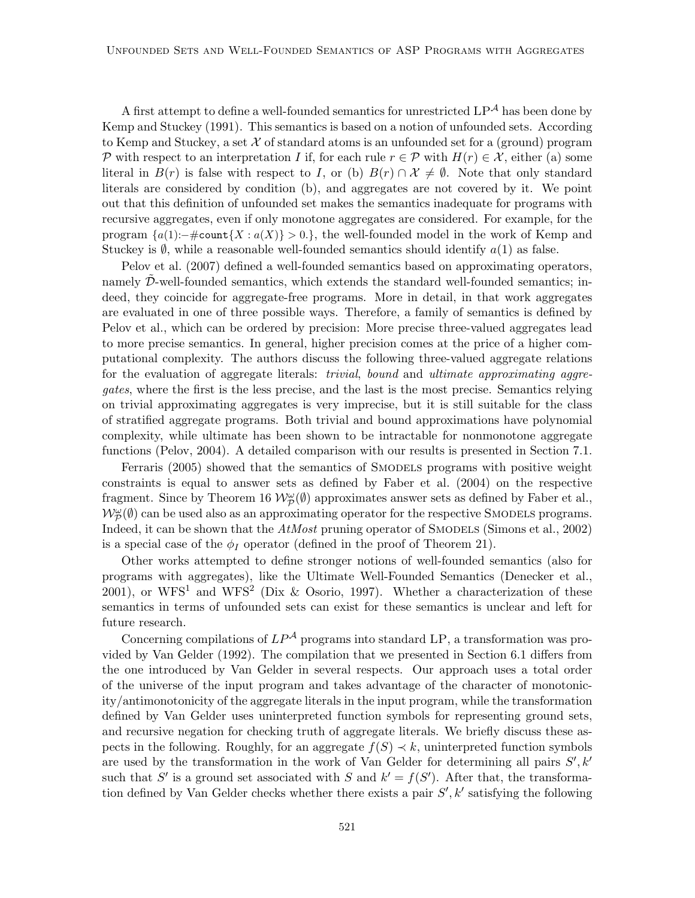A first attempt to define a well-founded semantics for unrestricted  $LP^{\mathcal{A}}$  has been done by Kemp and Stuckey (1991). This semantics is based on a notion of unfounded sets. According to Kemp and Stuckey, a set  $\mathcal X$  of standard atoms is an unfounded set for a (ground) program P with respect to an interpretation I if, for each rule  $r \in \mathcal{P}$  with  $H(r) \in \mathcal{X}$ , either (a) some literal in  $B(r)$  is false with respect to I, or (b)  $B(r) \cap \mathcal{X} \neq \emptyset$ . Note that only standard literals are considered by condition (b), and aggregates are not covered by it. We point out that this definition of unfounded set makes the semantics inadequate for programs with recursive aggregates, even if only monotone aggregates are considered. For example, for the program  ${a(1):$   $\#$ count ${X : a(X)} > 0.$ , the well-founded model in the work of Kemp and Stuckey is  $\emptyset$ , while a reasonable well-founded semantics should identify  $a(1)$  as false.

Pelov et al. (2007) defined a well-founded semantics based on approximating operators, namely D-well-founded semantics, which extends the standard well-founded semantics; indeed, they coincide for aggregate-free programs. More in detail, in that work aggregates are evaluated in one of three possible ways. Therefore, a family of semantics is defined by Pelov et al., which can be ordered by precision: More precise three-valued aggregates lead to more precise semantics. In general, higher precision comes at the price of a higher computational complexity. The authors discuss the following three-valued aggregate relations for the evaluation of aggregate literals: *trivial*, *bound* and *ultimate approximating aggregates*, where the first is the less precise, and the last is the most precise. Semantics relying on trivial approximating aggregates is very imprecise, but it is still suitable for the class of stratified aggregate programs. Both trivial and bound approximations have polynomial complexity, while ultimate has been shown to be intractable for nonmonotone aggregate functions (Pelov, 2004). A detailed comparison with our results is presented in Section 7.1.

Ferraris (2005) showed that the semantics of Smodels programs with positive weight constraints is equal to answer sets as defined by Faber et al. (2004) on the respective fragment. Since by Theorem 16  $\mathcal{W}_{\mathcal{P}}^{\omega}(\emptyset)$  approximates answer sets as defined by Faber et al.,  $\mathcal{W}_{\mathcal{P}}^{\omega}(\emptyset)$  can be used also as an approximating operator for the respective SMODELS programs. Indeed, it can be shown that the *AtMost* pruning operator of SMODELS (Simons et al., 2002) is a special case of the  $\phi_I$  operator (defined in the proof of Theorem 21).

Other works attempted to define stronger notions of well-founded semantics (also for programs with aggregates), like the Ultimate Well-Founded Semantics (Denecker et al., 2001), or WFS<sup>1</sup> and WFS<sup>2</sup> (Dix & Osorio, 1997). Whether a characterization of these semantics in terms of unfounded sets can exist for these semantics is unclear and left for future research.

Concerning compilations of  $LP^{\mathcal{A}}$  programs into standard LP, a transformation was provided by Van Gelder (1992). The compilation that we presented in Section 6.1 differs from the one introduced by Van Gelder in several respects. Our approach uses a total order of the universe of the input program and takes advantage of the character of monotonicity/antimonotonicity of the aggregate literals in the input program, while the transformation defined by Van Gelder uses uninterpreted function symbols for representing ground sets, and recursive negation for checking truth of aggregate literals. We briefly discuss these aspects in the following. Roughly, for an aggregate  $f(S) \prec k$ , uninterpreted function symbols are used by the transformation in the work of Van Gelder for determining all pairs  $S', k'$ such that S' is a ground set associated with S and  $k' = f(S')$ . After that, the transformation defined by Van Gelder checks whether there exists a pair  $S', k'$  satisfying the following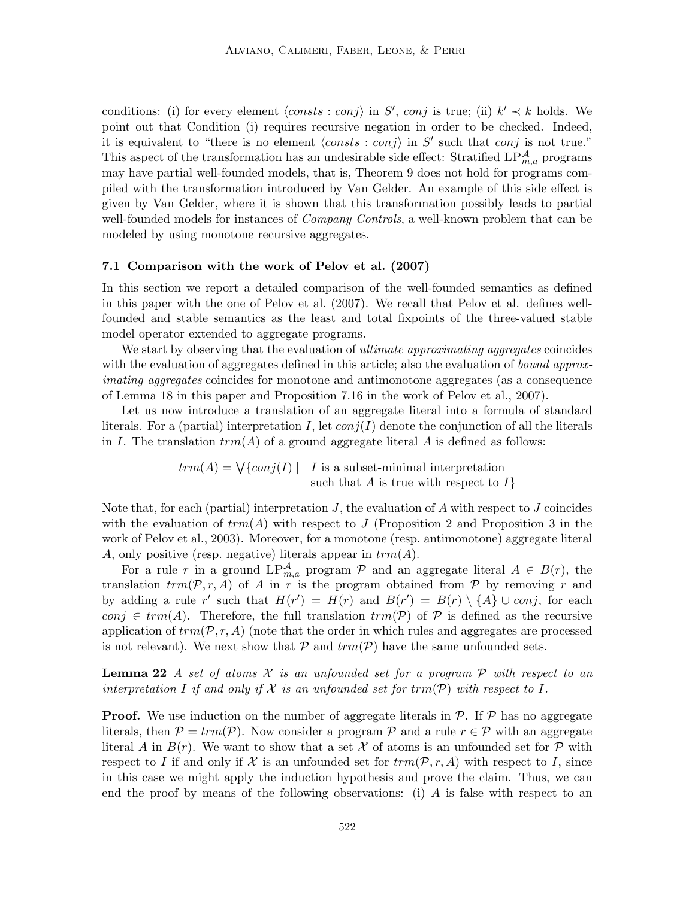conditions: (i) for every element  $\langle consts : conj \rangle$  in S', conj is true; (ii)  $k' \prec k$  holds. We point out that Condition (i) requires recursive negation in order to be checked. Indeed, it is equivalent to "there is no element  $\langle consts : conj \rangle$  in S' such that conj is not true." This aspect of the transformation has an undesirable side effect: Stratified  $LP_{m,a}^{\mathcal{A}}$  programs may have partial well-founded models, that is, Theorem 9 does not hold for programs compiled with the transformation introduced by Van Gelder. An example of this side effect is given by Van Gelder, where it is shown that this transformation possibly leads to partial well-founded models for instances of *Company Controls*, a well-known problem that can be modeled by using monotone recursive aggregates.

### 7.1 Comparison with the work of Pelov et al. (2007)

In this section we report a detailed comparison of the well-founded semantics as defined in this paper with the one of Pelov et al. (2007). We recall that Pelov et al. defines wellfounded and stable semantics as the least and total fixpoints of the three-valued stable model operator extended to aggregate programs.

We start by observing that the evaluation of *ultimate approximating aggregates* coincides with the evaluation of aggregates defined in this article; also the evaluation of *bound approximating aggregates* coincides for monotone and antimonotone aggregates (as a consequence of Lemma 18 in this paper and Proposition 7.16 in the work of Pelov et al., 2007).

Let us now introduce a translation of an aggregate literal into a formula of standard literals. For a (partial) interpretation I, let  $conj(I)$  denote the conjunction of all the literals in I. The translation  $trm(A)$  of a ground aggregate literal A is defined as follows:

> $trm(A) = \bigvee \{ conj(I) | I \text{ is a subset-minimal interpretation}$ such that  $A$  is true with respect to  $I$

Note that, for each (partial) interpretation  $J$ , the evaluation of  $A$  with respect to  $J$  coincides with the evaluation of  $trm(A)$  with respect to J (Proposition 2 and Proposition 3 in the work of Pelov et al., 2003). Moreover, for a monotone (resp. antimonotone) aggregate literal A, only positive (resp. negative) literals appear in  $trm(A)$ .

For a rule r in a ground  $LP_{m,a}^{\mathcal{A}}$  program  $\mathcal{P}$  and an aggregate literal  $A \in B(r)$ , the translation  $trm(\mathcal{P}, r, A)$  of A in r is the program obtained from  $\mathcal P$  by removing r and by adding a rule r' such that  $H(r') = H(r)$  and  $B(r') = B(r) \setminus \{A\} \cup conj$ , for each conj  $\in \text{trm}(A)$ . Therefore, the full translation  $\text{trm}(\mathcal{P})$  of  $\mathcal P$  is defined as the recursive application of  $trm(\mathcal{P}, r, A)$  (note that the order in which rules and aggregates are processed is not relevant). We next show that  $P$  and  $trm(P)$  have the same unfounded sets.

Lemma 22 *A set of atoms* X *is an unfounded set for a program* P *with respect to an interpretation* I *if and only if*  $X$  *is an unfounded set for*  $\text{trm}(\mathcal{P})$  *with respect to* I.

**Proof.** We use induction on the number of aggregate literals in  $P$ . If  $P$  has no aggregate literals, then  $P = trm(\mathcal{P})$ . Now consider a program  $\mathcal P$  and a rule  $r \in \mathcal P$  with an aggregate literal A in  $B(r)$ . We want to show that a set X of atoms is an unfounded set for P with respect to I if and only if X is an unfounded set for  $trm(\mathcal{P}, r, A)$  with respect to I, since in this case we might apply the induction hypothesis and prove the claim. Thus, we can end the proof by means of the following observations: (i) A is false with respect to an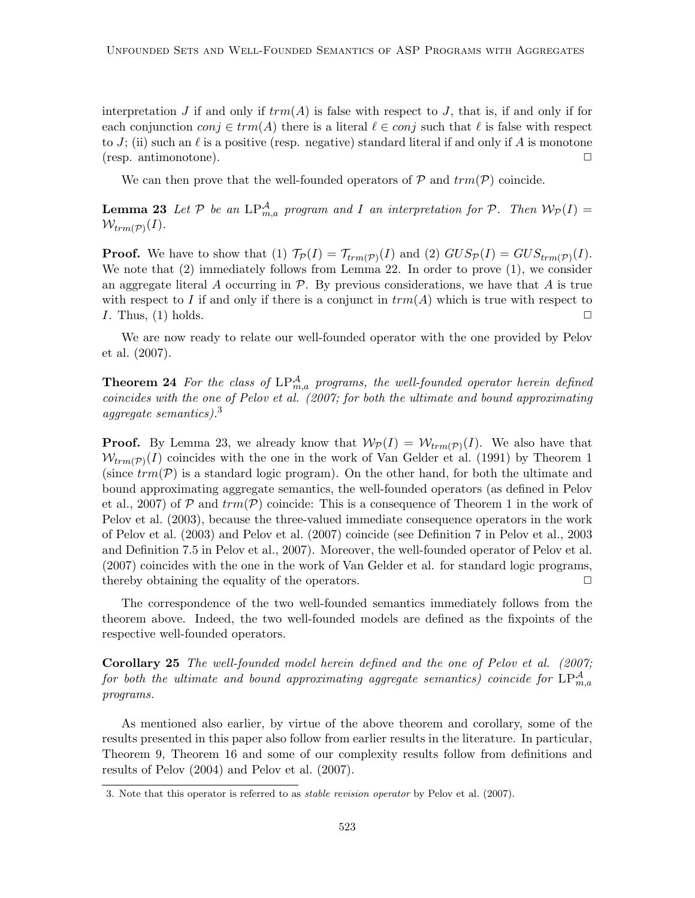interpretation J if and only if  $trm(A)$  is false with respect to J, that is, if and only if for each conjunction  $conj \in trm(A)$  there is a literal  $\ell \in conj$  such that  $\ell$  is false with respect to J; (ii) such an  $\ell$  is a positive (resp. negative) standard literal if and only if A is monotone  $(\text{resp. antimonotone}).$ 

We can then prove that the well-founded operators of  $P$  and  $trm(P)$  coincide.

**Lemma 23** Let  $P$  be an  $LP_{m,a}^{\mathcal{A}}$  program and I an interpretation for  $P$ . Then  $W_P(I)$  =  $\mathcal{W}_{trm(\mathcal{P})}(I)$ .

**Proof.** We have to show that (1)  $\mathcal{T}_{\mathcal{P}}(I) = \mathcal{T}_{trm(\mathcal{P})}(I)$  and (2)  $GUS_{\mathcal{P}}(I) = GUS_{trm(\mathcal{P})}(I)$ . We note that  $(2)$  immediately follows from Lemma 22. In order to prove  $(1)$ , we consider an aggregate literal A occurring in  $P$ . By previous considerations, we have that A is true with respect to I if and only if there is a conjunct in  $trm(A)$  which is true with respect to I. Thus, (1) holds.  $\Box$ 

We are now ready to relate our well-founded operator with the one provided by Pelov et al. (2007).

**Theorem 24** For the class of  $LP_{m,a}^{\mathcal{A}}$  programs, the well-founded operator herein defined *coincides with the one of Pelov et al. (2007; for both the ultimate and bound approximating aggregate semantics).*<sup>3</sup>

**Proof.** By Lemma 23, we already know that  $W_{\mathcal{P}}(I) = W_{trm(\mathcal{P})}(I)$ . We also have that  $W_{trm(P)}(I)$  coincides with the one in the work of Van Gelder et al. (1991) by Theorem 1 (since  $trm(\mathcal{P})$  is a standard logic program). On the other hand, for both the ultimate and bound approximating aggregate semantics, the well-founded operators (as defined in Pelov et al., 2007) of P and  $trm(\mathcal{P})$  coincide: This is a consequence of Theorem 1 in the work of Pelov et al. (2003), because the three-valued immediate consequence operators in the work of Pelov et al. (2003) and Pelov et al. (2007) coincide (see Definition 7 in Pelov et al., 2003 and Definition 7.5 in Pelov et al., 2007). Moreover, the well-founded operator of Pelov et al. (2007) coincides with the one in the work of Van Gelder et al. for standard logic programs, thereby obtaining the equality of the operators.  $\Box$ 

The correspondence of the two well-founded semantics immediately follows from the theorem above. Indeed, the two well-founded models are defined as the fixpoints of the respective well-founded operators.

Corollary 25 *The well-founded model herein defined and the one of Pelov et al. (2007;*  ${\it for\ both\ the\ ultimate\ and\ bound\ approximating\ aggregate\ semantics})\ coincide\ for\ LP}^{\cal A}_{m,a}$ *programs.*

As mentioned also earlier, by virtue of the above theorem and corollary, some of the results presented in this paper also follow from earlier results in the literature. In particular, Theorem 9, Theorem 16 and some of our complexity results follow from definitions and results of Pelov (2004) and Pelov et al. (2007).

<sup>3.</sup> Note that this operator is referred to as stable revision operator by Pelov et al. (2007).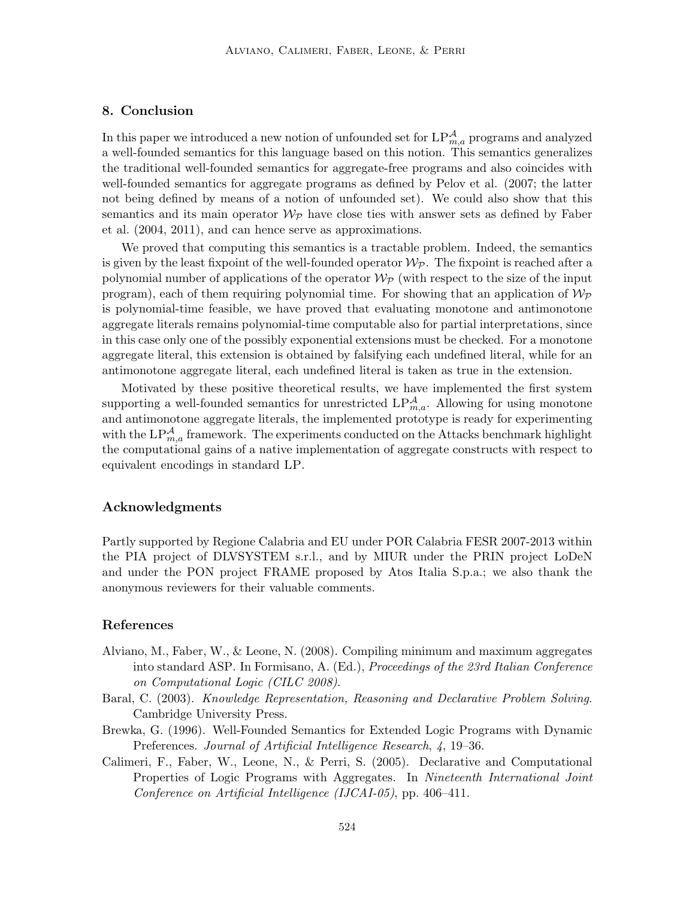# 8. Conclusion

In this paper we introduced a new notion of unfounded set for  $\text{LP}_{m,a}^{\mathcal{A}}$  programs and analyzed a well-founded semantics for this language based on this notion. This semantics generalizes the traditional well-founded semantics for aggregate-free programs and also coincides with well-founded semantics for aggregate programs as defined by Pelov et al. (2007; the latter not being defined by means of a notion of unfounded set). We could also show that this semantics and its main operator  $\mathcal{W}_{\mathcal{P}}$  have close ties with answer sets as defined by Faber et al. (2004, 2011), and can hence serve as approximations.

We proved that computing this semantics is a tractable problem. Indeed, the semantics is given by the least fixpoint of the well-founded operator  $\mathcal{W}_{\mathcal{P}}$ . The fixpoint is reached after a polynomial number of applications of the operator  $\mathcal{W}_{\mathcal{P}}$  (with respect to the size of the input program), each of them requiring polynomial time. For showing that an application of  $\mathcal{W}_{\mathcal{P}}$ is polynomial-time feasible, we have proved that evaluating monotone and antimonotone aggregate literals remains polynomial-time computable also for partial interpretations, since in this case only one of the possibly exponential extensions must be checked. For a monotone aggregate literal, this extension is obtained by falsifying each undefined literal, while for an antimonotone aggregate literal, each undefined literal is taken as true in the extension.

Motivated by these positive theoretical results, we have implemented the first system supporting a well-founded semantics for unrestricted  $LP_{m,a}^{\mathcal{A}}$ . Allowing for using monotone and antimonotone aggregate literals, the implemented prototype is ready for experimenting with the  $LP_{m,a}^{\mathcal{A}}$  framework. The experiments conducted on the Attacks benchmark highlight the computational gains of a native implementation of aggregate constructs with respect to equivalent encodings in standard LP.

## Acknowledgments

Partly supported by Regione Calabria and EU under POR Calabria FESR 2007-2013 within the PIA project of DLVSYSTEM s.r.l., and by MIUR under the PRIN project LoDeN and under the PON project FRAME proposed by Atos Italia S.p.a.; we also thank the anonymous reviewers for their valuable comments.

### References

- Alviano, M., Faber, W., & Leone, N. (2008). Compiling minimum and maximum aggregates into standard ASP. In Formisano, A. (Ed.), *Proceedings of the 23rd Italian Conference on Computational Logic (CILC 2008)*.
- Baral, C. (2003). *Knowledge Representation, Reasoning and Declarative Problem Solving*. Cambridge University Press.
- Brewka, G. (1996). Well-Founded Semantics for Extended Logic Programs with Dynamic Preferences. *Journal of Artificial Intelligence Research*, *4*, 19–36.
- Calimeri, F., Faber, W., Leone, N., & Perri, S. (2005). Declarative and Computational Properties of Logic Programs with Aggregates. In *Nineteenth International Joint Conference on Artificial Intelligence (IJCAI-05)*, pp. 406–411.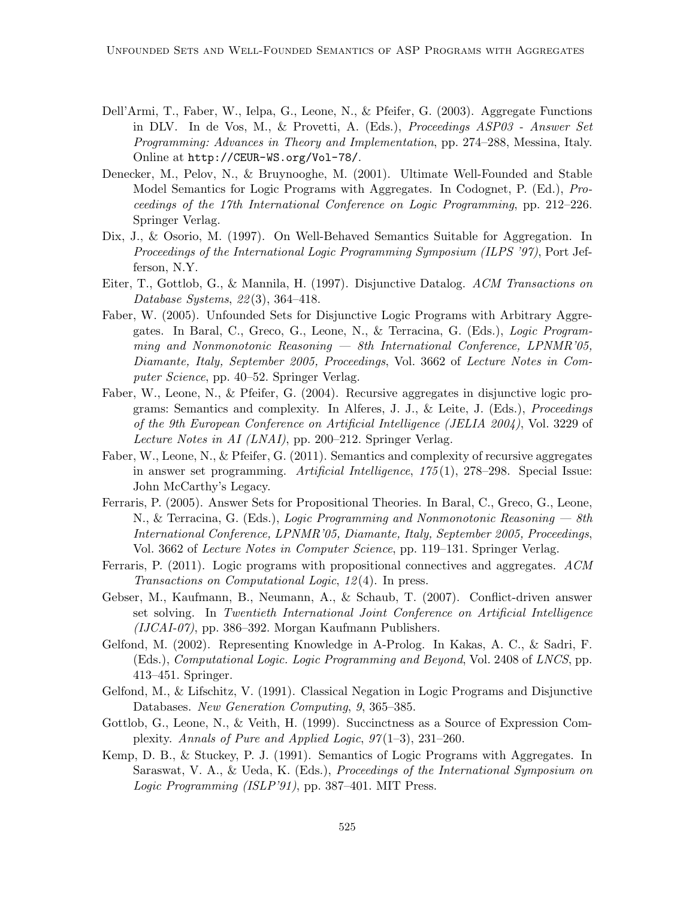- Dell'Armi, T., Faber, W., Ielpa, G., Leone, N., & Pfeifer, G. (2003). Aggregate Functions in DLV. In de Vos, M., & Provetti, A. (Eds.), *Proceedings ASP03 - Answer Set Programming: Advances in Theory and Implementation*, pp. 274–288, Messina, Italy. Online at http://CEUR-WS.org/Vol-78/.
- Denecker, M., Pelov, N., & Bruynooghe, M. (2001). Ultimate Well-Founded and Stable Model Semantics for Logic Programs with Aggregates. In Codognet, P. (Ed.), *Proceedings of the 17th International Conference on Logic Programming*, pp. 212–226. Springer Verlag.
- Dix, J., & Osorio, M. (1997). On Well-Behaved Semantics Suitable for Aggregation. In *Proceedings of the International Logic Programming Symposium (ILPS '97)*, Port Jefferson, N.Y.
- Eiter, T., Gottlob, G., & Mannila, H. (1997). Disjunctive Datalog. *ACM Transactions on Database Systems*, *22* (3), 364–418.
- Faber, W. (2005). Unfounded Sets for Disjunctive Logic Programs with Arbitrary Aggregates. In Baral, C., Greco, G., Leone, N., & Terracina, G. (Eds.), *Logic Programming and Nonmonotonic Reasoning — 8th International Conference, LPNMR'05, Diamante, Italy, September 2005, Proceedings*, Vol. 3662 of *Lecture Notes in Computer Science*, pp. 40–52. Springer Verlag.
- Faber, W., Leone, N., & Pfeifer, G. (2004). Recursive aggregates in disjunctive logic programs: Semantics and complexity. In Alferes, J. J., & Leite, J. (Eds.), *Proceedings of the 9th European Conference on Artificial Intelligence (JELIA 2004)*, Vol. 3229 of *Lecture Notes in AI (LNAI)*, pp. 200–212. Springer Verlag.
- Faber, W., Leone, N., & Pfeifer, G. (2011). Semantics and complexity of recursive aggregates in answer set programming. *Artificial Intelligence*, *175* (1), 278–298. Special Issue: John McCarthy's Legacy.
- Ferraris, P. (2005). Answer Sets for Propositional Theories. In Baral, C., Greco, G., Leone, N., & Terracina, G. (Eds.), *Logic Programming and Nonmonotonic Reasoning — 8th International Conference, LPNMR'05, Diamante, Italy, September 2005, Proceedings*, Vol. 3662 of *Lecture Notes in Computer Science*, pp. 119–131. Springer Verlag.
- Ferraris, P. (2011). Logic programs with propositional connectives and aggregates. *ACM Transactions on Computational Logic*, *12* (4). In press.
- Gebser, M., Kaufmann, B., Neumann, A., & Schaub, T. (2007). Conflict-driven answer set solving. In *Twentieth International Joint Conference on Artificial Intelligence (IJCAI-07)*, pp. 386–392. Morgan Kaufmann Publishers.
- Gelfond, M. (2002). Representing Knowledge in A-Prolog. In Kakas, A. C., & Sadri, F. (Eds.), *Computational Logic. Logic Programming and Beyond*, Vol. 2408 of *LNCS*, pp. 413–451. Springer.
- Gelfond, M., & Lifschitz, V. (1991). Classical Negation in Logic Programs and Disjunctive Databases. *New Generation Computing*, *9*, 365–385.
- Gottlob, G., Leone, N., & Veith, H. (1999). Succinctness as a Source of Expression Complexity. *Annals of Pure and Applied Logic*, *97* (1–3), 231–260.
- Kemp, D. B., & Stuckey, P. J. (1991). Semantics of Logic Programs with Aggregates. In Saraswat, V. A., & Ueda, K. (Eds.), *Proceedings of the International Symposium on Logic Programming (ISLP'91)*, pp. 387–401. MIT Press.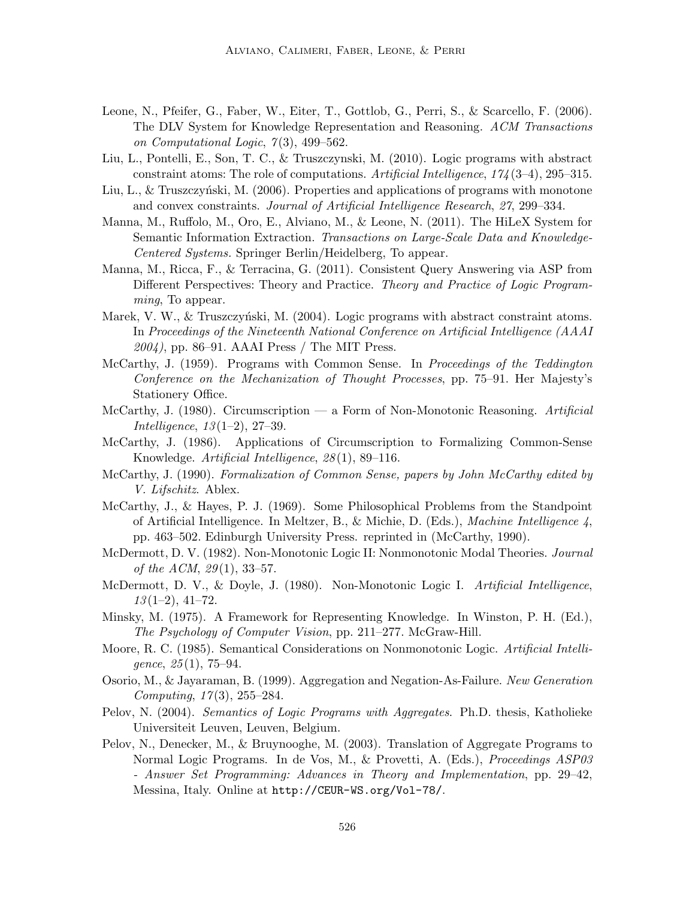- Leone, N., Pfeifer, G., Faber, W., Eiter, T., Gottlob, G., Perri, S., & Scarcello, F. (2006). The DLV System for Knowledge Representation and Reasoning. *ACM Transactions on Computational Logic*, *7* (3), 499–562.
- Liu, L., Pontelli, E., Son, T. C., & Truszczynski, M. (2010). Logic programs with abstract constraint atoms: The role of computations. *Artificial Intelligence*, *174* (3–4), 295–315.
- Liu, L., & Truszczyński, M. (2006). Properties and applications of programs with monotone and convex constraints. *Journal of Artificial Intelligence Research*, *27*, 299–334.
- Manna, M., Ruffolo, M., Oro, E., Alviano, M., & Leone, N. (2011). The HiLeX System for Semantic Information Extraction. *Transactions on Large-Scale Data and Knowledge-Centered Systems.* Springer Berlin/Heidelberg, To appear.
- Manna, M., Ricca, F., & Terracina, G. (2011). Consistent Query Answering via ASP from Different Perspectives: Theory and Practice. *Theory and Practice of Logic Programming*, To appear.
- Marek, V. W.,  $\&$  Truszczyński, M. (2004). Logic programs with abstract constraint atoms. In *Proceedings of the Nineteenth National Conference on Artificial Intelligence (AAAI 2004)*, pp. 86–91. AAAI Press / The MIT Press.
- McCarthy, J. (1959). Programs with Common Sense. In *Proceedings of the Teddington Conference on the Mechanization of Thought Processes*, pp. 75–91. Her Majesty's Stationery Office.
- McCarthy, J. (1980). Circumscription a Form of Non-Monotonic Reasoning. *Artificial Intelligence*, *13* (1–2), 27–39.
- McCarthy, J. (1986). Applications of Circumscription to Formalizing Common-Sense Knowledge. *Artificial Intelligence*, *28* (1), 89–116.
- McCarthy, J. (1990). *Formalization of Common Sense, papers by John McCarthy edited by V. Lifschitz*. Ablex.
- McCarthy, J., & Hayes, P. J. (1969). Some Philosophical Problems from the Standpoint of Artificial Intelligence. In Meltzer, B., & Michie, D. (Eds.), *Machine Intelligence 4*, pp. 463–502. Edinburgh University Press. reprinted in (McCarthy, 1990).
- McDermott, D. V. (1982). Non-Monotonic Logic II: Nonmonotonic Modal Theories. *Journal of the ACM*, *29* (1), 33–57.
- McDermott, D. V., & Doyle, J. (1980). Non-Monotonic Logic I. *Artificial Intelligence*, *13* (1–2), 41–72.
- Minsky, M. (1975). A Framework for Representing Knowledge. In Winston, P. H. (Ed.), *The Psychology of Computer Vision*, pp. 211–277. McGraw-Hill.
- Moore, R. C. (1985). Semantical Considerations on Nonmonotonic Logic. *Artificial Intelligence*, *25* (1), 75–94.
- Osorio, M., & Jayaraman, B. (1999). Aggregation and Negation-As-Failure. *New Generation Computing*, *17* (3), 255–284.
- Pelov, N. (2004). *Semantics of Logic Programs with Aggregates*. Ph.D. thesis, Katholieke Universiteit Leuven, Leuven, Belgium.
- Pelov, N., Denecker, M., & Bruynooghe, M. (2003). Translation of Aggregate Programs to Normal Logic Programs. In de Vos, M., & Provetti, A. (Eds.), *Proceedings ASP03 - Answer Set Programming: Advances in Theory and Implementation*, pp. 29–42, Messina, Italy. Online at http://CEUR-WS.org/Vol-78/.